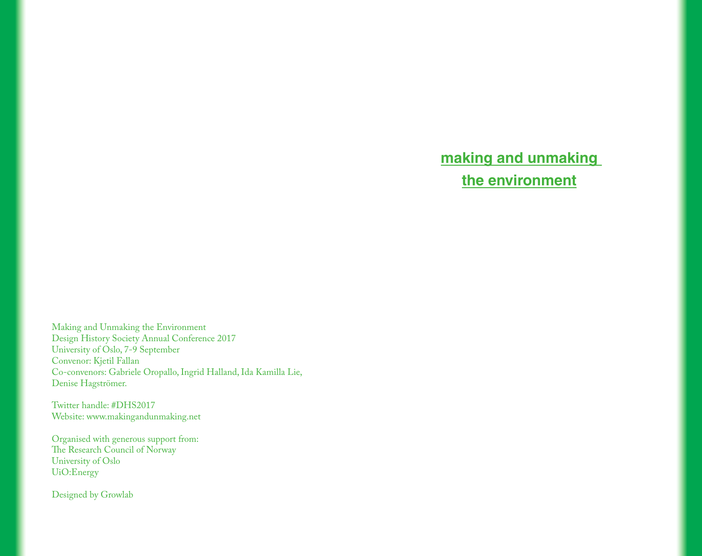# **making and unmaking the environment**

Making and Unmaking the Environment Design History Society Annual Conference 2017 University of Oslo, 7-9 September Convenor: Kjetil Fallan Co-convenors: Gabriele Oropallo, Ingrid Halland, Ida Kamilla Lie, Denise Hagströmer.

Twitter handle: #DHS2017 Website: www.makingandunmaking.net

Organised with generous support from: The Research Council of Norway University of Oslo UiO:Energy

Designed by Growlab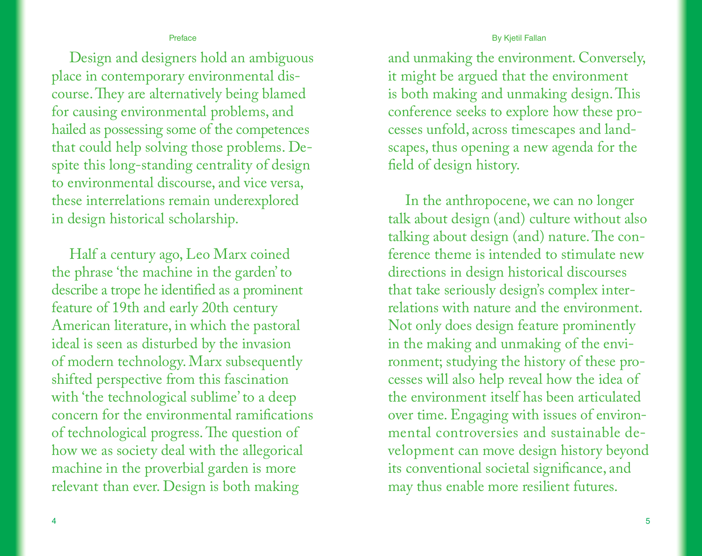## By Kjetil Fallan

## Preface

Design and designers hold an ambiguous place in contemporary environmental discourse. They are alternatively being blamed for causing environmental problems, and hailed as possessing some of the competences that could help solving those problems. Despite this long-standing centrality of design to environmental discourse, and vice versa, these interrelations remain underexplored in design historical scholarship.

Half a century ago, Leo Marx coined the phrase 'the machine in the garden' to describe a trope he identified as a prominent feature of 19th and early 20th century American literature, in which the pastoral ideal is seen as disturbed by the invasion of modern technology. Marx subsequently shifted perspective from this fascination with 'the technological sublime' to a deep concern for the environmental ramifications of technological progress. The question of how we as society deal with the allegorical machine in the proverbial garden is more relevant than ever. Design is both making

and unmaking the environment. Conversely, it might be argued that the environment is both making and unmaking design. This conference seeks to explore how these processes unfold, across timescapes and landscapes, thus opening a new agenda for the field of design history.

In the anthropocene, we can no longer talk about design (and) culture without also talking about design (and) nature. The conference theme is intended to stimulate new directions in design historical discourses that take seriously design's complex interrelations with nature and the environment. Not only does design feature prominently in the making and unmaking of the environment; studying the history of these processes will also help reveal how the idea of the environment itself has been articulated over time. Engaging with issues of environmental controversies and sustainable development can move design history beyond its conventional societal significance, and may thus enable more resilient futures.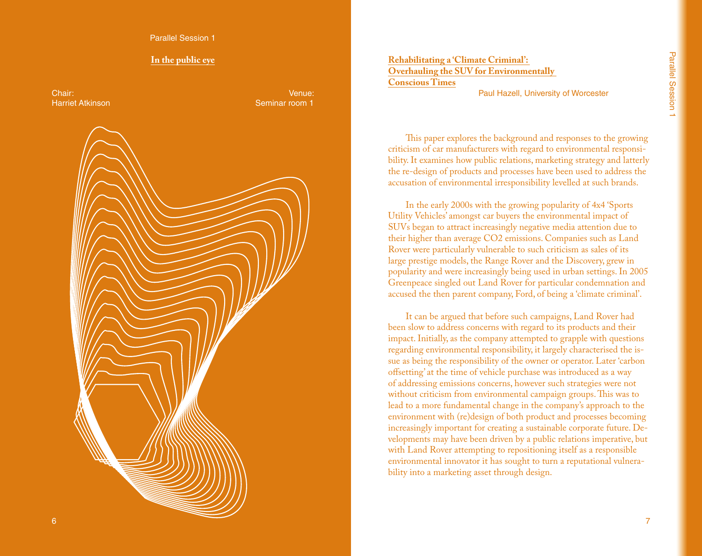Parallel Session 1

#### **In the public eye**

Chair: Harriet Atkinson

Venue: Seminar room 1



**Rehabilitating a 'Climate Criminal': Overhauling the SUV for Environmentally Conscious Times**

Paul Hazell, University of Worcester

This paper explores the background and responses to the growing criticism of car manufacturers with regard to environmental responsibility. It examines how public relations, marketing strategy and latterly the re-design of products and processes have been used to address the accusation of environmental irresponsibility levelled at such brands.

In the early 2000s with the growing popularity of 4x4 'Sports Utility Vehicles' amongst car buyers the environmental impact of SUVs began to attract increasingly negative media attention due to their higher than average CO2 emissions. Companies such as Land Rover were particularly vulnerable to such criticism as sales of its large prestige models, the Range Rover and the Discovery, grew in popularity and were increasingly being used in urban settings. In 2005 Greenpeace singled out Land Rover for particular condemnation and accused the then parent company, Ford, of being a 'climate criminal'.

It can be argued that before such campaigns, Land Rover had been slow to address concerns with regard to its products and their impact. Initially, as the company attempted to grapple with questions regarding environmental responsibility, it largely characterised the issue as being the responsibility of the owner or operator. Later 'carbon offsetting' at the time of vehicle purchase was introduced as a way of addressing emissions concerns, however such strategies were not without criticism from environmental campaign groups. This was to lead to a more fundamental change in the company's approach to the environment with (re)design of both product and processes becoming increasingly important for creating a sustainable corporate future. Developments may have been driven by a public relations imperative, but with Land Rover attempting to repositioning itself as a responsible environmental innovator it has sought to turn a reputational vulnerability into a marketing asset through design.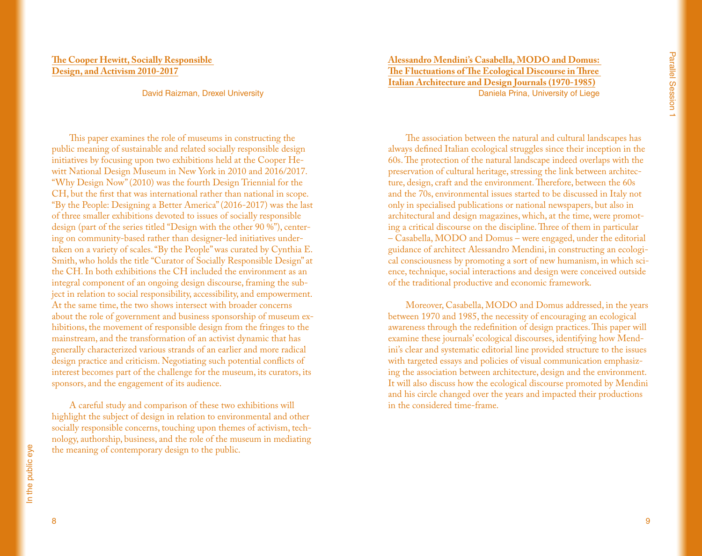# **The Cooper Hewitt, Socially Responsible Design, and Activism 2010-2017**

David Raizman, Drexel University

This paper examines the role of museums in constructing the public meaning of sustainable and related socially responsible design initiatives by focusing upon two exhibitions held at the Cooper Hewitt National Design Museum in New York in 2010 and 2016/2017. "Why Design Now" (2010) was the fourth Design Triennial for the CH, but the first that was international rather than national in scope. "By the People: Designing a Better America" (2016-2017) was the last of three smaller exhibitions devoted to issues of socially responsible design (part of the series titled "Design with the other 90 %"), centering on community-based rather than designer-led initiatives undertaken on a variety of scales. "By the People" was curated by Cynthia E. Smith, who holds the title "Curator of Socially Responsible Design" at the CH. In both exhibitions the CH included the environment as an integral component of an ongoing design discourse, framing the subject in relation to social responsibility, accessibility, and empowerment. At the same time, the two shows intersect with broader concerns about the role of government and business sponsorship of museum exhibitions, the movement of responsible design from the fringes to the mainstream, and the transformation of an activist dynamic that has generally characterized various strands of an earlier and more radical design practice and criticism. Negotiating such potential conflicts of interest becomes part of the challenge for the museum, its curators, its sponsors, and the engagement of its audience.

A careful study and comparison of these two exhibitions will highlight the subject of design in relation to environmental and other socially responsible concerns, touching upon themes of activism, technology, authorship, business, and the role of the museum in mediating the meaning of contemporary design to the public.

**Alessandro Mendini's Casabella, MODO and Domus: The Fluctuations of The Ecological Discourse in Three Italian Architecture and Design Journals (1970-1985)** Daniela Prina, University of Liege

The association between the natural and cultural landscapes has always defined Italian ecological struggles since their inception in the 60s. The protection of the natural landscape indeed overlaps with the preservation of cultural heritage, stressing the link between architecture, design, craft and the environment. Therefore, between the 60s and the 70s, environmental issues started to be discussed in Italy not only in specialised publications or national newspapers, but also in architectural and design magazines, which, at the time, were promoting a critical discourse on the discipline. Three of them in particular – Casabella, MODO and Domus – were engaged, under the editorial guidance of architect Alessandro Mendini, in constructing an ecological consciousness by promoting a sort of new humanism, in which science, technique, social interactions and design were conceived outside of the traditional productive and economic framework.

Moreover, Casabella, MODO and Domus addressed, in the years between 1970 and 1985, the necessity of encouraging an ecological awareness through the redefinition of design practices. This paper will examine these journals' ecological discourses, identifying how Mendini's clear and systematic editorial line provided structure to the issues with targeted essays and policies of visual communication emphasizing the association between architecture, design and the environment. It will also discuss how the ecological discourse promoted by Mendini and his circle changed over the years and impacted their productions in the considered time-frame.

In the public eye In the public eye

8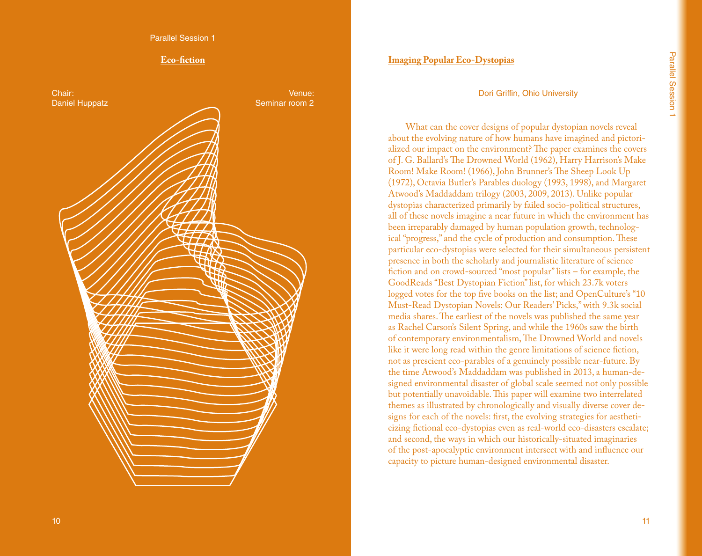Parallel Session 1

#### **Eco-fiction**



## **Imaging Popular Eco-Dystopias**

#### Dori Griffin, Ohio University

What can the cover designs of popular dystopian novels reveal about the evolving nature of how humans have imagined and pictori alized our impact on the environment? The paper examines the covers of J. G. Ballard's The Drowned World (1962), Harry Harrison's Make Room! Make Room! (1966), John Brunner's The Sheep Look Up (1972), Octavia Butler's Parables duology (1993, 1998), and Margaret Atwood's Maddaddam trilogy (2003, 2009, 2013). Unlike popular dystopias characterized primarily by failed socio-political structures, all of these novels imagine a near future in which the environment has been irreparably damaged by human population growth, technolog ical "progress," and the cycle of production and consumption. These particular eco-dystopias were selected for their simultaneous persistent presence in both the scholarly and journalistic literature of science fiction and on crowd-sourced "most popular" lists – for example, the GoodReads "Best Dystopian Fiction" list, for which 23.7k voters logged votes for the top five books on the list; and OpenCulture's "10 Must-Read Dystopian Novels: Our Readers' Picks," with 9.3k social media shares. The earliest of the novels was published the same year as Rachel Carson's Silent Spring, and while the 1960s saw the birth of contemporary environmentalism, The Drowned World and novels like it were long read within the genre limitations of science fiction, not as prescient eco-parables of a genuinely possible near-future. By the time Atwood's Maddaddam was published in 2013, a human-de signed environmental disaster of global scale seemed not only possible but potentially unavoidable. This paper will examine two interrelated themes as illustrated by chronologically and visually diverse cover de signs for each of the novels: first, the evolving strategies for aestheti cizing fictional eco-dystopias even as real-world eco-disasters escalate; and second, the ways in which our historically-situated imaginaries of the post-apocalyptic environment intersect with and influence our capacity to picture human-designed environmental disaster.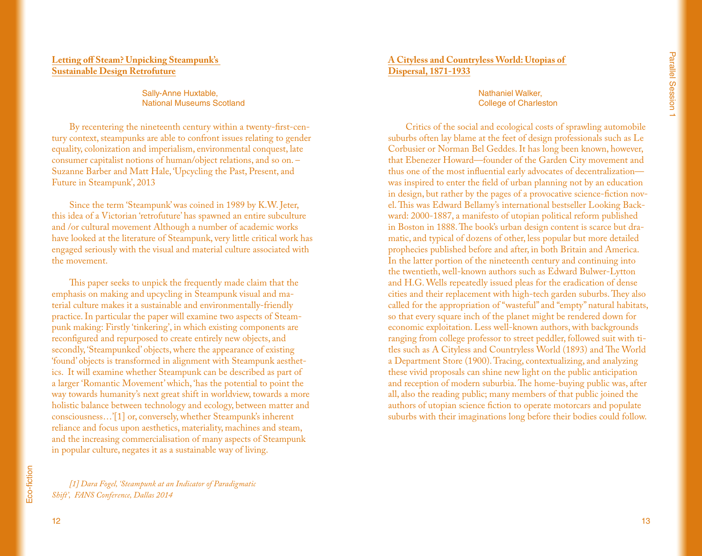# **Letting off Steam? Unpicking Steampunk's Sustainable Design Retrofuture**

Sally-Anne Huxtable, National Museums Scotland

By recentering the nineteenth century within a twenty-first-century context, steampunks are able to confront issues relating to gender equality, colonization and imperialism, environmental conquest, late consumer capitalist notions of human/object relations, and so on. – Suzanne Barber and Matt Hale, 'Upcycling the Past, Present, and Future in Steampunk', 2013

Since the term 'Steampunk' was coined in 1989 by K.W. Jeter, this idea of a Victorian 'retrofuture' has spawned an entire subculture and /or cultural movement Although a number of academic works have looked at the literature of Steampunk, very little critical work has engaged seriously with the visual and material culture associated with the movement.

This paper seeks to unpick the frequently made claim that the emphasis on making and upcycling in Steampunk visual and material culture makes it a sustainable and environmentally-friendly practice. In particular the paper will examine two aspects of Steampunk making: Firstly 'tinkering', in which existing components are reconfigured and repurposed to create entirely new objects, and secondly, 'Steampunked' objects, where the appearance of existing 'found' objects is transformed in alignment with Steampunk aesthetics. It will examine whether Steampunk can be described as part of a larger 'Romantic Movement' which, 'has the potential to point the way towards humanity's next great shift in worldview, towards a more holistic balance between technology and ecology, between matter and consciousness…'[1] or, conversely, whether Steampunk's inherent reliance and focus upon aesthetics, materiality, machines and steam, and the increasing commercialisation of many aspects of Steampunk in popular culture, negates it as a sustainable way of living.

Eco-fiction Eco-fiction

*[1] Dara Fogel, 'Steampunk at an Indicator of Paradigmatic Shift', FANS Conference, Dallas 2014*

# **A Cityless and Countryless World: Utopias of Dispersal, 1871-1933**

Nathaniel Walker, College of Charleston

Critics of the social and ecological costs of sprawling automobile suburbs often lay blame at the feet of design professionals such as Le Corbusier or Norman Bel Geddes. It has long been known, however, that Ebenezer Howard—founder of the Garden City movement and thus one of the most influential early advocates of decentralization was inspired to enter the field of urban planning not by an education in design, but rather by the pages of a provocative science-fiction novel. This was Edward Bellamy's international bestseller Looking Backward: 2000-1887, a manifesto of utopian political reform published in Boston in 1888. The book's urban design content is scarce but dramatic, and typical of dozens of other, less popular but more detailed prophecies published before and after, in both Britain and America. In the latter portion of the nineteenth century and continuing into the twentieth, well-known authors such as Edward Bulwer-Lytton and H.G. Wells repeatedly issued pleas for the eradication of dense cities and their replacement with high-tech garden suburbs. They also called for the appropriation of "wasteful" and "empty" natural habitats, so that every square inch of the planet might be rendered down for economic exploitation. Less well-known authors, with backgrounds ranging from college professor to street peddler, followed suit with titles such as A Cityless and Countryless World (1893) and The World a Department Store (1900). Tracing, contextualizing, and analyzing these vivid proposals can shine new light on the public anticipation and reception of modern suburbia. The home-buying public was, after all, also the reading public; many members of that public joined the authors of utopian science fiction to operate motorcars and populate suburbs with their imaginations long before their bodies could follow.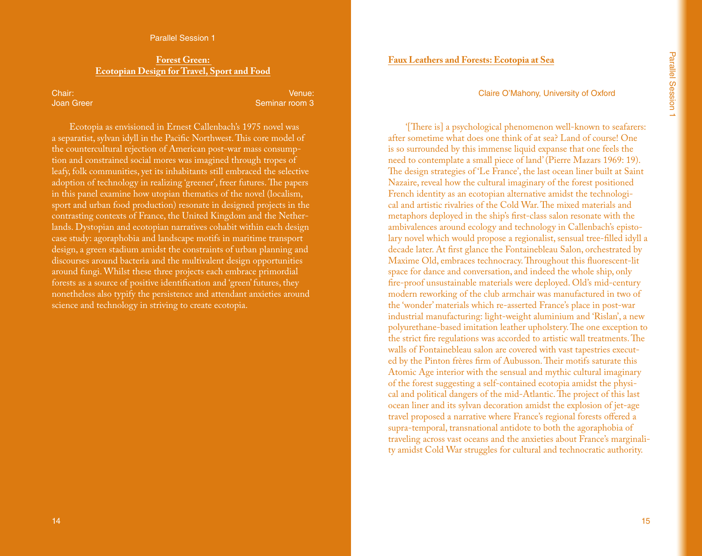#### **Forest Green: Ecotopian Design for Travel, Sport and Food**

Chair: Joan Greer

Venue: Seminar room 3

Ecotopia as envisioned in Ernest Callenbach's 1975 novel was a separatist, sylvan idyll in the Pacific Northwest. This core model of the countercultural rejection of American post-war mass consumption and constrained social mores was imagined through tropes of leafy, folk communities, yet its inhabitants still embraced the selective adoption of technology in realizing 'greener', freer futures. The papers in this panel examine how utopian thematics of the novel (localism, sport and urban food production) resonate in designed projects in the contrasting contexts of France, the United Kingdom and the Netherlands. Dystopian and ecotopian narratives cohabit within each design case study: agoraphobia and landscape motifs in maritime transport design, a green stadium amidst the constraints of urban planning and discourses around bacteria and the multivalent design opportunities around fungi. Whilst these three projects each embrace primordial forests as a source of positive identification and 'green' futures, they nonetheless also typify the persistence and attendant anxieties around science and technology in striving to create ecotopia.

## **Faux Leathers and Forests: Ecotopia at Sea**

#### Claire O'Mahony, University of Oxford

'[There is] a psychological phenomenon well-known to seafarers: after sometime what does one think of at sea? Land of course! One is so surrounded by this immense liquid expanse that one feels the need to contemplate a small piece of land' (Pierre Mazars 1969: 19). The design strategies of 'Le France', the last ocean liner built at Saint Nazaire, reveal how the cultural imaginary of the forest positioned French identity as an ecotopian alternative amidst the technological and artistic rivalries of the Cold War. The mixed materials and metaphors deployed in the ship's first-class salon resonate with the ambivalences around ecology and technology in Callenbach's epistolary novel which would propose a regionalist, sensual tree-filled idyll a decade later. At first glance the Fontainebleau Salon, orchestrated by Maxime Old, embraces technocracy. Throughout this fluorescent-lit space for dance and conversation, and indeed the whole ship, only fire-proof unsustainable materials were deployed. Old's mid-century modern reworking of the club armchair was manufactured in two of the 'wonder' materials which re-asserted France's place in post-war industrial manufacturing: light-weight aluminium and 'Rislan', a new polyurethane-based imitation leather upholstery. The one exception to the strict fire regulations was accorded to artistic wall treatments. The walls of Fontainebleau salon are covered with vast tapestries executed by the Pinton frères firm of Aubusson. Their motifs saturate this Atomic Age interior with the sensual and mythic cultural imaginary of the forest suggesting a self-contained ecotopia amidst the physical and political dangers of the mid-Atlantic. The project of this last ocean liner and its sylvan decoration amidst the explosion of jet-age travel proposed a narrative where France's regional forests offered a supra-temporal, transnational antidote to both the agoraphobia of traveling across vast oceans and the anxieties about France's marginality amidst Cold War struggles for cultural and technocratic authority.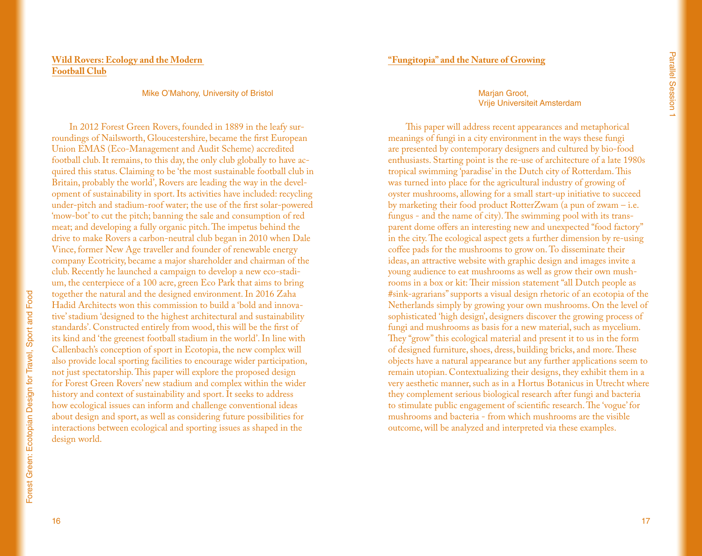# **Wild Rovers: Ecology and the Modern Football Club**

#### Mike O'Mahony, University of Bristol

In 2012 Forest Green Rovers, founded in 1889 in the leafy surroundings of Nailsworth, Gloucestershire, became the first European Union EMAS (Eco-Management and Audit Scheme) accredited football club. It remains, to this day, the only club globally to have acquired this status. Claiming to be 'the most sustainable football club in Britain, probably the world', Rovers are leading the way in the development of sustainability in sport. Its activities have included: recycling under-pitch and stadium-roof water; the use of the first solar-powered 'mow-bot' to cut the pitch; banning the sale and consumption of red meat; and developing a fully organic pitch. The impetus behind the drive to make Rovers a carbon-neutral club began in 2010 when Dale Vince, former New Age traveller and founder of renewable energy company Ecotricity, became a major shareholder and chairman of the club. Recently he launched a campaign to develop a new eco-stadium, the centerpiece of a 100 acre, green Eco Park that aims to bring together the natural and the designed environment. In 2016 Zaha Hadid Architects won this commission to build a 'bold and innovative' stadium 'designed to the highest architectural and sustainability standards'. Constructed entirely from wood, this will be the first of its kind and 'the greenest football stadium in the world'. In line with Callenbach's conception of sport in Ecotopia, the new complex will also provide local sporting facilities to encourage wider participation, not just spectatorship. This paper will explore the proposed design for Forest Green Rovers' new stadium and complex within the wider history and context of sustainability and sport. It seeks to address how ecological issues can inform and challenge conventional ideas about design and sport, as well as considering future possibilities for interactions between ecological and sporting issues as shaped in the design world.

# **"Fungitopia" and the Nature of Growing**

#### Marian Groot. Vrije Universiteit Amsterdam

This paper will address recent appearances and metaphorical meanings of fungi in a city environment in the ways these fungi are presented by contemporary designers and cultured by bio-food enthusiasts. Starting point is the re-use of architecture of a late 1980s tropical swimming 'paradise' in the Dutch city of Rotterdam. This was turned into place for the agricultural industry of growing of oyster mushrooms, allowing for a small start-up initiative to succeed by marketing their food product RotterZwam (a pun of zwam – i.e. fungus - and the name of city). The swimming pool with its transparent dome offers an interesting new and unexpected "food factory" in the city. The ecological aspect gets a further dimension by re-using coffee pads for the mushrooms to grow on. To disseminate their ideas, an attractive website with graphic design and images invite a young audience to eat mushrooms as well as grow their own mushrooms in a box or kit: Their mission statement "all Dutch people as #sink-agrarians" supports a visual design rhetoric of an ecotopia of the Netherlands simply by growing your own mushrooms. On the level of sophisticated 'high design', designers discover the growing process of fungi and mushrooms as basis for a new material, such as mycelium. They "grow" this ecological material and present it to us in the form of designed furniture, shoes, dress, building bricks, and more. These objects have a natural appearance but any further applications seem to remain utopian. Contextualizing their designs, they exhibit them in a very aesthetic manner, such as in a Hortus Botanicus in Utrecht where they complement serious biological research after fungi and bacteria to stimulate public engagement of scientific research. The 'vogue' for mushrooms and bacteria - from which mushrooms are the visible outcome, will be analyzed and interpreted via these examples.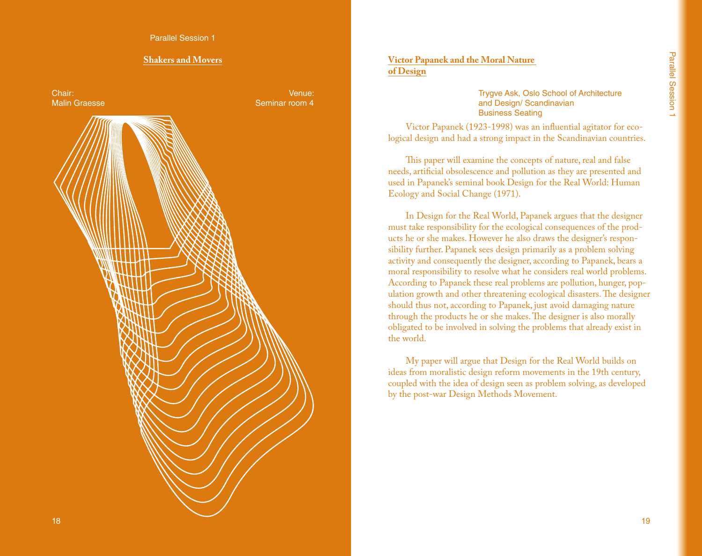# **Shakers and Movers**



# **Victor Papanek and the Moral Nature of Design**

Trygve Ask, Oslo School of Architecture and Design/ Scandinavian Business Seating

Victor Papanek (1923-1998) was an influential agitator for ecological design and had a strong impact in the Scandinavian countries.

This paper will examine the concepts of nature, real and false needs, artificial obsolescence and pollution as they are presented and used in Papanek's seminal book Design for the Real World: Human Ecology and Social Change (1971).

In Design for the Real World, Papanek argues that the designer must take responsibility for the ecological consequences of the products he or she makes. However he also draws the designer's responsibility further. Papanek sees design primarily as a problem solving activity and consequently the designer, according to Papanek, bears a moral responsibility to resolve what he considers real world problems. According to Papanek these real problems are pollution, hunger, population growth and other threatening ecological disasters. The designer should thus not, according to Papanek, just avoid damaging nature through the products he or she makes. The designer is also morally obligated to be involved in solving the problems that already exist in the world.

My paper will argue that Design for the Real World builds on ideas from moralistic design reform movements in the 19th century, coupled with the idea of design seen as problem solving, as developed by the post-war Design Methods Movement.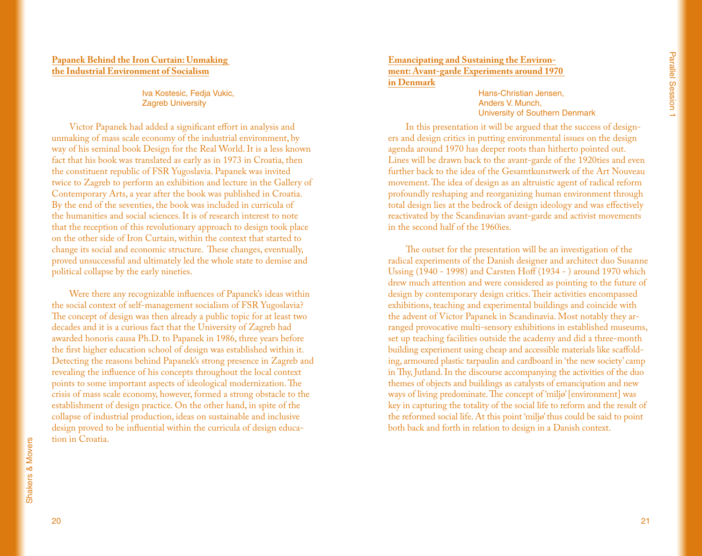#### **Papanek Behind the Iron Curtain: Unmaking the Industrial Environment of Socialism**

Iva Kostesic, Fedja Vukic, Zagreb University

Victor Papanek had added a significant effort in analysis and unmaking of mass scale economy of the industrial environment, by way of his seminal book Design for the Real World. It is a less known fact that his book was translated as early as in 1973 in Croatia, then the constituent republic of FSR Yugoslavia. Papanek was invited twice to Zagreb to perform an exhibition and lecture in the Gallery of Contemporary Arts, a year after the book was published in Croatia. By the end of the seventies, the book was included in curricula of the humanities and social sciences. It is of research interest to note that the reception of this revolutionary approach to design took place on the other side of Iron Curtain, within the context that started to change its social and economic structure. These changes, eventually, proved unsuccessful and ultimately led the whole state to demise and political collapse by the early nineties.

Were there any recognizable influences of Papanek's ideas within the social context of self-management socialism of FSR Yugoslavia? The concept of design was then already a public topic for at least two decades and it is a curious fact that the University of Zagreb had awarded honoris causa Ph.D. to Papanek in 1986, three years before the first higher education school of design was established within it. Detecting the reasons behind Papanek's strong presence in Zagreb and revealing the influence of his concepts throughout the local context points to some important aspects of ideological modernization. The crisis of mass scale economy, however, formed a strong obstacle to the establishment of design practice. On the other hand, in spite of the collapse of industrial production, ideas on sustainable and inclusive design proved to be influential within the curricula of design education in Croatia.

#### **Emancipating and Sustaining the Environment: Avant-garde Experiments around 1970 in Denmark**

Hans-Christian Jensen, Anders V. Munch, University of Southern Denmark

In this presentation it will be argued that the success of designers and design critics in putting environmental issues on the design agenda around 1970 has deeper roots than hitherto pointed out. Lines will be drawn back to the avant-garde of the 1920ties and even further back to the idea of the Gesamtkunstwerk of the Art Nouveau movement. The idea of design as an altruistic agent of radical reform profoundly reshaping and reorganizing human environment through total design lies at the bedrock of design ideology and was effectively reactivated by the Scandinavian avant-garde and activist movements in the second half of the 1960ies.

The outset for the presentation will be an investigation of the radical experiments of the Danish designer and architect duo Susanne Ussing (1940 - 1998) and Carsten Hoff (1934 - ) around 1970 which drew much attention and were considered as pointing to the future of design by contemporary design critics. Their activities encompassed exhibitions, teaching and experimental buildings and coincide with the advent of Victor Papanek in Scandinavia. Most notably they arranged provocative multi-sensory exhibitions in established museums, set up teaching facilities outside the academy and did a three-month building experiment using cheap and accessible materials like scaffolding, armoured plastic tarpaulin and cardboard in 'the new society' camp in Thy, Jutland. In the discourse accompanying the activities of the duo themes of objects and buildings as catalysts of emancipation and new ways of living predominate. The concept of 'miljø' [environment] was key in capturing the totality of the social life to reform and the result of the reformed social life. At this point 'miljø' thus could be said to point both back and forth in relation to design in a Danish context.

20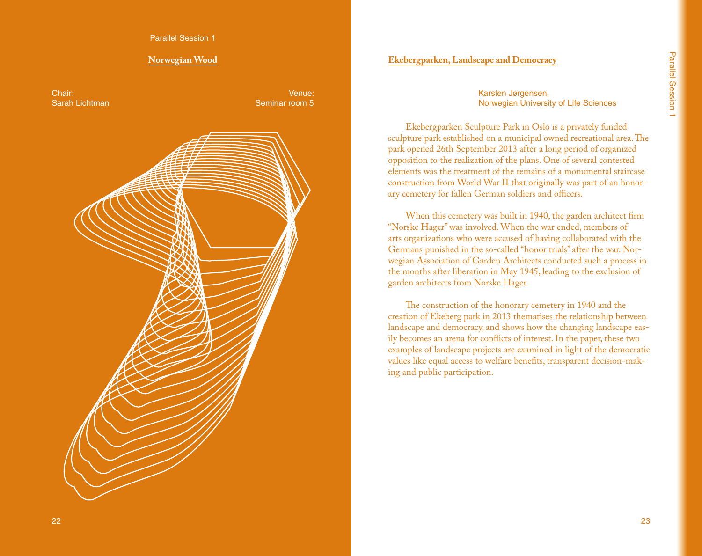Parallel Session 1

#### **Norwegian Wood**

Chair: Sarah Lichtman

Venue: Seminar room 5

# **Ekebergparken, Landscape and Democracy**

Karsten Jørgensen, Norwegian University of Life Sciences

Ekebergparken Sculpture Park in Oslo is a privately funded sculpture park established on a municipal owned recreational area. The park opened 26th September 2013 after a long period of organized opposition to the realization of the plans. One of several contested elements was the treatment of the remains of a monumental staircase construction from World War II that originally was part of an honorary cemetery for fallen German soldiers and officers.

When this cemetery was built in 1940, the garden architect firm "Norske Hager" was involved. When the war ended, members of arts organizations who were accused of having collaborated with the Germans punished in the so-called "honor trials" after the war. Norwegian Association of Garden Architects conducted such a process in the months after liberation in May 1945, leading to the exclusion of garden architects from Norske Hager.

The construction of the honorary cemetery in 1940 and the creation of Ekeberg park in 2013 thematises the relationship between landscape and democracy, and shows how the changing landscape easily becomes an arena for conflicts of interest. In the paper, these two examples of landscape projects are examined in light of the democratic values like equal access to welfare benefits, transparent decision-making and public participation.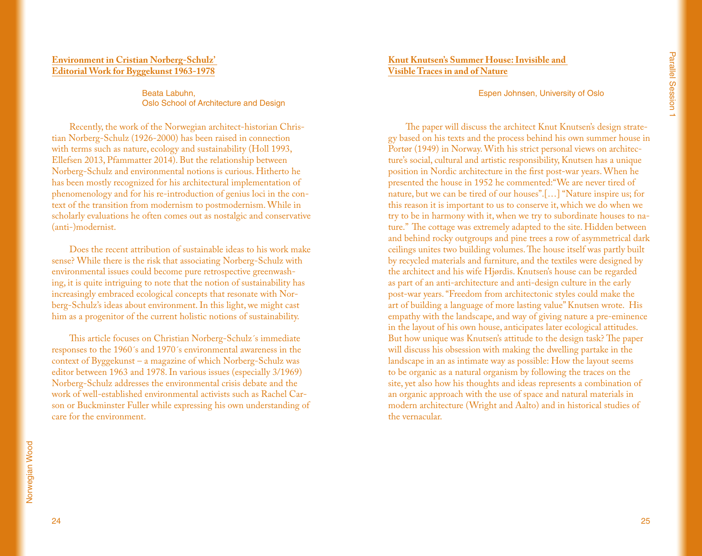## **Environment in Cristian Norberg-Schulz' Editorial Work for Byggekunst 1963-1978**

Beata Labuhn, Oslo School of Architecture and Design

Recently, the work of the Norwegian architect-historian Christian Norberg-Schulz (1926-2000) has been raised in connection with terms such as nature, ecology and sustainability (Holl 1993, Ellefsen 2013, Pfammatter 2014). But the relationship between Norberg-Schulz and environmental notions is curious. Hitherto he has been mostly recognized for his architectural implementation of phenomenology and for his re-introduction of genius loci in the context of the transition from modernism to postmodernism. While in scholarly evaluations he often comes out as nostalgic and conservative (anti-)modernist.

Does the recent attribution of sustainable ideas to his work make sense? While there is the risk that associating Norberg-Schulz with environmental issues could become pure retrospective greenwashing, it is quite intriguing to note that the notion of sustainability has increasingly embraced ecological concepts that resonate with Norberg-Schulz's ideas about environment. In this light, we might cast him as a progenitor of the current holistic notions of sustainability.

This article focuses on Christian Norberg-Schulz´s immediate responses to the 1960´s and 1970´s environmental awareness in the context of Byggekunst – a magazine of which Norberg-Schulz was editor between 1963 and 1978. In various issues (especially 3/1969) Norberg-Schulz addresses the environmental crisis debate and the work of well-established environmental activists such as Rachel Carson or Buckminster Fuller while expressing his own understanding of care for the environment.

Espen Johnsen, University of Oslo

The paper will discuss the architect Knut Knutsen's design strategy based on his texts and the process behind his own summer house in Portør (1949) in Norway. With his strict personal views on architecture's social, cultural and artistic responsibility, Knutsen has a unique position in Nordic architecture in the first post-war years. When he presented the house in 1952 he commented:"We are never tired of nature, but we can be tired of our houses".[…] "Nature inspire us; for this reason it is important to us to conserve it, which we do when we try to be in harmony with it, when we try to subordinate houses to nature." The cottage was extremely adapted to the site. Hidden between and behind rocky outgroups and pine trees a row of asymmetrical dark ceilings unites two building volumes. The house itself was partly built by recycled materials and furniture, and the textiles were designed by the architect and his wife Hjørdis. Knutsen's house can be regarded as part of an anti-architecture and anti-design culture in the early post-war years. "Freedom from architectonic styles could make the art of building a language of more lasting value" Knutsen wrote. His empathy with the landscape, and way of giving nature a pre-eminence in the layout of his own house, anticipates later ecological attitudes. But how unique was Knutsen's attitude to the design task? The paper will discuss his obsession with making the dwelling partake in the landscape in an as intimate way as possible: How the layout seems to be organic as a natural organism by following the traces on the site, yet also how his thoughts and ideas represents a combination of an organic approach with the use of space and natural materials in modern architecture (Wright and Aalto) and in historical studies of the vernacular.

24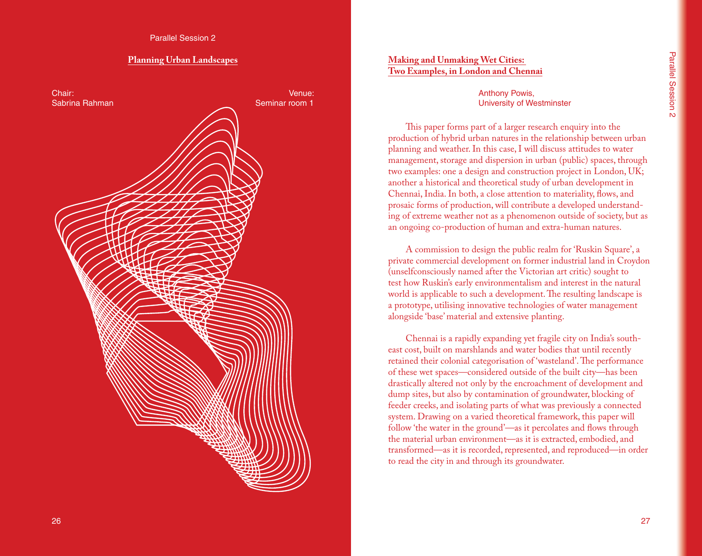#### **Planning Urban Landscapes**



#### **Making and Unmaking Wet Cities: Two Examples, in London and Chennai**

#### Anthony Powis, University of Westminster

This paper forms part of a larger research enquiry into the production of hybrid urban natures in the relationship between urban planning and weather. In this case, I will discuss attitudes to water management, storage and dispersion in urban (public) spaces, through two examples: one a design and construction project in London, UK; another a historical and theoretical study of urban development in Chennai, India. In both, a close attention to materiality, flows, and prosaic forms of production, will contribute a developed understanding of extreme weather not as a phenomenon outside of society, but as an ongoing co-production of human and extra-human natures.

A commission to design the public realm for 'Ruskin Square', a private commercial development on former industrial land in Croydon (unselfconsciously named after the Victorian art critic) sought to test how Ruskin's early environmentalism and interest in the natural world is applicable to such a development. The resulting landscape is a prototype, utilising innovative technologies of water management alongside 'base' material and extensive planting.

Chennai is a rapidly expanding yet fragile city on India's southeast cost, built on marshlands and water bodies that until recently retained their colonial categorisation of 'wasteland'. The performance of these wet spaces—considered outside of the built city—has been drastically altered not only by the encroachment of development and dump sites, but also by contamination of groundwater, blocking of feeder creeks, and isolating parts of what was previously a connected system. Drawing on a varied theoretical framework, this paper will follow 'the water in the ground'—as it percolates and flows through the material urban environment—as it is extracted, embodied, and transformed—as it is recorded, represented, and reproduced—in order to read the city in and through its groundwater.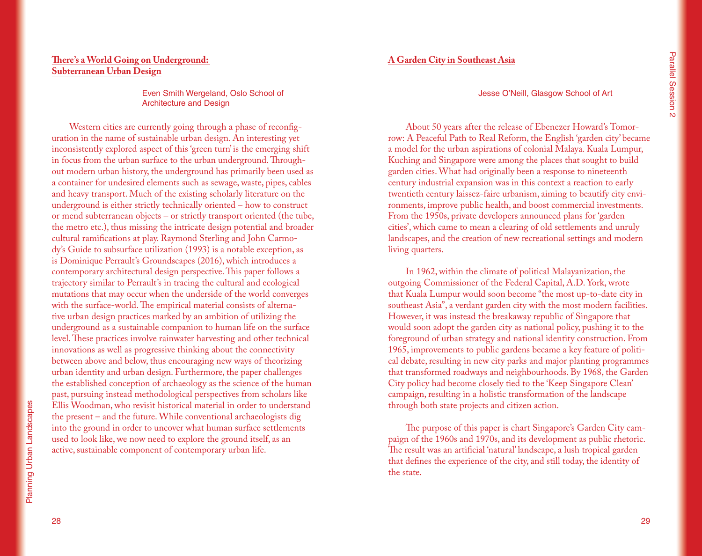# **There's a World Going on Underground: Subterranean Urban Design**

Even Smith Wergeland, Oslo School of Architecture and Design

Western cities are currently going through a phase of reconfiguration in the name of sustainable urban design. An interesting yet inconsistently explored aspect of this 'green turn' is the emerging shift in focus from the urban surface to the urban underground. Throughout modern urban history, the underground has primarily been used as a container for undesired elements such as sewage, waste, pipes, cables and heavy transport. Much of the existing scholarly literature on the underground is either strictly technically oriented – how to construct or mend subterranean objects – or strictly transport oriented (the tube, the metro etc.), thus missing the intricate design potential and broader cultural ramifications at play. Raymond Sterling and John Carmody's Guide to subsurface utilization (1993) is a notable exception, as is Dominique Perrault's Groundscapes (2016), which introduces a contemporary architectural design perspective. This paper follows a trajectory similar to Perrault's in tracing the cultural and ecological mutations that may occur when the underside of the world converges with the surface-world. The empirical material consists of alternative urban design practices marked by an ambition of utilizing the underground as a sustainable companion to human life on the surface level. These practices involve rainwater harvesting and other technical innovations as well as progressive thinking about the connectivity between above and below, thus encouraging new ways of theorizing urban identity and urban design. Furthermore, the paper challenges the established conception of archaeology as the science of the human past, pursuing instead methodological perspectives from scholars like Ellis Woodman, who revisit historical material in order to understand the present – and the future. While conventional archaeologists dig into the ground in order to uncover what human surface settlements used to look like, we now need to explore the ground itself, as an active, sustainable component of contemporary urban life.

## **A Garden City in Southeast Asia**

#### Jesse O'Neill, Glasgow School of Art

About 50 years after the release of Ebenezer Howard's Tomorrow: A Peaceful Path to Real Reform, the English 'garden city' became a model for the urban aspirations of colonial Malaya. Kuala Lumpur, Kuching and Singapore were among the places that sought to build garden cities. What had originally been a response to nineteenth century industrial expansion was in this context a reaction to early twentieth century laissez-faire urbanism, aiming to beautify city environments, improve public health, and boost commercial investments. From the 1950s, private developers announced plans for 'garden cities', which came to mean a clearing of old settlements and unruly landscapes, and the creation of new recreational settings and modern living quarters.

In 1962, within the climate of political Malayanization, the outgoing Commissioner of the Federal Capital, A.D. York, wrote that Kuala Lumpur would soon become "the most up-to-date city in southeast Asia", a verdant garden city with the most modern facilities. However, it was instead the breakaway republic of Singapore that would soon adopt the garden city as national policy, pushing it to the foreground of urban strategy and national identity construction. From 1965, improvements to public gardens became a key feature of political debate, resulting in new city parks and major planting programmes that transformed roadways and neighbourhoods. By 1968, the Garden City policy had become closely tied to the 'Keep Singapore Clean' campaign, resulting in a holistic transformation of the landscape through both state projects and citizen action.

The purpose of this paper is chart Singapore's Garden City campaign of the 1960s and 1970s, and its development as public rhetoric. The result was an artificial 'natural' landscape, a lush tropical garden that defines the experience of the city, and still today, the identity of the state.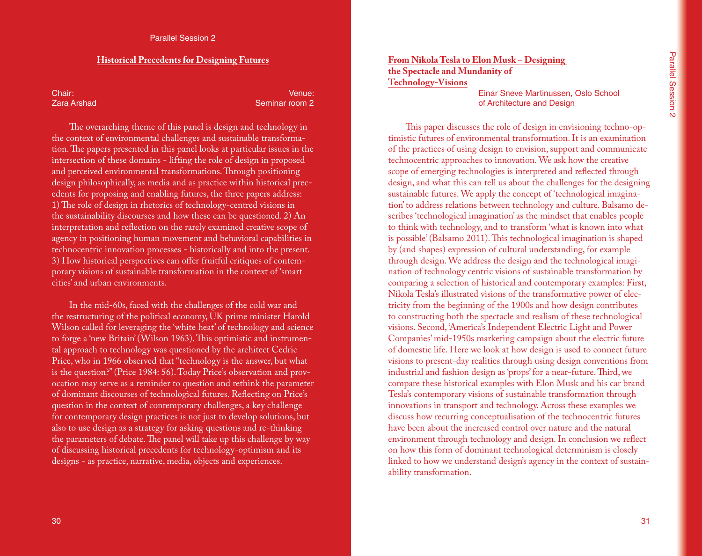#### **Historical Precedents for Designing Futures**

Chair: Zara Arshad

Venue: Seminar room 2

The overarching theme of this panel is design and technology in the context of environmental challenges and sustainable transformation. The papers presented in this panel looks at particular issues in the intersection of these domains - lifting the role of design in proposed and perceived environmental transformations. Through positioning design philosophically, as media and as practice within historical precedents for proposing and enabling futures, the three papers address: 1) The role of design in rhetorics of technology-centred visions in the sustainability discourses and how these can be questioned. 2) An interpretation and reflection on the rarely examined creative scope of agency in positioning human movement and behavioral capabilities in technocentric innovation processes - historically and into the present. 3) How historical perspectives can offer fruitful critiques of contemporary visions of sustainable transformation in the context of 'smart cities' and urban environments.

In the mid-60s, faced with the challenges of the cold war and the restructuring of the political economy, UK prime minister Harold Wilson called for leveraging the 'white heat' of technology and science to forge a 'new Britain' (Wilson 1963). This optimistic and instrumental approach to technology was questioned by the architect Cedric Price, who in 1966 observed that "technology is the answer, but what is the question?" (Price 1984: 56). Today Price's observation and provocation may serve as a reminder to question and rethink the parameter of dominant discourses of technological futures. Reflecting on Price's question in the context of contemporary challenges, a key challenge for contemporary design practices is not just to develop solutions, but also to use design as a strategy for asking questions and re-thinking the parameters of debate. The panel will take up this challenge by way of discussing historical precedents for technology-optimism and its designs - as practice, narrative, media, objects and experiences.

**From Nikola Tesla to Elon Musk – Designing the Spectacle and Mundanity of Technology-Visions**

> Einar Sneve Martinussen, Oslo School of Architecture and Design

This paper discusses the role of design in envisioning techno-optimistic futures of environmental transformation. It is an examination of the practices of using design to envision, support and communicate technocentric approaches to innovation. We ask how the creative scope of emerging technologies is interpreted and reflected through design, and what this can tell us about the challenges for the designing sustainable futures. We apply the concept of 'technological imagination' to address relations between technology and culture. Balsamo describes 'technological imagination' as the mindset that enables people to think with technology, and to transform 'what is known into what is possible' (Balsamo 2011). This technological imagination is shaped by (and shapes) expression of cultural understanding, for example through design. We address the design and the technological imagination of technology centric visions of sustainable transformation by comparing a selection of historical and contemporary examples: First, Nikola Tesla's illustrated visions of the transformative power of electricity from the beginning of the 1900s and how design contributes to constructing both the spectacle and realism of these technological visions. Second, 'America's Independent Electric Light and Power Companies' mid-1950s marketing campaign about the electric future of domestic life. Here we look at how design is used to connect future visions to present-day realities through using design conventions from industrial and fashion design as 'props' for a near-future. Third, we compare these historical examples with Elon Musk and his car brand Tesla's contemporary visions of sustainable transformation through innovations in transport and technology. Across these examples we discuss how recurring conceptualisation of the technocentric futures have been about the increased control over nature and the natural environment through technology and design. In conclusion we reflect on how this form of dominant technological determinism is closely linked to how we understand design's agency in the context of sustainability transformation.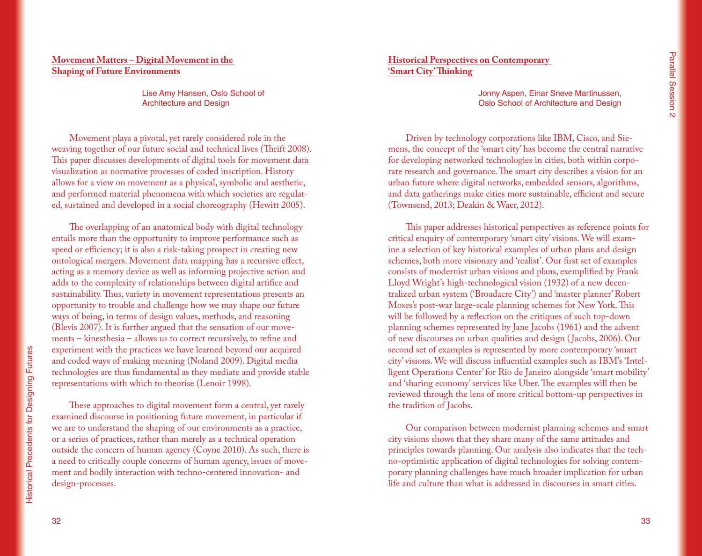# **Movement Matters – Digital Movement in the Shaping of Future Environments**

Lise Amy Hansen, Oslo School of Architecture and Design

Movement plays a pivotal, yet rarely considered role in the weaving together of our future social and technical lives (Thrift 2008). This paper discusses developments of digital tools for movement data visualization as normative processes of coded inscription. History allows for a view on movement as a physical, symbolic and aesthetic, and performed material phenomena with which societies are regulated, sustained and developed in a social choreography (Hewitt 2005).

The overlapping of an anatomical body with digital technology entails more than the opportunity to improve performance such as speed or efficiency; it is also a risk-taking prospect in creating new ontological mergers. Movement data mapping has a recursive effect, acting as a memory device as well as informing projective action and adds to the complexity of relationships between digital artifice and sustainability. Thus, variety in movement representations presents an opportunity to trouble and challenge how we may shape our future ways of being, in terms of design values, methods, and reasoning (Blevis 2007). It is further argued that the sensation of our movements – kinesthesia – allows us to correct recursively, to refine and experiment with the practices we have learned beyond our acquired and coded ways of making meaning (Noland 2009). Digital media technologies are thus fundamental as they mediate and provide stable representations with which to theorise (Lenoir 1998).

These approaches to digital movement form a central, yet rarely examined discourse in positioning future movement, in particular if we are to understand the shaping of our environments as a practice, or a series of practices, rather than merely as a technical operation outside the concern of human agency (Coyne 2010). As such, there is a need to critically couple concerns of human agency, issues of movement and bodily interaction with techno-centered innovation- and design-processes.

**Historical Perspectives on Contemporary 'Smart City' Thinking**

> Jonny Aspen, Einar Sneve Martinussen, Oslo School of Architecture and Design

Driven by technology corporations like IBM, Cisco, and Siemens, the concept of the 'smart city' has become the central narrative for developing networked technologies in cities, both within corporate research and governance. The smart city describes a vision for an urban future where digital networks, embedded sensors, algorithms, and data gatherings make cities more sustainable, efficient and secure (Townsend, 2013; Deakin & Waer, 2012).

This paper addresses historical perspectives as reference points for critical enquiry of contemporary 'smart city' visions. We will examine a selection of key historical examples of urban plans and design schemes, both more visionary and 'realist'. Our first set of examples consists of modernist urban visions and plans, exemplified by Frank Lloyd Wright's high-technological vision (1932) of a new decentralized urban system ('Broadacre City') and 'master planner' Robert Moses's post-war large-scale planning schemes for New York. This will be followed by a reflection on the critiques of such top-down planning schemes represented by Jane Jacobs (1961) and the advent of new discourses on urban qualities and design ( Jacobs, 2006). Our second set of examples is represented by more contemporary 'smart city' visions. We will discuss influential examples such as IBM's 'Intelligent Operations Center' for Rio de Janeiro alongside 'smart mobility' and 'sharing economy' services like Uber. The examples will then be reviewed through the lens of more critical bottom-up perspectives in the tradition of Jacobs.

Our comparison between modernist planning schemes and smart city visions shows that they share many of the same attitudes and principles towards planning. Our analysis also indicates that the techno-optimistic application of digital technologies for solving contemporary planning challenges have much broader implication for urban life and culture than what is addressed in discourses in smart cities.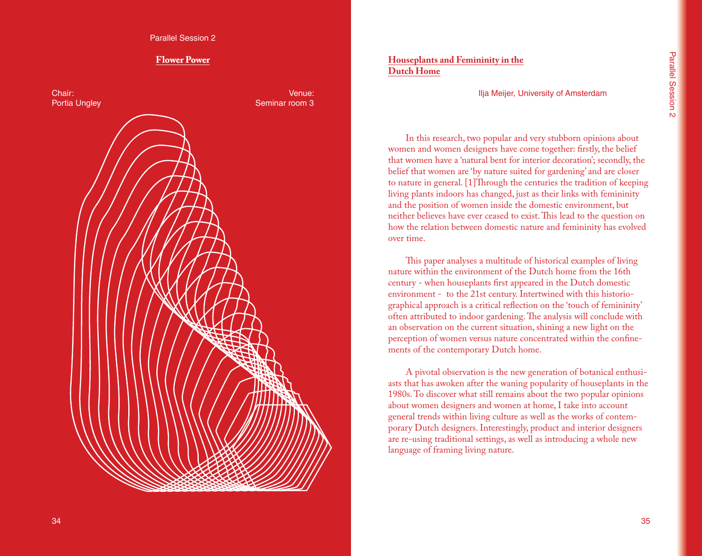Parallel Session 2

# **Flower Power**

Chair: Portia Ungley

Venue: Seminar room 3

# **Houseplants and Femininity in the Dutch Home**

Ilja Meijer, University of Amsterdam

In this research, two popular and very stubborn opinions about women and women designers have come together: firstly, the belief that women have a 'natural bent for interior decoration'; secondly, the belief that women are 'by nature suited for gardening' and are closer to nature in general. [1]Through the centuries the tradition of keeping living plants indoors has changed, just as their links with femininity and the position of women inside the domestic environment, but neither believes have ever ceased to exist. This lead to the question on how the relation between domestic nature and femininity has evolved over time.

This paper analyses a multitude of historical examples of living nature within the environment of the Dutch home from the 16th century - when houseplants first appeared in the Dutch domestic environment - to the 21st century. Intertwined with this historiographical approach is a critical reflection on the 'touch of femininity' often attributed to indoor gardening. The analysis will conclude with an observation on the current situation, shining a new light on the perception of women versus nature concentrated within the confinements of the contemporary Dutch home.

A pivotal observation is the new generation of botanical enthusiasts that has awoken after the waning popularity of houseplants in the 1980s. To discover what still remains about the two popular opinions about women designers and women at home, I take into account general trends within living culture as well as the works of contemporary Dutch designers. Interestingly, product and interior designers are re-using traditional settings, as well as introducing a whole new language of framing living nature.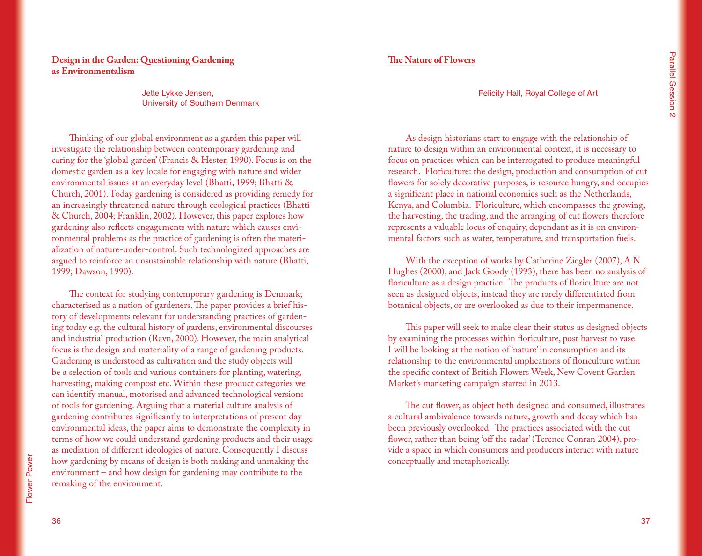# **Design in the Garden: Questioning Gardening as Environmentalism**

Jette Lykke Jensen, University of Southern Denmark

Thinking of our global environment as a garden this paper will investigate the relationship between contemporary gardening and caring for the 'global garden' (Francis & Hester, 1990). Focus is on the domestic garden as a key locale for engaging with nature and wider environmental issues at an everyday level (Bhatti, 1999; Bhatti & Church, 2001). Today gardening is considered as providing remedy for an increasingly threatened nature through ecological practices (Bhatti & Church, 2004; Franklin, 2002). However, this paper explores how gardening also reflects engagements with nature which causes environmental problems as the practice of gardening is often the materialization of nature-under-control. Such technologized approaches are argued to reinforce an unsustainable relationship with nature (Bhatti, 1999; Dawson, 1990).

The context for studying contemporary gardening is Denmark; characterised as a nation of gardeners. The paper provides a brief history of developments relevant for understanding practices of gardening today e.g. the cultural history of gardens, environmental discourses and industrial production (Ravn, 2000). However, the main analytical focus is the design and materiality of a range of gardening products. Gardening is understood as cultivation and the study objects will be a selection of tools and various containers for planting, watering, harvesting, making compost etc. Within these product categories we can identify manual, motorised and advanced technological versions of tools for gardening. Arguing that a material culture analysis of gardening contributes significantly to interpretations of present day environmental ideas, the paper aims to demonstrate the complexity in terms of how we could understand gardening products and their usage as mediation of different ideologies of nature. Consequently I discuss how gardening by means of design is both making and unmaking the environment – and how design for gardening may contribute to the remaking of the environment.

## **The Nature of Flowers**

#### Felicity Hall, Royal College of Art

As design historians start to engage with the relationship of nature to design within an environmental context, it is necessary to focus on practices which can be interrogated to produce meaningful research. Floriculture: the design, production and consumption of cut flowers for solely decorative purposes, is resource hungry, and occupies a significant place in national economies such as the Netherlands, Kenya, and Columbia. Floriculture, which encompasses the growing, the harvesting, the trading, and the arranging of cut flowers therefore represents a valuable locus of enquiry, dependant as it is on environmental factors such as water, temperature, and transportation fuels.

With the exception of works by Catherine Ziegler (2007), A N Hughes (2000), and Jack Goody (1993), there has been no analysis of floriculture as a design practice. The products of floriculture are not seen as designed objects, instead they are rarely differentiated from botanical objects, or are overlooked as due to their impermanence.

This paper will seek to make clear their status as designed objects by examining the processes within floriculture, post harvest to vase. I will be looking at the notion of 'nature' in consumption and its relationship to the environmental implications of floriculture within the specific context of British Flowers Week, New Covent Garden Market's marketing campaign started in 2013.

The cut flower, as object both designed and consumed, illustrates a cultural ambivalence towards nature, growth and decay which has been previously overlooked. The practices associated with the cut flower, rather than being 'off the radar' (Terence Conran 2004), provide a space in which consumers and producers interact with nature conceptually and metaphorically.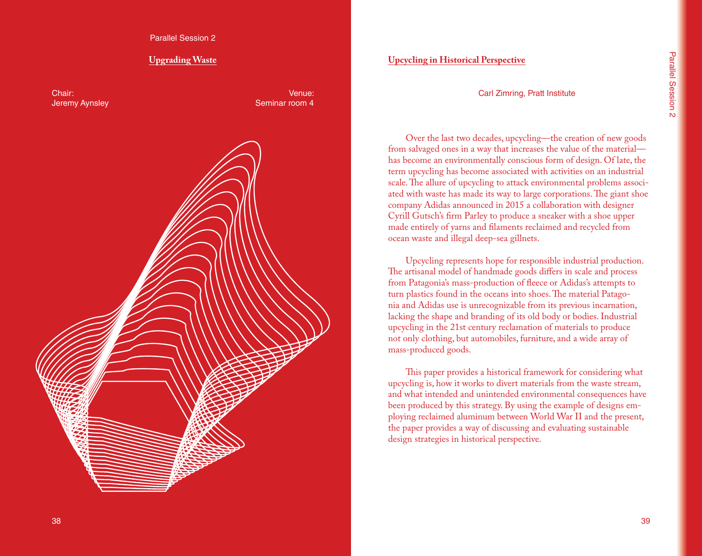Parallel Session 2

# **Upgrading Waste**

Chair: Jeremy Aynsley

Venue: Seminar room 4



## **Upcycling in Historical Perspective**

Carl Zimring, Pratt Institute

Over the last two decades, upcycling—the creation of new goods from salvaged ones in a way that increases the value of the material has become an environmentally conscious form of design. Of late, the term upcycling has become associated with activities on an industrial scale. The allure of upcycling to attack environmental problems associated with waste has made its way to large corporations. The giant shoe company Adidas announced in 2015 a collaboration with designer Cyrill Gutsch's firm Parley to produce a sneaker with a shoe upper made entirely of yarns and filaments reclaimed and recycled from ocean waste and illegal deep-sea gillnets.

Upcycling represents hope for responsible industrial production. The artisanal model of handmade goods differs in scale and process from Patagonia's mass-production of fleece or Adidas's attempts to turn plastics found in the oceans into shoes. The material Patagonia and Adidas use is unrecognizable from its previous incarnation, lacking the shape and branding of its old body or bodies. Industrial upcycling in the 21st century reclamation of materials to produce not only clothing, but automobiles, furniture, and a wide array of mass-produced goods.

This paper provides a historical framework for considering what upcycling is, how it works to divert materials from the waste stream, and what intended and unintended environmental consequences have been produced by this strategy. By using the example of designs employing reclaimed aluminum between World War II and the present, the paper provides a way of discussing and evaluating sustainable design strategies in historical perspective.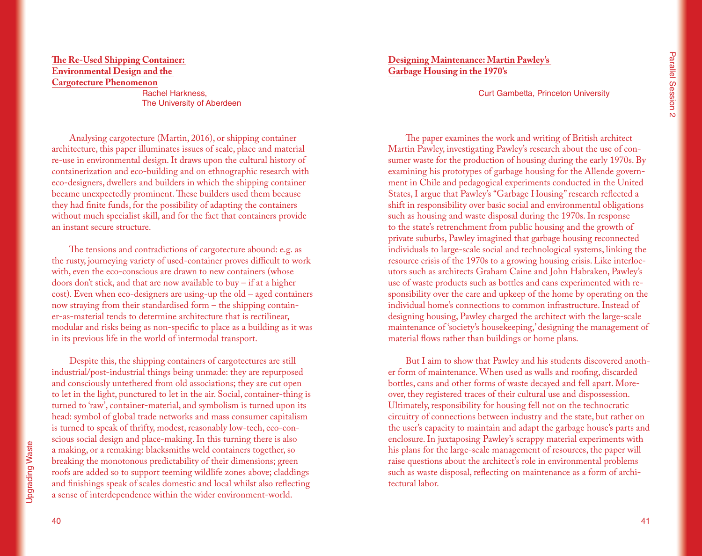# **The Re-Used Shipping Container: Environmental Design and the Cargotecture Phenomenon**

Rachel Harkness, The University of Aberdeen

Analysing cargotecture (Martin, 2016), or shipping container architecture, this paper illuminates issues of scale, place and material re-use in environmental design. It draws upon the cultural history of containerization and eco-building and on ethnographic research with eco-designers, dwellers and builders in which the shipping container became unexpectedly prominent. These builders used them because they had finite funds, for the possibility of adapting the containers without much specialist skill, and for the fact that containers provide an instant secure structure.

The tensions and contradictions of cargotecture abound: e.g. as the rusty, journeying variety of used-container proves difficult to work with, even the eco-conscious are drawn to new containers (whose doors don't stick, and that are now available to buy – if at a higher cost). Even when eco-designers are using-up the old – aged containers now straying from their standardised form – the shipping container-as-material tends to determine architecture that is rectilinear, modular and risks being as non-specific to place as a building as it was in its previous life in the world of intermodal transport.

Despite this, the shipping containers of cargotectures are still industrial/post-industrial things being unmade: they are repurposed and consciously untethered from old associations; they are cut open to let in the light, punctured to let in the air. Social, container-thing is turned to 'raw', container-material, and symbolism is turned upon its head: symbol of global trade networks and mass consumer capitalism is turned to speak of thrifty, modest, reasonably low-tech, eco-conscious social design and place-making. In this turning there is also a making, or a remaking: blacksmiths weld containers together, so breaking the monotonous predictability of their dimensions; green roofs are added so to support teeming wildlife zones above; claddings and finishings speak of scales domestic and local whilst also reflecting a sense of interdependence within the wider environment-world.

**Designing Maintenance: Martin Pawley's Garbage Housing in the 1970's**

Curt Gambetta, Princeton University

The paper examines the work and writing of British architect Martin Pawley, investigating Pawley's research about the use of consumer waste for the production of housing during the early 1970s. By examining his prototypes of garbage housing for the Allende government in Chile and pedagogical experiments conducted in the United States, I argue that Pawley's "Garbage Housing" research reflected a shift in responsibility over basic social and environmental obligations such as housing and waste disposal during the 1970s. In response to the state's retrenchment from public housing and the growth of private suburbs, Pawley imagined that garbage housing reconnected individuals to large-scale social and technological systems, linking the resource crisis of the 1970s to a growing housing crisis. Like interlocutors such as architects Graham Caine and John Habraken, Pawley's use of waste products such as bottles and cans experimented with responsibility over the care and upkeep of the home by operating on the individual home's connections to common infrastructure. Instead of designing housing, Pawley charged the architect with the large-scale maintenance of 'society's housekeeping,' designing the management of material flows rather than buildings or home plans.

But I aim to show that Pawley and his students discovered another form of maintenance. When used as walls and roofing, discarded bottles, cans and other forms of waste decayed and fell apart. Moreover, they registered traces of their cultural use and dispossession. Ultimately, responsibility for housing fell not on the technocratic circuitry of connections between industry and the state, but rather on the user's capacity to maintain and adapt the garbage house's parts and enclosure. In juxtaposing Pawley's scrappy material experiments with his plans for the large-scale management of resources, the paper will raise questions about the architect's role in environmental problems such as waste disposal, reflecting on maintenance as a form of architectural labor.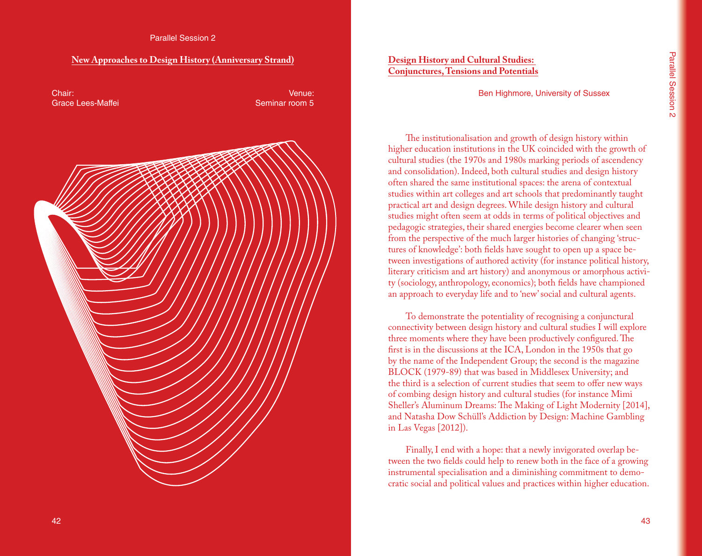#### **New Approaches to Design History (Anniversary Strand)**



# **Design History and Cultural Studies: Conjunctures, Tensions and Potentials**

Ben Highmore, University of Sussex

The institutionalisation and growth of design history within higher education institutions in the UK coincided with the growth of cultural studies (the 1970s and 1980s marking periods of ascendency and consolidation). Indeed, both cultural studies and design history often shared the same institutional spaces: the arena of contextual studies within art colleges and art schools that predominantly taught practical art and design degrees. While design history and cultural studies might often seem at odds in terms of political objectives and pedagogic strategies, their shared energies become clearer when seen from the perspective of the much larger histories of changing 'structures of knowledge': both fields have sought to open up a space between investigations of authored activity (for instance political history, literary criticism and art history) and anonymous or amorphous activity (sociology, anthropology, economics); both fields have championed an approach to everyday life and to 'new' social and cultural agents.

To demonstrate the potentiality of recognising a conjunctural connectivity between design history and cultural studies I will explore three moments where they have been productively configured. The first is in the discussions at the ICA, London in the 1950s that go by the name of the Independent Group; the second is the magazine BLOCK (1979-89) that was based in Middlesex University; and the third is a selection of current studies that seem to offer new ways of combing design history and cultural studies (for instance Mimi Sheller's Aluminum Dreams: The Making of Light Modernity [2014], and Natasha Dow Schüll's Addiction by Design: Machine Gambling in Las Vegas [2012]).

Finally, I end with a hope: that a newly invigorated overlap between the two fields could help to renew both in the face of a growing instrumental specialisation and a diminishing commitment to democratic social and political values and practices within higher education.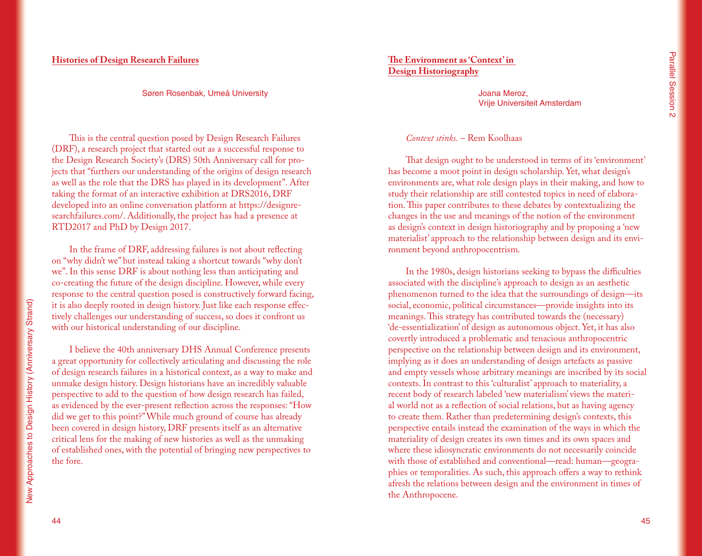## **Histories of Design Research Failures**

#### Søren Rosenbak, Umeå University

This is the central question posed by Design Research Failures (DRF), a research project that started out as a successful response to the Design Research Society's (DRS) 50th Anniversary call for projects that "furthers our understanding of the origins of design research as well as the role that the DRS has played in its development". After taking the format of an interactive exhibition at DRS2016, DRF developed into an online conversation platform at https://designresearchfailures.com/. Additionally, the project has had a presence at RTD2017 and PhD by Design 2017.

In the frame of DRF, addressing failures is not about reflecting on "why didn't we" but instead taking a shortcut towards "why don't we". In this sense DRF is about nothing less than anticipating and co-creating the future of the design discipline. However, while every response to the central question posed is constructively forward facing, it is also deeply rooted in design history. Just like each response effectively challenges our understanding of success, so does it confront us with our historical understanding of our discipline.

I believe the 40th anniversary DHS Annual Conference presents a great opportunity for collectively articulating and discussing the role of design research failures in a historical context, as a way to make and unmake design history. Design historians have an incredibly valuable perspective to add to the question of how design research has failed, as evidenced by the ever-present reflection across the responses: "How did we get to this point?" While much ground of course has already been covered in design history, DRF presents itself as an alternative critical lens for the making of new histories as well as the unmaking of established ones, with the potential of bringing new perspectives to the fore.

#### **The Environment as 'Context' in Design Historiography**

Joana Meroz, Vrije Universiteit Amsterdam

#### *Context stinks.* – Rem Koolhaas

That design ought to be understood in terms of its 'environment' has become a moot point in design scholarship. Yet, what design's environments are, what role design plays in their making, and how to study their relationship are still contested topics in need of elaboration. This paper contributes to these debates by contextualizing the changes in the use and meanings of the notion of the environment as design's context in design historiography and by proposing a 'new materialist' approach to the relationship between design and its environment beyond anthropocentrism.

In the 1980s, design historians seeking to bypass the difficulties associated with the discipline's approach to design as an aesthetic phenomenon turned to the idea that the surroundings of design—its social, economic, political circumstances—provide insights into its meanings. This strategy has contributed towards the (necessary) 'de-essentialization' of design as autonomous object. Yet, it has also covertly introduced a problematic and tenacious anthropocentric perspective on the relationship between design and its environment, implying as it does an understanding of design artefacts as passive and empty vessels whose arbitrary meanings are inscribed by its social contexts. In contrast to this 'culturalist' approach to materiality, a recent body of research labeled 'new materialism' views the material world not as a reflection of social relations, but as having agency to create them. Rather than predetermining design's contexts, this perspective entails instead the examination of the ways in which the materiality of design creates its own times and its own spaces and where these idiosyncratic environments do not necessarily coincide with those of established and conventional—read: human—geographies or temporalities. As such, this approach offers a way to rethink afresh the relations between design and the environment in times of the Anthropocene.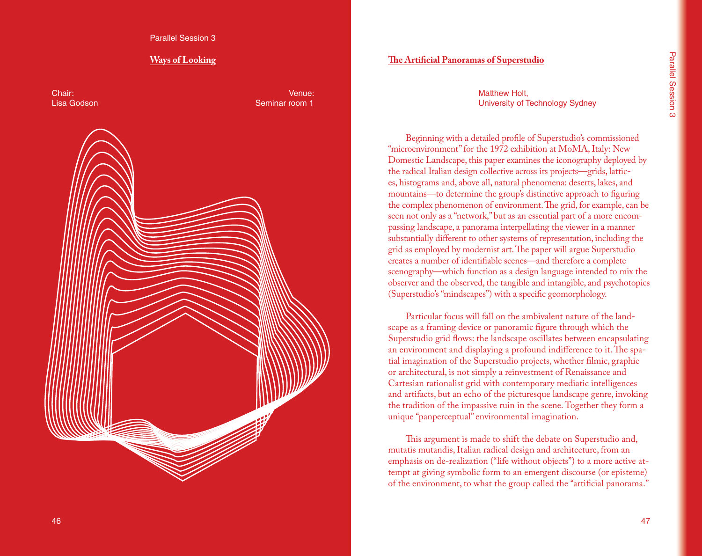Parallel Session 3

#### **Ways of Looking**

Chair: Lisa Godson

Venue: Seminar room 1



#### **The Artificial Panoramas of Superstudio**

Matthew Holt, University of Technology Sydney

Beginning with a detailed profile of Superstudio's commissioned "microenvironment" for the 1972 exhibition at MoMA, Italy: New Domestic Landscape, this paper examines the iconography deployed by the radical Italian design collective across its projects—grids, lattic es, histograms and, above all, natural phenomena: deserts, lakes, and mountains—to determine the group's distinctive approach to figuring the complex phenomenon of environment. The grid, for example, can be seen not only as a "network," but as an essential part of a more encom passing landscape, a panorama interpellating the viewer in a manner substantially different to other systems of representation, including the grid as employed by modernist art. The paper will argue Superstudio creates a number of identifiable scenes—and therefore a complete scenography—which function as a design language intended to mix the observer and the observed, the tangible and intangible, and psychotopics (Superstudio's "mindscapes") with a specific geomorphology.

Particular focus will fall on the ambivalent nature of the land scape as a framing device or panoramic figure through which the Superstudio grid flows: the landscape oscillates between encapsulating an environment and displaying a profound indifference to it. The spa tial imagination of the Superstudio projects, whether filmic, graphic or architectural, is not simply a reinvestment of Renaissance and Cartesian rationalist grid with contemporary mediatic intelligences and artifacts, but an echo of the picturesque landscape genre, invoking the tradition of the impassive ruin in the scene. Together they form a unique "panperceptual" environmental imagination.

This argument is made to shift the debate on Superstudio and, mutatis mutandis, Italian radical design and architecture, from an emphasis on de-realization ("life without objects") to a more active at tempt at giving symbolic form to an emergent discourse (or episteme) of the environment, to what the group called the "artificial panorama."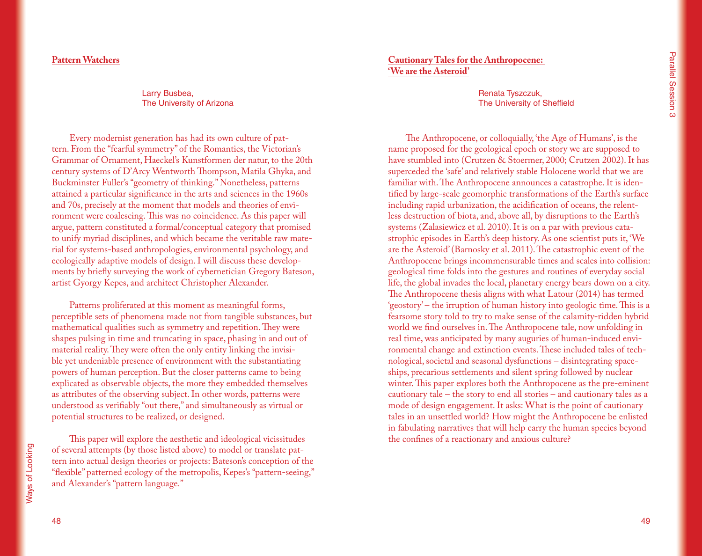## **Pattern Watchers**

Larry Busbea, The University of Arizona

Every modernist generation has had its own culture of pattern. From the "fearful symmetry" of the Romantics, the Victorian's Grammar of Ornament, Haeckel's Kunstformen der natur, to the 20th century systems of D'Arcy Wentworth Thompson, Matila Ghyka, and Buckminster Fuller's "geometry of thinking." Nonetheless, patterns attained a particular significance in the arts and sciences in the 1960s and 70s, precisely at the moment that models and theories of environment were coalescing. This was no coincidence. As this paper will argue, pattern constituted a formal/conceptual category that promised to unify myriad disciplines, and which became the veritable raw material for systems-based anthropologies, environmental psychology, and ecologically adaptive models of design. I will discuss these developments by briefly surveying the work of cybernetician Gregory Bateson, artist Gyorgy Kepes, and architect Christopher Alexander.

Patterns proliferated at this moment as meaningful forms, perceptible sets of phenomena made not from tangible substances, but mathematical qualities such as symmetry and repetition. They were shapes pulsing in time and truncating in space, phasing in and out of material reality. They were often the only entity linking the invisible yet undeniable presence of environment with the substantiating powers of human perception. But the closer patterns came to being explicated as observable objects, the more they embedded themselves as attributes of the observing subject. In other words, patterns were understood as verifiably "out there," and simultaneously as virtual or potential structures to be realized, or designed.

This paper will explore the aesthetic and ideological vicissitudes of several attempts (by those listed above) to model or translate pattern into actual design theories or projects: Bateson's conception of the "flexible" patterned ecology of the metropolis, Kepes's "pattern-seeing," and Alexander's "pattern language."

**Cautionary Tales for the Anthropocene: 'We are the Asteroid'**

> Renata Tyszczuk, The University of Sheffield

The Anthropocene, or colloquially, 'the Age of Humans', is the name proposed for the geological epoch or story we are supposed to have stumbled into (Crutzen & Stoermer, 2000; Crutzen 2002). It has superceded the 'safe' and relatively stable Holocene world that we are familiar with. The Anthropocene announces a catastrophe. It is identified by large-scale geomorphic transformations of the Earth's surface including rapid urbanization, the acidification of oceans, the relentless destruction of biota, and, above all, by disruptions to the Earth's systems (Zalasiewicz et al. 2010). It is on a par with previous catastrophic episodes in Earth's deep history. As one scientist puts it, 'We are the Asteroid' (Barnosky et al. 2011). The catastrophic event of the Anthropocene brings incommensurable times and scales into collision: geological time folds into the gestures and routines of everyday social life, the global invades the local, planetary energy bears down on a city. The Anthropocene thesis aligns with what Latour (2014) has termed 'geostory' – the irruption of human history into geologic time. This is a fearsome story told to try to make sense of the calamity-ridden hybrid world we find ourselves in. The Anthropocene tale, now unfolding in real time, was anticipated by many auguries of human-induced environmental change and extinction events. These included tales of technological, societal and seasonal dysfunctions – disintegrating spaceships, precarious settlements and silent spring followed by nuclear winter. This paper explores both the Anthropocene as the pre-eminent cautionary tale – the story to end all stories – and cautionary tales as a mode of design engagement. It asks: What is the point of cautionary tales in an unsettled world? How might the Anthropocene be enlisted in fabulating narratives that will help carry the human species beyond the confines of a reactionary and anxious culture?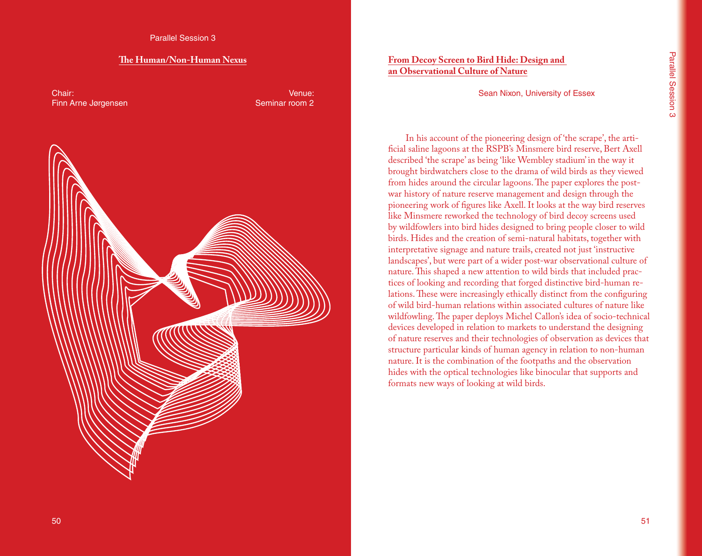#### **The Human/Non-Human Nexus**

Chair: Finn Arne Jørgensen

Venue: Seminar room 2



# **From Decoy Screen to Bird Hide: Design and an Observational Culture of Nature**

Sean Nixon, University of Essex

In his account of the pioneering design of 'the scrape', the artificial saline lagoons at the RSPB's Minsmere bird reserve, Bert Axell described 'the scrape' as being 'like Wembley stadium' in the way it brought birdwatchers close to the drama of wild birds as they viewed from hides around the circular lagoons. The paper explores the postwar history of nature reserve management and design through the pioneering work of figures like Axell. It looks at the way bird reserves like Minsmere reworked the technology of bird decoy screens used by wildfowlers into bird hides designed to bring people closer to wild birds. Hides and the creation of semi-natural habitats, together with interpretative signage and nature trails, created not just 'instructive landscapes', but were part of a wider post-war observational culture of nature. This shaped a new attention to wild birds that included practices of looking and recording that forged distinctive bird-human relations. These were increasingly ethically distinct from the configuring of wild bird-human relations within associated cultures of nature like wildfowling. The paper deploys Michel Callon's idea of socio-technical devices developed in relation to markets to understand the designing of nature reserves and their technologies of observation as devices that structure particular kinds of human agency in relation to non-human nature. It is the combination of the footpaths and the observation hides with the optical technologies like binocular that supports and formats new ways of looking at wild birds.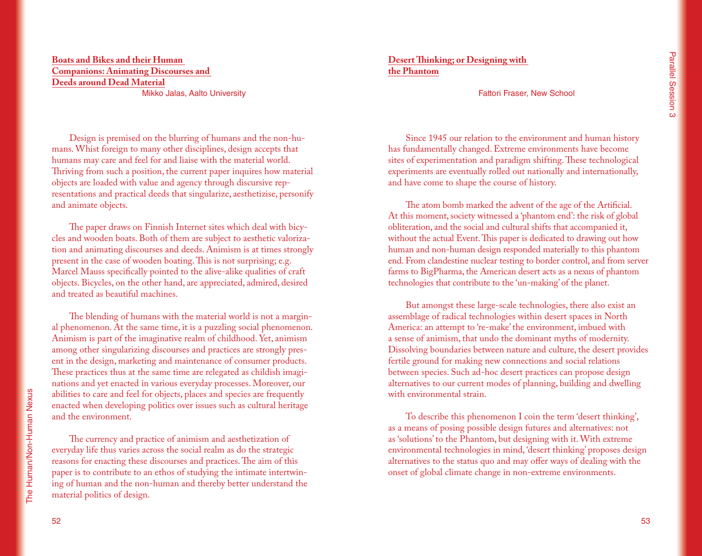# **Boats and Bikes and their Human Companions: Animating Discourses and Deeds around Dead Material**

Mikko Jalas, Aalto University

Design is premised on the blurring of humans and the non-humans. Whist foreign to many other disciplines, design accepts that humans may care and feel for and liaise with the material world. Thriving from such a position, the current paper inquires how material objects are loaded with value and agency through discursive representations and practical deeds that singularize, aesthetizise, personify and animate objects.

The paper draws on Finnish Internet sites which deal with bicycles and wooden boats. Both of them are subject to aesthetic valorization and animating discourses and deeds. Animism is at times strongly present in the case of wooden boating. This is not surprising; e.g. Marcel Mauss specifically pointed to the alive-alike qualities of craft objects. Bicycles, on the other hand, are appreciated, admired, desired and treated as beautiful machines.

The blending of humans with the material world is not a marginal phenomenon. At the same time, it is a puzzling social phenomenon. Animism is part of the imaginative realm of childhood. Yet, animism among other singularizing discourses and practices are strongly present in the design, marketing and maintenance of consumer products. These practices thus at the same time are relegated as childish imaginations and yet enacted in various everyday processes. Moreover, our abilities to care and feel for objects, places and species are frequently enacted when developing politics over issues such as cultural heritage and the environment.

The currency and practice of animism and aesthetization of everyday life thus varies across the social realm as do the strategic reasons for enacting these discourses and practices. The aim of this paper is to contribute to an ethos of studying the intimate intertwining of human and the non-human and thereby better understand the material politics of design.

**Desert Thinking; or Designing with the Phantom**

Fattori Fraser, New School

Since 1945 our relation to the environment and human history has fundamentally changed. Extreme environments have become sites of experimentation and paradigm shifting. These technological experiments are eventually rolled out nationally and internationally, and have come to shape the course of history.

The atom bomb marked the advent of the age of the Artificial. At this moment, society witnessed a 'phantom end': the risk of global obliteration, and the social and cultural shifts that accompanied it, without the actual Event. This paper is dedicated to drawing out how human and non-human design responded materially to this phantom end. From clandestine nuclear testing to border control, and from server farms to BigPharma, the American desert acts as a nexus of phantom technologies that contribute to the 'un-making' of the planet.

But amongst these large-scale technologies, there also exist an assemblage of radical technologies within desert spaces in North America: an attempt to 're-make' the environment, imbued with a sense of animism, that undo the dominant myths of modernity. Dissolving boundaries between nature and culture, the desert provides fertile ground for making new connections and social relations between species. Such ad-hoc desert practices can propose design alternatives to our current modes of planning, building and dwelling with environmental strain.

To describe this phenomenon I coin the term 'desert thinking', as a means of posing possible design futures and alternatives: not as 'solutions' to the Phantom, but designing with it. With extreme environmental technologies in mind, 'desert thinking' proposes design alternatives to the status quo and may offer ways of dealing with the onset of global climate change in non-extreme environments.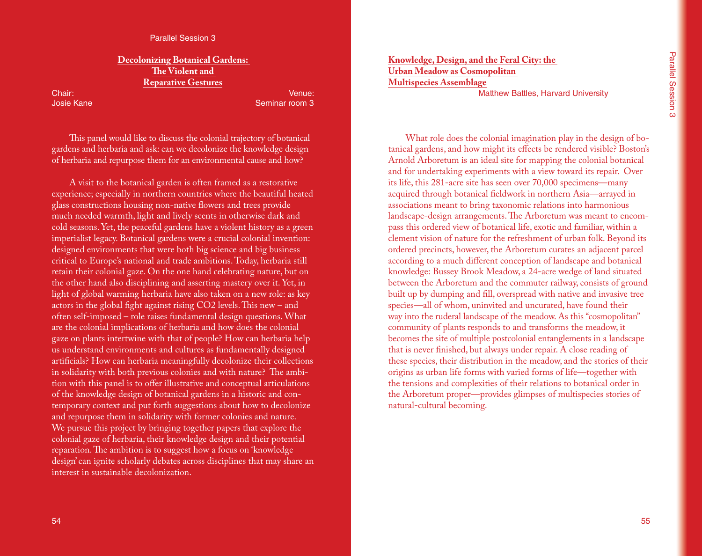## **Decolonizing Botanical Gardens: The Violent and Reparative Gestures**

Chair: Josie Kane

Venue: Seminar room 3

This panel would like to discuss the colonial trajectory of botanical gardens and herbaria and ask: can we decolonize the knowledge design of herbaria and repurpose them for an environmental cause and how?

A visit to the botanical garden is often framed as a restorative experience; especially in northern countries where the beautiful heated glass constructions housing non-native flowers and trees provide much needed warmth, light and lively scents in otherwise dark and cold seasons. Yet, the peaceful gardens have a violent history as a green imperialist legacy. Botanical gardens were a crucial colonial invention: designed environments that were both big science and big business critical to Europe's national and trade ambitions. Today, herbaria still retain their colonial gaze. On the one hand celebrating nature, but on the other hand also disciplining and asserting mastery over it. Yet, in light of global warming herbaria have also taken on a new role: as key actors in the global fight against rising CO2 levels. This new – and often self-imposed – role raises fundamental design questions. What are the colonial implications of herbaria and how does the colonial gaze on plants intertwine with that of people? How can herbaria help us understand environments and cultures as fundamentally designed artificials? How can herbaria meaningfully decolonize their collections in solidarity with both previous colonies and with nature? The ambition with this panel is to offer illustrative and conceptual articulations of the knowledge design of botanical gardens in a historic and contemporary context and put forth suggestions about how to decolonize and repurpose them in solidarity with former colonies and nature. We pursue this project by bringing together papers that explore the colonial gaze of herbaria, their knowledge design and their potential reparation. The ambition is to suggest how a focus on 'knowledge design' can ignite scholarly debates across disciplines that may share an interest in sustainable decolonization.

**Knowledge, Design, and the Feral City: the Urban Meadow as Cosmopolitan Multispecies Assemblage** Matthew Battles, Harvard University

What role does the colonial imagination play in the design of botanical gardens, and how might its effects be rendered visible? Boston's Arnold Arboretum is an ideal site for mapping the colonial botanical and for undertaking experiments with a view toward its repair. Over its life, this 281-acre site has seen over 70,000 specimens—many acquired through botanical fieldwork in northern Asia—arrayed in associations meant to bring taxonomic relations into harmonious landscape-design arrangements. The Arboretum was meant to encompass this ordered view of botanical life, exotic and familiar, within a clement vision of nature for the refreshment of urban folk. Beyond its ordered precincts, however, the Arboretum curates an adjacent parcel according to a much different conception of landscape and botanical knowledge: Bussey Brook Meadow, a 24-acre wedge of land situated between the Arboretum and the commuter railway, consists of ground built up by dumping and fill, overspread with native and invasive tree species—all of whom, uninvited and uncurated, have found their way into the ruderal landscape of the meadow. As this "cosmopolitan" community of plants responds to and transforms the meadow, it becomes the site of multiple postcolonial entanglements in a landscape that is never finished, but always under repair. A close reading of these species, their distribution in the meadow, and the stories of their origins as urban life forms with varied forms of life—together with the tensions and complexities of their relations to botanical order in the Arboretum proper—provides glimpses of multispecies stories of natural-cultural becoming.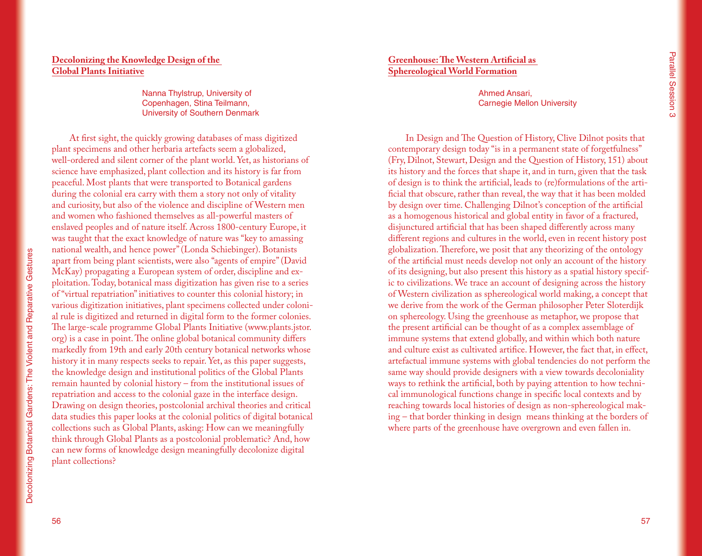# **Decolonizing the Knowledge Design of the Global Plants Initiative**

Nanna Thylstrup, University of Copenhagen, Stina Teilmann, University of Southern Denmark

At first sight, the quickly growing databases of mass digitized plant specimens and other herbaria artefacts seem a globalized, well-ordered and silent corner of the plant world. Yet, as historians of science have emphasized, plant collection and its history is far from peaceful. Most plants that were transported to Botanical gardens during the colonial era carry with them a story not only of vitality and curiosity, but also of the violence and discipline of Western men and women who fashioned themselves as all-powerful masters of enslaved peoples and of nature itself. Across 1800-century Europe, it was taught that the exact knowledge of nature was "key to amassing national wealth, and hence power" (Londa Schiebinger). Botanists apart from being plant scientists, were also "agents of empire" (David McKay) propagating a European system of order, discipline and exploitation. Today, botanical mass digitization has given rise to a series of "virtual repatriation" initiatives to counter this colonial history; in various digitization initiatives, plant specimens collected under colonial rule is digitized and returned in digital form to the former colonies. The large-scale programme Global Plants Initiative (www.plants.jstor. org) is a case in point. The online global botanical community differs markedly from 19th and early 20th century botanical networks whose history it in many respects seeks to repair. Yet, as this paper suggests, the knowledge design and institutional politics of the Global Plants remain haunted by colonial history – from the institutional issues of repatriation and access to the colonial gaze in the interface design. Drawing on design theories, postcolonial archival theories and critical data studies this paper looks at the colonial politics of digital botanical collections such as Global Plants, asking: How can we meaningfully think through Global Plants as a postcolonial problematic? And, how can new forms of knowledge design meaningfully decolonize digital plant collections?

## **Greenhouse: The Western Artificial as Sphereological World Formation**

Ahmed Ansari, Carnegie Mellon University

In Design and The Question of History, Clive Dilnot posits that contemporary design today "is in a permanent state of forgetfulness" (Fry, Dilnot, Stewart, Design and the Question of History, 151) about its history and the forces that shape it, and in turn, given that the task of design is to think the artificial, leads to (re)formulations of the artificial that obscure, rather than reveal, the way that it has been molded by design over time. Challenging Dilnot's conception of the artificial as a homogenous historical and global entity in favor of a fractured, disjunctured artificial that has been shaped differently across many different regions and cultures in the world, even in recent history post globalization. Therefore, we posit that any theorizing of the ontology of the artificial must needs develop not only an account of the history of its designing, but also present this history as a spatial history specific to civilizations. We trace an account of designing across the history of Western civilization as sphereological world making, a concept that we derive from the work of the German philosopher Peter Sloterdijk on sphereology. Using the greenhouse as metaphor, we propose that the present artificial can be thought of as a complex assemblage of immune systems that extend globally, and within which both nature and culture exist as cultivated artifice. However, the fact that, in effect, artefactual immune systems with global tendencies do not perform the same way should provide designers with a view towards decoloniality ways to rethink the artificial, both by paying attention to how technical immunological functions change in specific local contexts and by reaching towards local histories of design as non-sphereological making – that border thinking in design means thinking at the borders of where parts of the greenhouse have overgrown and even fallen in.

Decolonizing Botanical Gardens: The Violent and Reparative Gestures

Decolonizing Botanical Gardens: The Violent and Reparative Gestures

56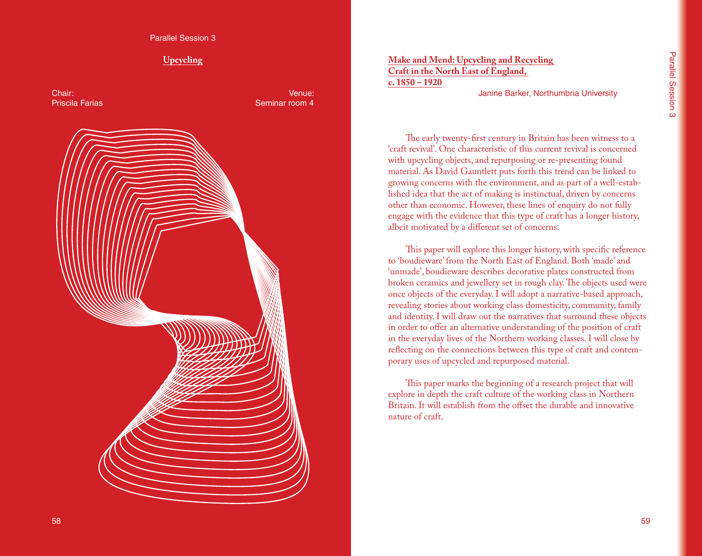# **Upcycling**

Chair: Priscila Farias

Venue: Seminar room 4



**Make and Mend: Upcycling and Recycling Craft in the North East of England, c. 1850 – 1920**

Janine Barker, Northumbria University

The early twenty-first century in Britain has been witness to a 'craft revival'. One characteristic of this current revival is concerned with upcycling objects, and repurposing or re-presenting found material. As David Gauntlett puts forth this trend can be linked to growing concerns with the environment, and as part of a well-established idea that the act of making is instinctual, driven by concerns other than economic. However, these lines of enquiry do not fully engage with the evidence that this type of craft has a longer history, albeit motivated by a different set of concerns.

This paper will explore this longer history, with specific reference to 'boudieware' from the North East of England. Both 'made' and 'unmade', boudieware describes decorative plates constructed from broken ceramics and jewellery set in rough clay. The objects used were once objects of the everyday. I will adopt a narrative-based approach, revealing stories about working class domesticity, community, family and identity. I will draw out the narratives that surround these objects in order to offer an alternative understanding of the position of craft in the everyday lives of the Northern working classes. I will close by reflecting on the connections between this type of craft and contemporary uses of upcycled and repurposed material.

This paper marks the beginning of a research project that will explore in depth the craft culture of the working class in Northern Britain. It will establish from the offset the durable and innovative nature of craft.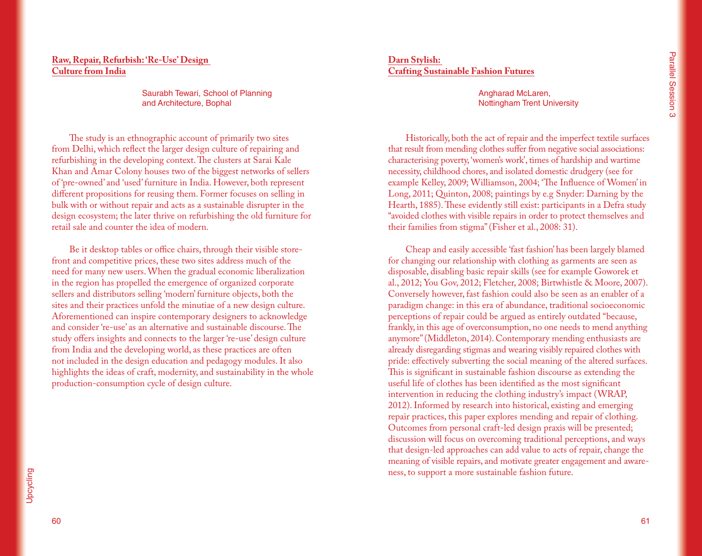# **Raw, Repair, Refurbish: 'Re-Use' Design Culture from India**

Saurabh Tewari, School of Planning and Architecture, Bophal

The study is an ethnographic account of primarily two sites from Delhi, which reflect the larger design culture of repairing and refurbishing in the developing context. The clusters at Sarai Kale Khan and Amar Colony houses two of the biggest networks of sellers of 'pre-owned' and 'used' furniture in India. However, both represent different propositions for reusing them. Former focuses on selling in bulk with or without repair and acts as a sustainable disrupter in the design ecosystem; the later thrive on refurbishing the old furniture for retail sale and counter the idea of modern.

Be it desktop tables or office chairs, through their visible storefront and competitive prices, these two sites address much of the need for many new users. When the gradual economic liberalization in the region has propelled the emergence of organized corporate sellers and distributors selling 'modern' furniture objects, both the sites and their practices unfold the minutiae of a new design culture. Aforementioned can inspire contemporary designers to acknowledge and consider 're-use' as an alternative and sustainable discourse. The study offers insights and connects to the larger 're-use' design culture from India and the developing world, as these practices are often not included in the design education and pedagogy modules. It also highlights the ideas of craft, modernity, and sustainability in the whole production-consumption cycle of design culture.

#### **Darn Stylish: Crafting Sustainable Fashion Futures**

Angharad McLaren, Nottingham Trent University

Historically, both the act of repair and the imperfect textile surfaces that result from mending clothes suffer from negative social associations: characterising poverty, 'women's work', times of hardship and wartime necessity, childhood chores, and isolated domestic drudgery (see for example Kelley, 2009; Williamson, 2004; 'The Influence of Women' in Long, 2011; Quinton, 2008; paintings by e.g Snyder: Darning by the Hearth, 1885). These evidently still exist: participants in a Defra study "avoided clothes with visible repairs in order to protect themselves and their families from stigma" (Fisher et al., 2008: 31).

Cheap and easily accessible 'fast fashion' has been largely blamed for changing our relationship with clothing as garments are seen as disposable, disabling basic repair skills (see for example Goworek et al., 2012; You Gov, 2012; Fletcher, 2008; Birtwhistle & Moore, 2007). Conversely however, fast fashion could also be seen as an enabler of a paradigm change: in this era of abundance, traditional socioeconomic perceptions of repair could be argued as entirely outdated "because, frankly, in this age of overconsumption, no one needs to mend anything anymore" (Middleton, 2014). Contemporary mending enthusiasts are already disregarding stigmas and wearing visibly repaired clothes with pride: effectively subverting the social meaning of the altered surfaces. This is significant in sustainable fashion discourse as extending the useful life of clothes has been identified as the most significant intervention in reducing the clothing industry's impact (WRAP, 2012). Informed by research into historical, existing and emerging repair practices, this paper explores mending and repair of clothing. Outcomes from personal craft-led design praxis will be presented; discussion will focus on overcoming traditional perceptions, and ways that design-led approaches can add value to acts of repair, change the meaning of visible repairs, and motivate greater engagement and awareness, to support a more sustainable fashion future.

60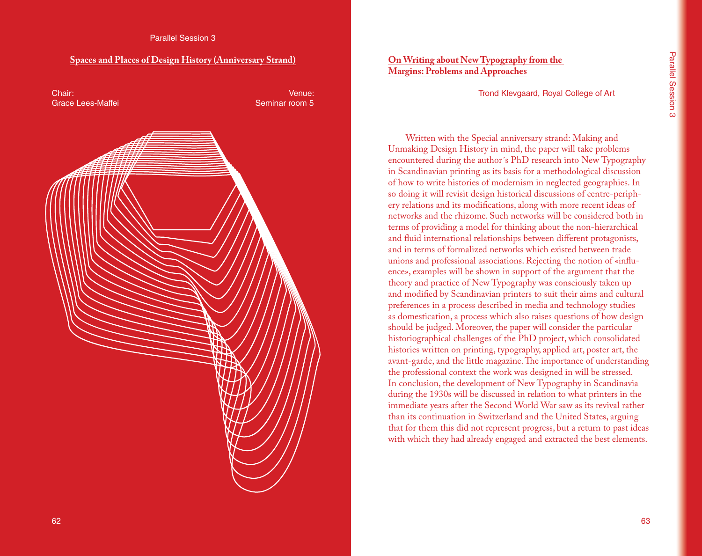#### **Spaces and Places of Design History (Anniversary Strand)**

Chair: Grace Lees-Maffei

Venue: Seminar room 5



# **On Writing about New Typography from the Margins: Problems and Approaches**

Trond Klevgaard, Royal College of Art

Written with the Special anniversary strand: Making and Unmaking Design History in mind, the paper will take problems encountered during the author´s PhD research into New Typography in Scandinavian printing as its basis for a methodological discussion of how to write histories of modernism in neglected geographies. In so doing it will revisit design historical discussions of centre-periphery relations and its modifications, along with more recent ideas of networks and the rhizome. Such networks will be considered both in terms of providing a model for thinking about the non-hierarchical and fluid international relationships between different protagonists, and in terms of formalized networks which existed between trade unions and professional associations. Rejecting the notion of «influence», examples will be shown in support of the argument that the theory and practice of New Typography was consciously taken up and modified by Scandinavian printers to suit their aims and cultural preferences in a process described in media and technology studies as domestication, a process which also raises questions of how design should be judged. Moreover, the paper will consider the particular historiographical challenges of the PhD project, which consolidated histories written on printing, typography, applied art, poster art, the avant-garde, and the little magazine. The importance of understanding the professional context the work was designed in will be stressed. In conclusion, the development of New Typography in Scandinavia during the 1930s will be discussed in relation to what printers in the immediate years after the Second World War saw as its revival rather than its continuation in Switzerland and the United States, arguing that for them this did not represent progress, but a return to past ideas with which they had already engaged and extracted the best elements.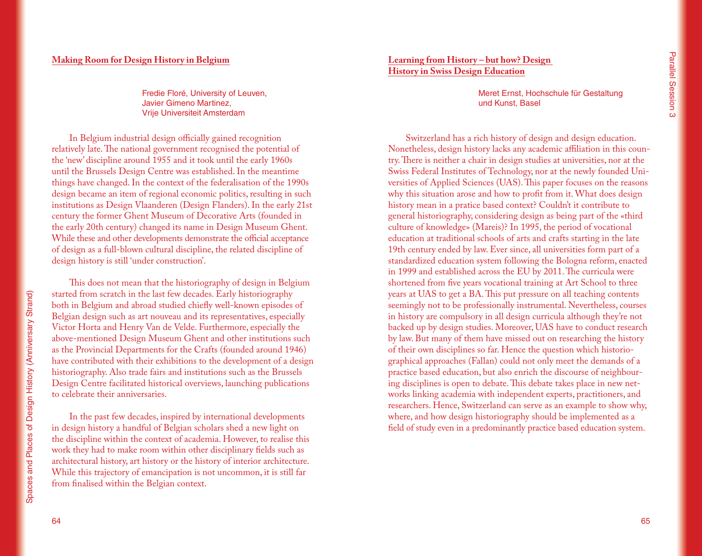Fredie Floré, University of Leuven, Javier Gimeno Martinez, Vrije Universiteit Amsterdam

In Belgium industrial design officially gained recognition relatively late. The national government recognised the potential of the 'new' discipline around 1955 and it took until the early 1960s until the Brussels Design Centre was established. In the meantime things have changed. In the context of the federalisation of the 1990s design became an item of regional economic politics, resulting in such institutions as Design Vlaanderen (Design Flanders). In the early 21st century the former Ghent Museum of Decorative Arts (founded in the early 20th century) changed its name in Design Museum Ghent. While these and other developments demonstrate the official acceptance of design as a full-blown cultural discipline, the related discipline of design history is still 'under construction'.

This does not mean that the historiography of design in Belgium started from scratch in the last few decades. Early historiography both in Belgium and abroad studied chiefly well-known episodes of Belgian design such as art nouveau and its representatives, especially Victor Horta and Henry Van de Velde. Furthermore, especially the above-mentioned Design Museum Ghent and other institutions such as the Provincial Departments for the Crafts (founded around 1946) have contributed with their exhibitions to the development of a design historiography. Also trade fairs and institutions such as the Brussels Design Centre facilitated historical overviews, launching publications to celebrate their anniversaries.

In the past few decades, inspired by international developments in design history a handful of Belgian scholars shed a new light on the discipline within the context of academia. However, to realise this work they had to make room within other disciplinary fields such as architectural history, art history or the history of interior architecture. While this trajectory of emancipation is not uncommon, it is still far from finalised within the Belgian context.

**Learning from History – but how? Design History in Swiss Design Education**

> Meret Ernst, Hochschule für Gestaltung und Kunst, Basel

Switzerland has a rich history of design and design education. Nonetheless, design history lacks any academic affiliation in this country. There is neither a chair in design studies at universities, nor at the Swiss Federal Institutes of Technology, nor at the newly founded Universities of Applied Sciences (UAS). This paper focuses on the reasons why this situation arose and how to profit from it. What does design history mean in a pratice based context? Couldn't it contribute to general historiography, considering design as being part of the «third culture of knowledge» (Mareis)? In 1995, the period of vocational education at traditional schools of arts and crafts starting in the late 19th century ended by law. Ever since, all universities form part of a standardized education system following the Bologna reform, enacted in 1999 and established across the EU by 2011. The curricula were shortened from five years vocational training at Art School to three years at UAS to get a BA. This put pressure on all teaching contents seemingly not to be professionally instrumental. Nevertheless, courses in history are compulsory in all design curricula although they're not backed up by design studies. Moreover, UAS have to conduct research by law. But many of them have missed out on researching the history of their own disciplines so far. Hence the question which historiographical approaches (Fallan) could not only meet the demands of a practice based education, but also enrich the discourse of neighbouring disciplines is open to debate. This debate takes place in new networks linking academia with independent experts, practitioners, and researchers. Hence, Switzerland can serve as an example to show why, where, and how design historiography should be implemented as a field of study even in a predominantly practice based education system.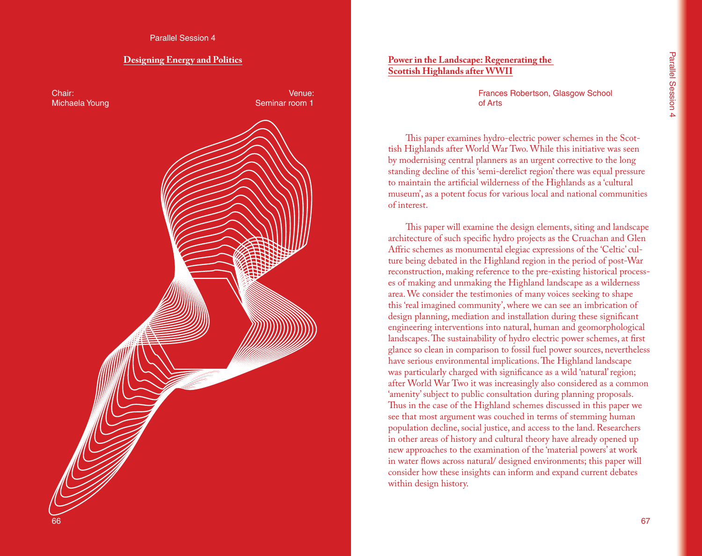## **Designing Energy and Politics**



# **Power in the Landscape: Regenerating the Scottish Highlands after WWII**

Frances Robertson, Glasgow School of Arts

This paper examines hydro-electric power schemes in the Scottish Highlands after World War Two. While this initiative was seen by modernising central planners as an urgent corrective to the long standing decline of this 'semi-derelict region' there was equal pressure to maintain the artificial wilderness of the Highlands as a 'cultural museum', as a potent focus for various local and national communities of interest.

This paper will examine the design elements, siting and landscape architecture of such specific hydro projects as the Cruachan and Glen Affric schemes as monumental elegiac expressions of the 'Celtic' culture being debated in the Highland region in the period of post-War reconstruction, making reference to the pre-existing historical processes of making and unmaking the Highland landscape as a wilderness area. We consider the testimonies of many voices seeking to shape this 'real imagined community', where we can see an imbrication of design planning, mediation and installation during these significant engineering interventions into natural, human and geomorphological landscapes. The sustainability of hydro electric power schemes, at first glance so clean in comparison to fossil fuel power sources, nevertheless have serious environmental implications. The Highland landscape was particularly charged with significance as a wild 'natural' region; after World War Two it was increasingly also considered as a common 'amenity' subject to public consultation during planning proposals. Thus in the case of the Highland schemes discussed in this paper we see that most argument was couched in terms of stemming human population decline, social justice, and access to the land. Researchers in other areas of history and cultural theory have already opened up new approaches to the examination of the 'material powers' at work in water flows across natural/ designed environments; this paper will consider how these insights can inform and expand current debates within design history.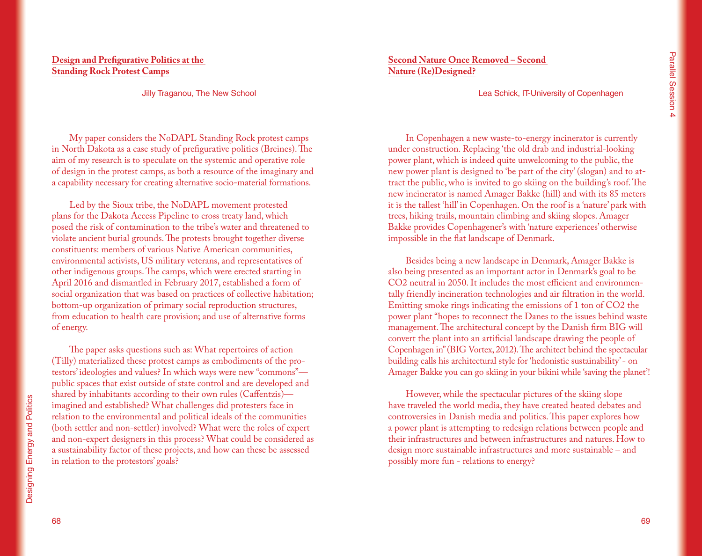# **Design and Prefigurative Politics at the Standing Rock Protest Camps**

Jilly Traganou, The New School

My paper considers the NoDAPL Standing Rock protest camps in North Dakota as a case study of prefigurative politics (Breines). The aim of my research is to speculate on the systemic and operative role of design in the protest camps, as both a resource of the imaginary and a capability necessary for creating alternative socio-material formations.

Led by the Sioux tribe, the NoDAPL movement protested plans for the Dakota Access Pipeline to cross treaty land, which posed the risk of contamination to the tribe's water and threatened to violate ancient burial grounds. The protests brought together diverse constituents: members of various Native American communities, environmental activists, US military veterans, and representatives of other indigenous groups. The camps, which were erected starting in April 2016 and dismantled in February 2017, established a form of social organization that was based on practices of collective habitation; bottom-up organization of primary social reproduction structures, from education to health care provision; and use of alternative forms of energy.

The paper asks questions such as: What repertoires of action (Tilly) materialized these protest camps as embodiments of the protestors' ideologies and values? In which ways were new "commons" public spaces that exist outside of state control and are developed and shared by inhabitants according to their own rules (Caffentzis) imagined and established? What challenges did protesters face in relation to the environmental and political ideals of the communities (both settler and non-settler) involved? What were the roles of expert and non-expert designers in this process? What could be considered as a sustainability factor of these projects, and how can these be assessed in relation to the protestors' goals?

**Second Nature Once Removed – Second Nature (Re)Designed?**

Lea Schick, IT-University of Copenhagen

In Copenhagen a new waste-to-energy incinerator is currently under construction. Replacing 'the old drab and industrial-looking power plant, which is indeed quite unwelcoming to the public, the new power plant is designed to 'be part of the city' (slogan) and to attract the public, who is invited to go skiing on the building's roof. The new incinerator is named Amager Bakke (hill) and with its 85 meters it is the tallest 'hill' in Copenhagen. On the roof is a 'nature' park with trees, hiking trails, mountain climbing and skiing slopes. Amager Bakke provides Copenhagener's with 'nature experiences' otherwise impossible in the flat landscape of Denmark.

Besides being a new landscape in Denmark, Amager Bakke is also being presented as an important actor in Denmark's goal to be CO2 neutral in 2050. It includes the most efficient and environmentally friendly incineration technologies and air filtration in the world. Emitting smoke rings indicating the emissions of 1 ton of CO2 the power plant "hopes to reconnect the Danes to the issues behind waste management. The architectural concept by the Danish firm BIG will convert the plant into an artificial landscape drawing the people of Copenhagen in" (BIG Vortex, 2012). The architect behind the spectacular building calls his architectural style for 'hedonistic sustainability' - on Amager Bakke you can go skiing in your bikini while 'saving the planet'!

However, while the spectacular pictures of the skiing slope have traveled the world media, they have created heated debates and controversies in Danish media and politics. This paper explores how a power plant is attempting to redesign relations between people and their infrastructures and between infrastructures and natures. How to design more sustainable infrastructures and more sustainable – and possibly more fun - relations to energy?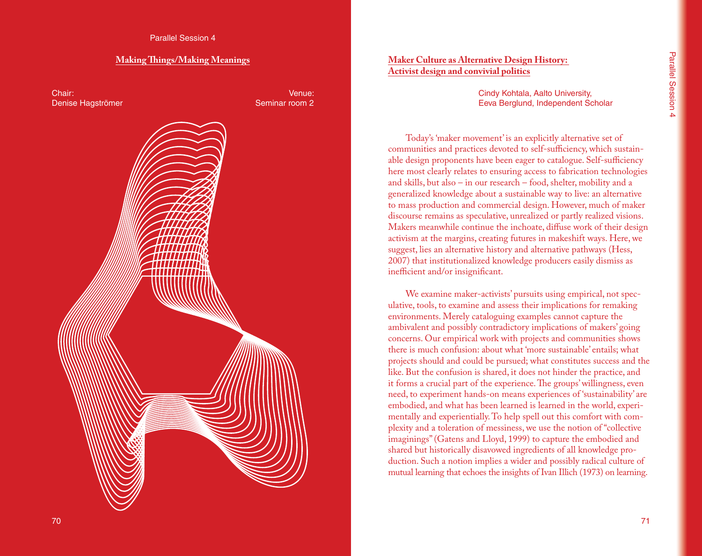#### **Making Things/Making Meanings**

Chair: Denise Hagströmer

Venue: Seminar room 2



# **Maker Culture as Alternative Design History: Activist design and convivial politics**

Cindy Kohtala, Aalto University, Eeva Berglund, Independent Scholar

Today's 'maker movement' is an explicitly alternative set of communities and practices devoted to self-sufficiency, which sustainable design proponents have been eager to catalogue. Self-sufficiency here most clearly relates to ensuring access to fabrication technologies and skills, but also – in our research – food, shelter, mobility and a generalized knowledge about a sustainable way to live: an alternative to mass production and commercial design. However, much of maker discourse remains as speculative, unrealized or partly realized visions. Makers meanwhile continue the inchoate, diffuse work of their design activism at the margins, creating futures in makeshift ways. Here, we suggest, lies an alternative history and alternative pathways (Hess, 2007) that institutionalized knowledge producers easily dismiss as inefficient and/or insignificant.

We examine maker-activists' pursuits using empirical, not speculative, tools, to examine and assess their implications for remaking environments. Merely cataloguing examples cannot capture the ambivalent and possibly contradictory implications of makers' going concerns. Our empirical work with projects and communities shows there is much confusion: about what 'more sustainable' entails; what projects should and could be pursued; what constitutes success and the like. But the confusion is shared, it does not hinder the practice, and it forms a crucial part of the experience. The groups' willingness, even need, to experiment hands-on means experiences of 'sustainability' are embodied, and what has been learned is learned in the world, experimentally and experientially. To help spell out this comfort with complexity and a toleration of messiness, we use the notion of "collective imaginings" (Gatens and Lloyd, 1999) to capture the embodied and shared but historically disavowed ingredients of all knowledge production. Such a notion implies a wider and possibly radical culture of mutual learning that echoes the insights of Ivan Illich (1973) on learning.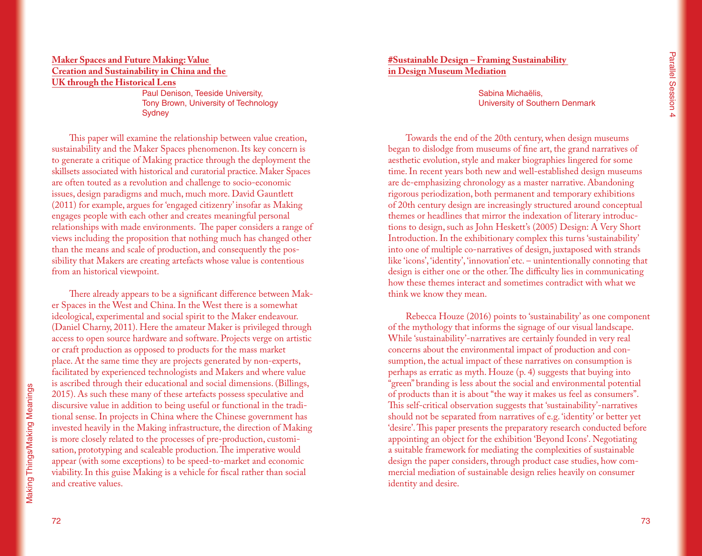## **Maker Spaces and Future Making: Value Creation and Sustainability in China and the UK through the Historical Lens**

Paul Denison, Teeside University, Tony Brown, University of Technology **Sydney** 

This paper will examine the relationship between value creation, sustainability and the Maker Spaces phenomenon. Its key concern is to generate a critique of Making practice through the deployment the skillsets associated with historical and curatorial practice. Maker Spaces are often touted as a revolution and challenge to socio-economic issues, design paradigms and much, much more. David Gauntlett (2011) for example, argues for 'engaged citizenry' insofar as Making engages people with each other and creates meaningful personal relationships with made environments. The paper considers a range of views including the proposition that nothing much has changed other than the means and scale of production, and consequently the possibility that Makers are creating artefacts whose value is contentious from an historical viewpoint.

There already appears to be a significant difference between Maker Spaces in the West and China. In the West there is a somewhat ideological, experimental and social spirit to the Maker endeavour. (Daniel Charny, 2011). Here the amateur Maker is privileged through access to open source hardware and software. Projects verge on artistic or craft production as opposed to products for the mass market place. At the same time they are projects generated by non-experts, facilitated by experienced technologists and Makers and where value is ascribed through their educational and social dimensions. (Billings, 2015). As such these many of these artefacts possess speculative and discursive value in addition to being useful or functional in the traditional sense. In projects in China where the Chinese government has invested heavily in the Making infrastructure, the direction of Making is more closely related to the processes of pre-production, customisation, prototyping and scaleable production. The imperative would appear (with some exceptions) to be speed-to-market and economic viability. In this guise Making is a vehicle for fiscal rather than social and creative values.

# **#Sustainable Design – Framing Sustainability in Design Museum Mediation**

Sabina Michaëlis, University of Southern Denmark

Towards the end of the 20th century, when design museums began to dislodge from museums of fine art, the grand narratives of aesthetic evolution, style and maker biographies lingered for some time. In recent years both new and well-established design museums are de-emphasizing chronology as a master narrative. Abandoning rigorous periodization, both permanent and temporary exhibitions of 20th century design are increasingly structured around conceptual themes or headlines that mirror the indexation of literary introductions to design, such as John Heskett's (2005) Design: A Very Short Introduction. In the exhibitionary complex this turns 'sustainability' into one of multiple co-narratives of design, juxtaposed with strands like 'icons', 'identity', 'innovation' etc. – unintentionally connoting that design is either one or the other. The difficulty lies in communicating how these themes interact and sometimes contradict with what we think we know they mean.

Rebecca Houze (2016) points to 'sustainability' as one component of the mythology that informs the signage of our visual landscape. While 'sustainability'-narratives are certainly founded in very real concerns about the environmental impact of production and consumption, the actual impact of these narratives on consumption is perhaps as erratic as myth. Houze (p. 4) suggests that buying into "green" branding is less about the social and environmental potential of products than it is about "the way it makes us feel as consumers". This self-critical observation suggests that 'sustainability'-narratives should not be separated from narratives of e.g. 'identity' or better yet 'desire'. This paper presents the preparatory research conducted before appointing an object for the exhibition 'Beyond Icons'. Negotiating a suitable framework for mediating the complexities of sustainable design the paper considers, through product case studies, how commercial mediation of sustainable design relies heavily on consumer identity and desire.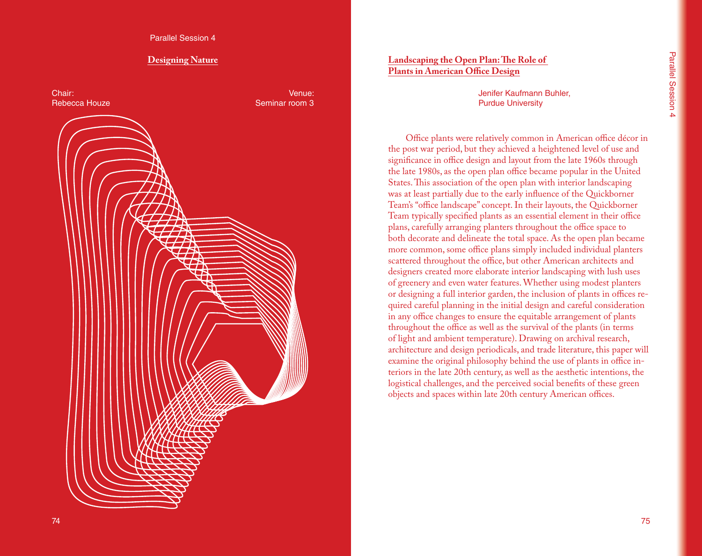Parallel Session 4

#### **Designing Nature**

Chair: Rebecca Houze

Venue: Seminar room 3



# **Landscaping the Open Plan: The Role of Plants in American Office Design**

Jenifer Kaufmann Buhler, Purdue University

Office plants were relatively common in American office décor in the post war period, but they achieved a heightened level of use and significance in office design and layout from the late 1960s through the late 1980s, as the open plan office became popular in the United States. This association of the open plan with interior landscaping was at least partially due to the early influence of the Quickborner Team's "office landscape" concept. In their layouts, the Quickborner Team typically specified plants as an essential element in their office plans, carefully arranging planters throughout the office space to both decorate and delineate the total space. As the open plan became more common, some office plans simply included individual planters scattered throughout the office, but other American architects and designers created more elaborate interior landscaping with lush uses of greenery and even water features. Whether using modest planters or designing a full interior garden, the inclusion of plants in offices required careful planning in the initial design and careful consideration in any office changes to ensure the equitable arrangement of plants throughout the office as well as the survival of the plants (in terms of light and ambient temperature). Drawing on archival research, architecture and design periodicals, and trade literature, this paper will examine the original philosophy behind the use of plants in office interiors in the late 20th century, as well as the aesthetic intentions, the logistical challenges, and the perceived social benefits of these green objects and spaces within late 20th century American offices.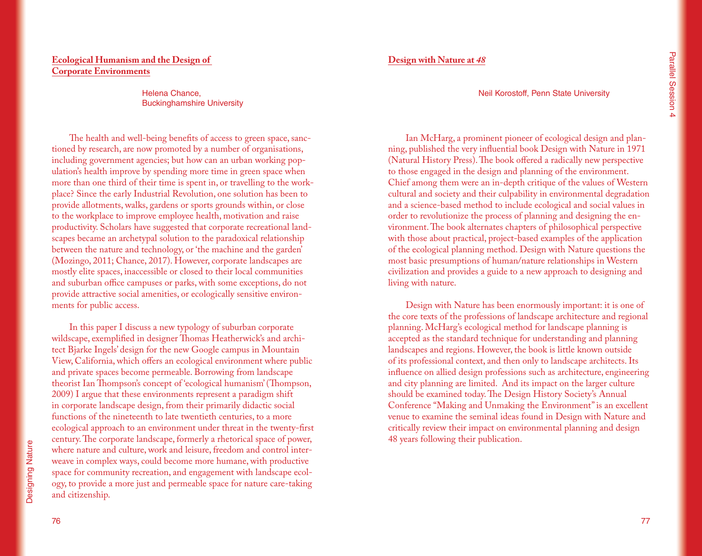# **Ecological Humanism and the Design of Corporate Environments**

Helena Chance, Buckinghamshire University

The health and well-being benefits of access to green space, sanctioned by research, are now promoted by a number of organisations, including government agencies; but how can an urban working population's health improve by spending more time in green space when more than one third of their time is spent in, or travelling to the workplace? Since the early Industrial Revolution, one solution has been to provide allotments, walks, gardens or sports grounds within, or close to the workplace to improve employee health, motivation and raise productivity. Scholars have suggested that corporate recreational landscapes became an archetypal solution to the paradoxical relationship between the nature and technology, or 'the machine and the garden' (Mozingo, 2011; Chance, 2017). However, corporate landscapes are mostly elite spaces, inaccessible or closed to their local communities and suburban office campuses or parks, with some exceptions, do not provide attractive social amenities, or ecologically sensitive environments for public access.

In this paper I discuss a new typology of suburban corporate wildscape, exemplified in designer Thomas Heatherwick's and architect Bjarke Ingels' design for the new Google campus in Mountain View, California, which offers an ecological environment where public and private spaces become permeable. Borrowing from landscape theorist Ian Thompson's concept of 'ecological humanism' (Thompson, 2009) I argue that these environments represent a paradigm shift in corporate landscape design, from their primarily didactic social functions of the nineteenth to late twentieth centuries, to a more ecological approach to an environment under threat in the twenty-first century. The corporate landscape, formerly a rhetorical space of power, where nature and culture, work and leisure, freedom and control interweave in complex ways, could become more humane, with productive space for community recreation, and engagement with landscape ecology, to provide a more just and permeable space for nature care-taking and citizenship.

**Design with Nature at** *48*

Neil Korostoff, Penn State University

Ian McHarg, a prominent pioneer of ecological design and planning, published the very influential book Design with Nature in 1971 (Natural History Press). The book offered a radically new perspective to those engaged in the design and planning of the environment. Chief among them were an in-depth critique of the values of Western cultural and society and their culpability in environmental degradation and a science-based method to include ecological and social values in order to revolutionize the process of planning and designing the environment. The book alternates chapters of philosophical perspective with those about practical, project-based examples of the application of the ecological planning method. Design with Nature questions the most basic presumptions of human/nature relationships in Western civilization and provides a guide to a new approach to designing and living with nature.

Design with Nature has been enormously important: it is one of the core texts of the professions of landscape architecture and regional planning. McHarg's ecological method for landscape planning is accepted as the standard technique for understanding and planning landscapes and regions. However, the book is little known outside of its professional context, and then only to landscape architects. Its influence on allied design professions such as architecture, engineering and city planning are limited. And its impact on the larger culture should be examined today. The Design History Society's Annual Conference "Making and Unmaking the Environment" is an excellent venue to examine the seminal ideas found in Design with Nature and critically review their impact on environmental planning and design 48 years following their publication.

**Designing Nature** Designing Nature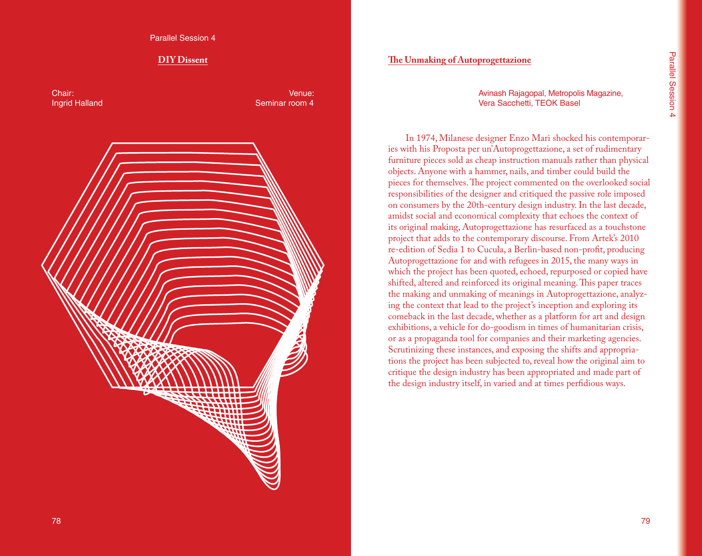Parallel Session 4

## **DIY Dissent**

Chair: Ingrid Halland

Venue: Seminar room 4



# **The Unmaking of Autoprogettazione**

Avinash Rajagopal, Metropolis Magazine, Vera Sacchetti, TEOK Basel

In 1974, Milanese designer Enzo Mari shocked his contemporaries with his Proposta per un'Autoprogettazione, a set of rudimentary furniture pieces sold as cheap instruction manuals rather than physical objects. Anyone with a hammer, nails, and timber could build the pieces for themselves. The project commented on the overlooked social responsibilities of the designer and critiqued the passive role imposed on consumers by the 20th-century design industry. In the last decade, amidst social and economical complexity that echoes the context of its original making, Autoprogettazione has resurfaced as a touchstone project that adds to the contemporary discourse. From Artek's 2010 re-edition of Sedia 1 to Cucula, a Berlin-based non-profit, producing Autoprogettazione for and with refugees in 2015, the many ways in which the project has been quoted, echoed, repurposed or copied have shifted, altered and reinforced its original meaning. This paper traces the making and unmaking of meanings in Autoprogettazione, analyzing the context that lead to the project's inception and exploring its comeback in the last decade, whether as a platform for art and design exhibitions, a vehicle for do-goodism in times of humanitarian crisis, or as a propaganda tool for companies and their marketing agencies. Scrutinizing these instances, and exposing the shifts and appropriations the project has been subjected to, reveal how the original aim to critique the design industry has been appropriated and made part of the design industry itself, in varied and at times perfidious ways.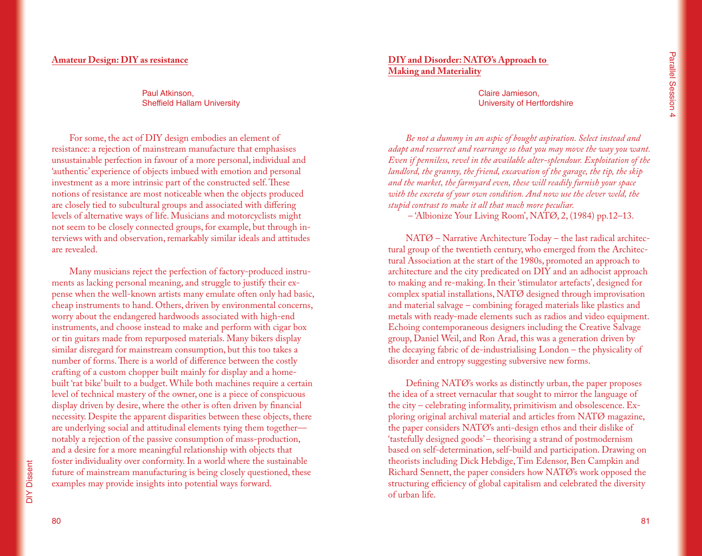#### **Amateur Design: DIY as resistance**

Paul Atkinson, Sheffield Hallam University

For some, the act of DIY design embodies an element of resistance: a rejection of mainstream manufacture that emphasises unsustainable perfection in favour of a more personal, individual and 'authentic' experience of objects imbued with emotion and personal investment as a more intrinsic part of the constructed self. These notions of resistance are most noticeable when the objects produced are closely tied to subcultural groups and associated with differing levels of alternative ways of life. Musicians and motorcyclists might not seem to be closely connected groups, for example, but through interviews with and observation, remarkably similar ideals and attitudes are revealed.

Many musicians reject the perfection of factory-produced instruments as lacking personal meaning, and struggle to justify their expense when the well-known artists many emulate often only had basic, cheap instruments to hand. Others, driven by environmental concerns, worry about the endangered hardwoods associated with high-end instruments, and choose instead to make and perform with cigar box or tin guitars made from repurposed materials. Many bikers display similar disregard for mainstream consumption, but this too takes a number of forms. There is a world of difference between the costly crafting of a custom chopper built mainly for display and a homebuilt 'rat bike' built to a budget. While both machines require a certain level of technical mastery of the owner, one is a piece of conspicuous display driven by desire, where the other is often driven by financial necessity. Despite the apparent disparities between these objects, there are underlying social and attitudinal elements tying them together notably a rejection of the passive consumption of mass-production, and a desire for a more meaningful relationship with objects that foster individuality over conformity. In a world where the sustainable future of mainstream manufacturing is being closely questioned, these examples may provide insights into potential ways forward.

# **DIY and Disorder: NATØ's Approach to Making and Materiality**

Claire Jamieson, University of Hertfordshire

*Be not a dummy in an aspic of bought aspiration. Select instead and adapt and resurrect and rearrange so that you may move the way you want. Even if penniless, revel in the available alter-splendour. Exploitation of the landlord, the granny, the friend, excavation of the garage, the tip, the skip and the market, the farmyard even, these will readily furnish your space with the excreta of your own condition. And now use the clever weld, the stupid contrast to make it all that much more peculiar.*

– 'Albionize Your Living Room', NATØ, 2, (1984) pp.12–13.

NATØ – Narrative Architecture Today – the last radical architectural group of the twentieth century, who emerged from the Architectural Association at the start of the 1980s, promoted an approach to architecture and the city predicated on DIY and an adhocist approach to making and re-making. In their 'stimulator artefacts', designed for complex spatial installations, NATØ designed through improvisation and material salvage – combining foraged materials like plastics and metals with ready-made elements such as radios and video equipment. Echoing contemporaneous designers including the Creative Salvage group, Daniel Weil, and Ron Arad, this was a generation driven by the decaying fabric of de-industrialising London – the physicality of disorder and entropy suggesting subversive new forms.

Defining NATØ's works as distinctly urban, the paper proposes the idea of a street vernacular that sought to mirror the language of the city – celebrating informality, primitivism and obsolescence. Exploring original archival material and articles from NATØ magazine, the paper considers NATØ's anti-design ethos and their dislike of 'tastefully designed goods' – theorising a strand of postmodernism based on self-determination, self-build and participation. Drawing on theorists including Dick Hebdige, Tim Edensor, Ben Campkin and Richard Sennett, the paper considers how NATØ's work opposed the structuring efficiency of global capitalism and celebrated the diversity of urban life.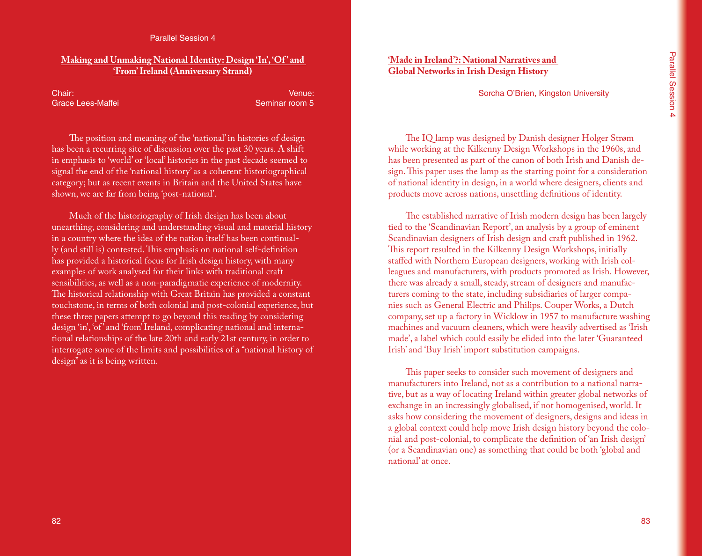#### Parallel Session 4

#### **Making and Unmaking National Identity: Design 'In', 'Of ' and 'From' Ireland (Anniversary Strand)**

Chair: Grace Lees-Maffei

Venue: Seminar room 5

The position and meaning of the 'national' in histories of design has been a recurring site of discussion over the past 30 years. A shift in emphasis to 'world' or 'local' histories in the past decade seemed to signal the end of the 'national history' as a coherent historiographical category; but as recent events in Britain and the United States have shown, we are far from being 'post-national'.

Much of the historiography of Irish design has been about unearthing, considering and understanding visual and material history in a country where the idea of the nation itself has been continually (and still is) contested. This emphasis on national self-definition has provided a historical focus for Irish design history, with many examples of work analysed for their links with traditional craft sensibilities, as well as a non-paradigmatic experience of modernity. The historical relationship with Great Britain has provided a constant touchstone, in terms of both colonial and post-colonial experience, but these three papers attempt to go beyond this reading by considering design 'in', 'of' and 'from' Ireland, complicating national and international relationships of the late 20th and early 21st century, in order to interrogate some of the limits and possibilities of a "national history of design" as it is being written.

# **'Made in Ireland'?: National Narratives and Global Networks in Irish Design History**

Sorcha O'Brien, Kingston University

The IQ lamp was designed by Danish designer Holger Strøm while working at the Kilkenny Design Workshops in the 1960s, and has been presented as part of the canon of both Irish and Danish design. This paper uses the lamp as the starting point for a consideration of national identity in design, in a world where designers, clients and products move across nations, unsettling definitions of identity.

The established narrative of Irish modern design has been largely tied to the 'Scandinavian Report', an analysis by a group of eminent Scandinavian designers of Irish design and craft published in 1962. This report resulted in the Kilkenny Design Workshops, initially staffed with Northern European designers, working with Irish colleagues and manufacturers, with products promoted as Irish. However, there was already a small, steady, stream of designers and manufacturers coming to the state, including subsidiaries of larger companies such as General Electric and Philips. Couper Works, a Dutch company, set up a factory in Wicklow in 1957 to manufacture washing machines and vacuum cleaners, which were heavily advertised as 'Irish made', a label which could easily be elided into the later 'Guaranteed Irish' and 'Buy Irish' import substitution campaigns.

This paper seeks to consider such movement of designers and manufacturers into Ireland, not as a contribution to a national narrative, but as a way of locating Ireland within greater global networks of exchange in an increasingly globalised, if not homogenised, world. It asks how considering the movement of designers, designs and ideas in a global context could help move Irish design history beyond the colonial and post-colonial, to complicate the definition of 'an Irish design' (or a Scandinavian one) as something that could be both 'global and national' at once.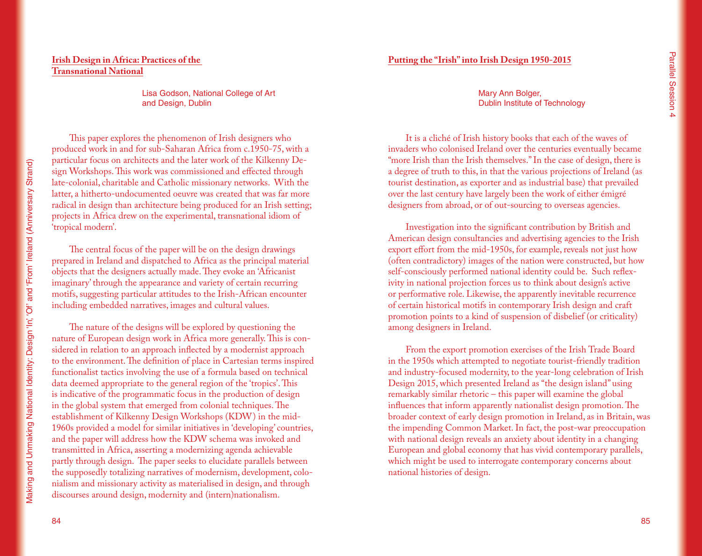# **Irish Design in Africa: Practices of the Transnational National**

Lisa Godson, National College of Art and Design, Dublin

This paper explores the phenomenon of Irish designers who produced work in and for sub-Saharan Africa from c.1950-75, with a particular focus on architects and the later work of the Kilkenny Design Workshops. This work was commissioned and effected through late-colonial, charitable and Catholic missionary networks. With the latter, a hitherto-undocumented oeuvre was created that was far more radical in design than architecture being produced for an Irish setting; projects in Africa drew on the experimental, transnational idiom of 'tropical modern'.

The central focus of the paper will be on the design drawings prepared in Ireland and dispatched to Africa as the principal material objects that the designers actually made. They evoke an 'Africanist imaginary' through the appearance and variety of certain recurring motifs, suggesting particular attitudes to the Irish-African encounter including embedded narratives, images and cultural values.

The nature of the designs will be explored by questioning the nature of European design work in Africa more generally. This is considered in relation to an approach inflected by a modernist approach to the environment. The definition of place in Cartesian terms inspired functionalist tactics involving the use of a formula based on technical data deemed appropriate to the general region of the 'tropics'. This is indicative of the programmatic focus in the production of design in the global system that emerged from colonial techniques. The establishment of Kilkenny Design Workshops (KDW) in the mid-1960s provided a model for similar initiatives in 'developing' countries, and the paper will address how the KDW schema was invoked and transmitted in Africa, asserting a modernizing agenda achievable partly through design. The paper seeks to elucidate parallels between the supposedly totalizing narratives of modernism, development, colonialism and missionary activity as materialised in design, and through discourses around design, modernity and (intern)nationalism.

Mary Ann Bolger, Dublin Institute of Technology

It is a cliché of Irish history books that each of the waves of invaders who colonised Ireland over the centuries eventually became "more Irish than the Irish themselves." In the case of design, there is a degree of truth to this, in that the various projections of Ireland (as tourist destination, as exporter and as industrial base) that prevailed over the last century have largely been the work of either émigré designers from abroad, or of out-sourcing to overseas agencies.

Investigation into the significant contribution by British and American design consultancies and advertising agencies to the Irish export effort from the mid-1950s, for example, reveals not just how (often contradictory) images of the nation were constructed, but how self-consciously performed national identity could be. Such reflexivity in national projection forces us to think about design's active or performative role. Likewise, the apparently inevitable recurrence of certain historical motifs in contemporary Irish design and craft promotion points to a kind of suspension of disbelief (or criticality) among designers in Ireland.

From the export promotion exercises of the Irish Trade Board in the 1950s which attempted to negotiate tourist-friendly tradition and industry-focused modernity, to the year-long celebration of Irish Design 2015, which presented Ireland as "the design island" using remarkably similar rhetoric – this paper will examine the global influences that inform apparently nationalist design promotion. The broader context of early design promotion in Ireland, as in Britain, was the impending Common Market. In fact, the post-war preoccupation with national design reveals an anxiety about identity in a changing European and global economy that has vivid contemporary parallels, which might be used to interrogate contemporary concerns about national histories of design.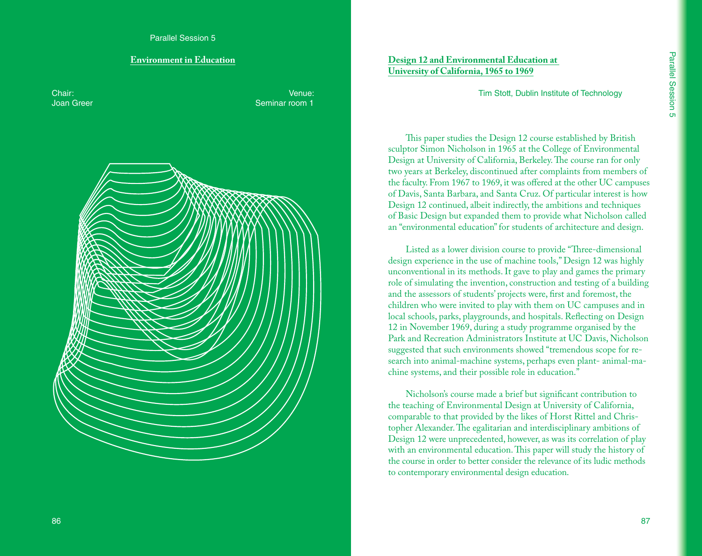# **Environment in Education**

Chair: Joan Greer

Venue: Seminar room 1



**Design 12 and Environmental Education at University of California, 1965 to 1969**

Tim Stott, Dublin Institute of Technology

This paper studies the Design 12 course established by British sculptor Simon Nicholson in 1965 at the College of Environmental Design at University of California, Berkeley. The course ran for only two years at Berkeley, discontinued after complaints from members of the faculty. From 1967 to 1969, it was offered at the other UC campuses of Davis, Santa Barbara, and Santa Cruz. Of particular interest is how Design 12 continued, albeit indirectly, the ambitions and techniques of Basic Design but expanded them to provide what Nicholson called an "environmental education" for students of architecture and design.

Listed as a lower division course to provide "Three-dimensional design experience in the use of machine tools," Design 12 was highly unconventional in its methods. It gave to play and games the primary role of simulating the invention, construction and testing of a building and the assessors of students' projects were, first and foremost, the children who were invited to play with them on UC campuses and in local schools, parks, playgrounds, and hospitals. Reflecting on Design 12 in November 1969, during a study programme organised by the Park and Recreation Administrators Institute at UC Davis, Nicholson suggested that such environments showed "tremendous scope for research into animal-machine systems, perhaps even plant- animal-machine systems, and their possible role in education."

Nicholson's course made a brief but significant contribution to the teaching of Environmental Design at University of California, comparable to that provided by the likes of Horst Rittel and Christopher Alexander. The egalitarian and interdisciplinary ambitions of Design 12 were unprecedented, however, as was its correlation of play with an environmental education. This paper will study the history of the course in order to better consider the relevance of its ludic methods to contemporary environmental design education.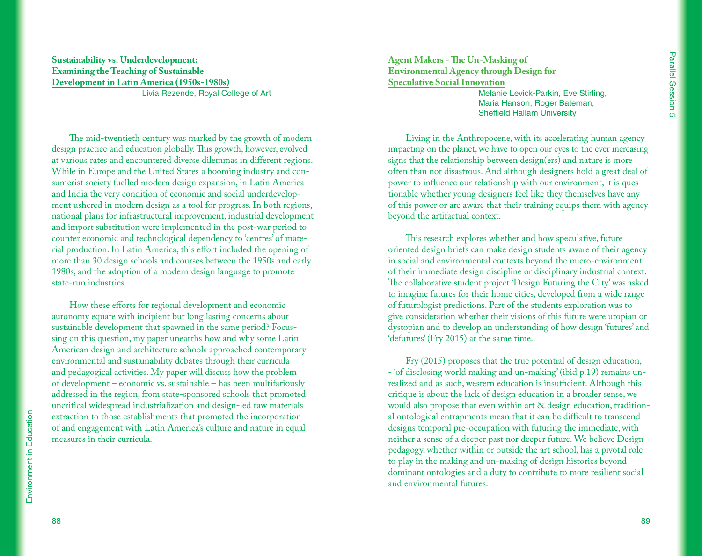#### **Sustainability vs. Underdevelopment: Examining the Teaching of Sustainable Development in Latin America (1950s-1980s)** Livia Rezende, Royal College of Art

The mid-twentieth century was marked by the growth of modern design practice and education globally. This growth, however, evolved at various rates and encountered diverse dilemmas in different regions. While in Europe and the United States a booming industry and consumerist society fuelled modern design expansion, in Latin America and India the very condition of economic and social underdevelopment ushered in modern design as a tool for progress. In both regions, national plans for infrastructural improvement, industrial development and import substitution were implemented in the post-war period to counter economic and technological dependency to 'centres' of material production. In Latin America, this effort included the opening of more than 30 design schools and courses between the 1950s and early 1980s, and the adoption of a modern design language to promote state-run industries.

How these efforts for regional development and economic autonomy equate with incipient but long lasting concerns about sustainable development that spawned in the same period? Focussing on this question, my paper unearths how and why some Latin American design and architecture schools approached contemporary environmental and sustainability debates through their curricula and pedagogical activities. My paper will discuss how the problem of development – economic vs. sustainable – has been multifariously addressed in the region, from state-sponsored schools that promoted uncritical widespread industrialization and design-led raw materials extraction to those establishments that promoted the incorporation of and engagement with Latin America's culture and nature in equal measures in their curricula.

**Agent Makers - The Un-Masking of Environmental Agency through Design for Speculative Social Innovation**

> Melanie Levick-Parkin, Eve Stirling, Maria Hanson, Roger Bateman, Sheffield Hallam University

Living in the Anthropocene, with its accelerating human agency impacting on the planet, we have to open our eyes to the ever increasing signs that the relationship between design(ers) and nature is more often than not disastrous. And although designers hold a great deal of power to influence our relationship with our environment, it is questionable whether young designers feel like they themselves have any of this power or are aware that their training equips them with agency beyond the artifactual context.

This research explores whether and how speculative, future oriented design briefs can make design students aware of their agency in social and environmental contexts beyond the micro-environment of their immediate design discipline or disciplinary industrial context. The collaborative student project 'Design Futuring the City' was asked to imagine futures for their home cities, developed from a wide range of futurologist predictions. Part of the students exploration was to give consideration whether their visions of this future were utopian or dystopian and to develop an understanding of how design 'futures' and 'defutures' (Fry 2015) at the same time.

Fry (2015) proposes that the true potential of design education, - 'of disclosing world making and un-making' (ibid p.19) remains unrealized and as such, western education is insufficient. Although this critique is about the lack of design education in a broader sense, we would also propose that even within art & design education, traditional ontological entrapments mean that it can be difficult to transcend designs temporal pre-occupation with futuring the immediate, with neither a sense of a deeper past nor deeper future. We believe Design pedagogy, whether within or outside the art school, has a pivotal role to play in the making and un-making of design histories beyond dominant ontologies and a duty to contribute to more resilient social and environmental futures.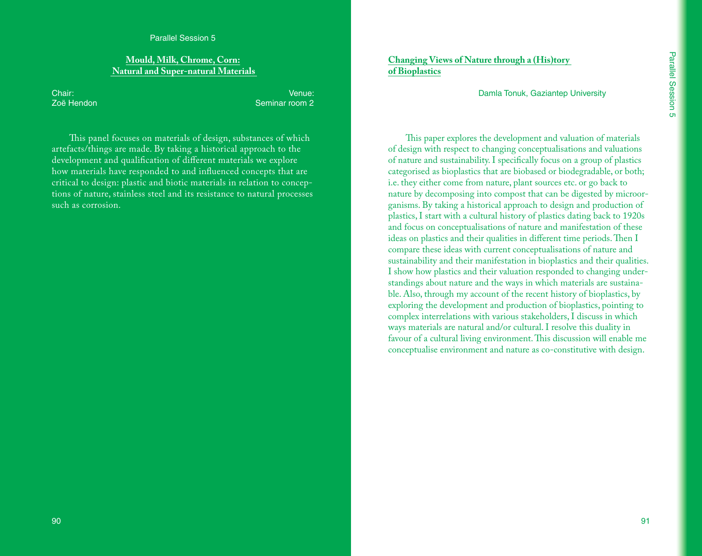#### Parallel Session 5

### **Mould, Milk, Chrome, Corn: Natural and Super-natural Materials**

Chair: Zoë Hendon

Venue: Seminar room 2

This panel focuses on materials of design, substances of which artefacts/things are made. By taking a historical approach to the development and qualification of different materials we explore how materials have responded to and influenced concepts that are critical to design: plastic and biotic materials in relation to conceptions of nature, stainless steel and its resistance to natural processes such as corrosion.

**Changing Views of Nature through a (His)tory of Bioplastics**

Damla Tonuk, Gaziantep University

This paper explores the development and valuation of materials of design with respect to changing conceptualisations and valuations of nature and sustainability. I specifically focus on a group of plastics categorised as bioplastics that are biobased or biodegradable, or both; i.e. they either come from nature, plant sources etc. or go back to nature by decomposing into compost that can be digested by microorganisms. By taking a historical approach to design and production of plastics, I start with a cultural history of plastics dating back to 1920s and focus on conceptualisations of nature and manifestation of these ideas on plastics and their qualities in different time periods. Then I compare these ideas with current conceptualisations of nature and sustainability and their manifestation in bioplastics and their qualities. I show how plastics and their valuation responded to changing understandings about nature and the ways in which materials are sustainable. Also, through my account of the recent history of bioplastics, by exploring the development and production of bioplastics, pointing to complex interrelations with various stakeholders, I discuss in which ways materials are natural and/or cultural. I resolve this duality in favour of a cultural living environment. This discussion will enable me conceptualise environment and nature as co-constitutive with design.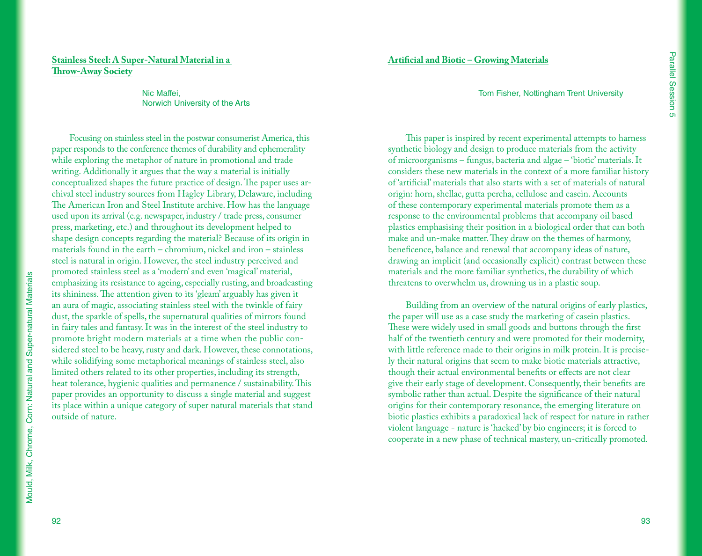# **Stainless Steel: A Super-Natural Material in a Throw-Away Society**

Nic Maffei, Norwich University of the Arts

Focusing on stainless steel in the postwar consumerist America, this paper responds to the conference themes of durability and ephemerality while exploring the metaphor of nature in promotional and trade writing. Additionally it argues that the way a material is initially conceptualized shapes the future practice of design. The paper uses archival steel industry sources from Hagley Library, Delaware, including The American Iron and Steel Institute archive. How has the language used upon its arrival (e.g. newspaper, industry / trade press, consumer press, marketing, etc.) and throughout its development helped to shape design concepts regarding the material? Because of its origin in materials found in the earth – chromium, nickel and iron – stainless steel is natural in origin. However, the steel industry perceived and promoted stainless steel as a 'modern' and even 'magical' material, emphasizing its resistance to ageing, especially rusting, and broadcasting its shininess. The attention given to its 'gleam' arguably has given it an aura of magic, associating stainless steel with the twinkle of fairy dust, the sparkle of spells, the supernatural qualities of mirrors found in fairy tales and fantasy. It was in the interest of the steel industry to promote bright modern materials at a time when the public considered steel to be heavy, rusty and dark. However, these connotations, while solidifying some metaphorical meanings of stainless steel, also limited others related to its other properties, including its strength, heat tolerance, hygienic qualities and permanence / sustainability. This paper provides an opportunity to discuss a single material and suggest its place within a unique category of super natural materials that stand outside of nature.

This paper is inspired by recent experimental attempts to harness synthetic biology and design to produce materials from the activity of microorganisms – fungus, bacteria and algae – 'biotic' materials. It considers these new materials in the context of a more familiar history of 'artificial' materials that also starts with a set of materials of natural origin: horn, shellac, gutta percha, cellulose and casein. Accounts of these contemporary experimental materials promote them as a response to the environmental problems that accompany oil based plastics emphasising their position in a biological order that can both make and un-make matter. They draw on the themes of harmony, beneficence, balance and renewal that accompany ideas of nature, drawing an implicit (and occasionally explicit) contrast between these materials and the more familiar synthetics, the durability of which threatens to overwhelm us, drowning us in a plastic soup.

Building from an overview of the natural origins of early plastics, the paper will use as a case study the marketing of casein plastics. These were widely used in small goods and buttons through the first half of the twentieth century and were promoted for their modernity, with little reference made to their origins in milk protein. It is precisely their natural origins that seem to make biotic materials attractive, though their actual environmental benefits or effects are not clear give their early stage of development. Consequently, their benefits are symbolic rather than actual. Despite the significance of their natural origins for their contemporary resonance, the emerging literature on biotic plastics exhibits a paradoxical lack of respect for nature in rather violent language - nature is 'hacked' by bio engineers; it is forced to cooperate in a new phase of technical mastery, un-critically promoted.

92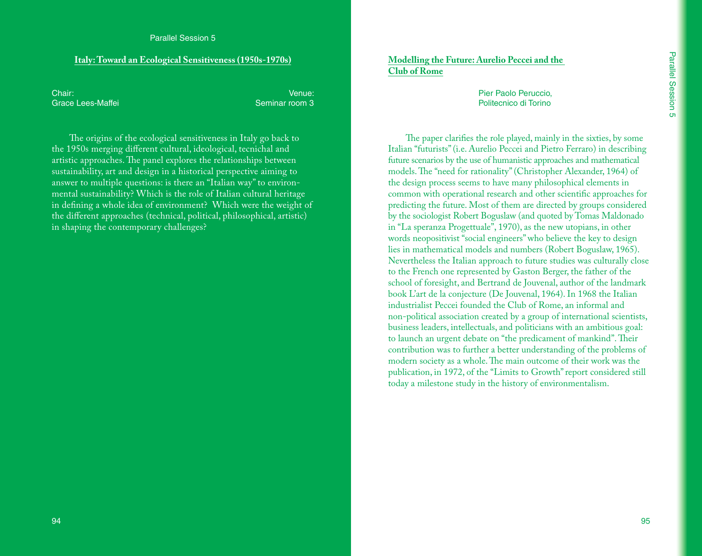# **Italy: Toward an Ecological Sensitiveness (1950s-1970s)**

Chair: Grace Lees-Maffei

Venue: Seminar room 3

The origins of the ecological sensitiveness in Italy go back to the 1950s merging different cultural, ideological, tecnichal and artistic approaches. The panel explores the relationships between sustainability, art and design in a historical perspective aiming to answer to multiple questions: is there an "Italian way" to environmental sustainability? Which is the role of Italian cultural heritage in defining a whole idea of environment? Which were the weight of the different approaches (technical, political, philosophical, artistic) in shaping the contemporary challenges?

**Modelling the Future: Aurelio Peccei and the Club of Rome**

> Pier Paolo Peruccio, Politecnico di Torino

The paper clarifies the role played, mainly in the sixties, by some Italian "futurists" (i.e. Aurelio Peccei and Pietro Ferraro) in describing future scenarios by the use of humanistic approaches and mathematical models. The "need for rationality" (Christopher Alexander, 1964) of the design process seems to have many philosophical elements in common with operational research and other scientific approaches for predicting the future. Most of them are directed by groups considered by the sociologist Robert Boguslaw (and quoted by Tomas Maldonado in "La speranza Progettuale", 1970), as the new utopians, in other words neopositivist "social engineers" who believe the key to design lies in mathematical models and numbers (Robert Boguslaw, 1965). Nevertheless the Italian approach to future studies was culturally close to the French one represented by Gaston Berger, the father of the school of foresight, and Bertrand de Jouvenal, author of the landmark book L'art de la conjecture (De Jouvenal, 1964). In 1968 the Italian industrialist Peccei founded the Club of Rome, an informal and non-political association created by a group of international scientists, business leaders, intellectuals, and politicians with an ambitious goal: to launch an urgent debate on "the predicament of mankind". Their contribution was to further a better understanding of the problems of modern society as a whole. The main outcome of their work was the publication, in 1972, of the "Limits to Growth" report considered still today a milestone study in the history of environmentalism.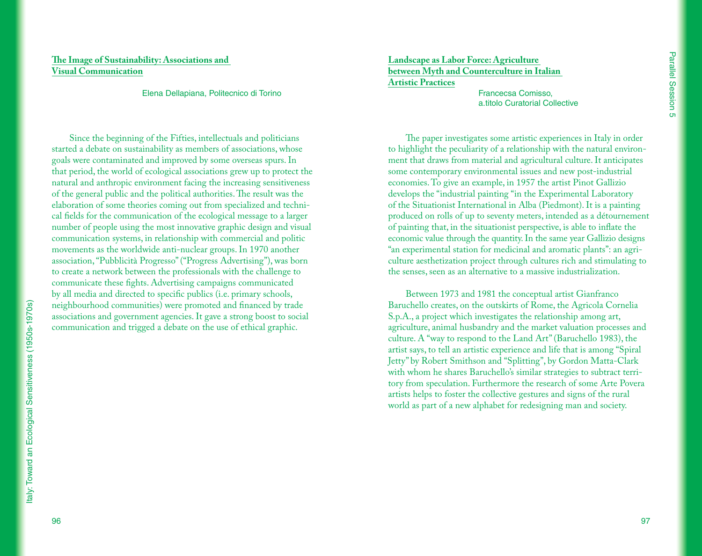# **The Image of Sustainability: Associations and Visual Communication**

Elena Dellapiana, Politecnico di Torino

Since the beginning of the Fifties, intellectuals and politicians started a debate on sustainability as members of associations, whose goals were contaminated and improved by some overseas spurs. In that period, the world of ecological associations grew up to protect the natural and anthropic environment facing the increasing sensitiveness of the general public and the political authorities. The result was the elaboration of some theories coming out from specialized and technical fields for the communication of the ecological message to a larger number of people using the most innovative graphic design and visual communication systems, in relationship with commercial and politic movements as the worldwide anti-nuclear groups. In 1970 another association, "Pubblicità Progresso" ("Progress Advertising"), was born to create a network between the professionals with the challenge to communicate these fights. Advertising campaigns communicated by all media and directed to specific publics (i.e. primary schools, neighbourhood communities) were promoted and financed by trade associations and government agencies. It gave a strong boost to social communication and trigged a debate on the use of ethical graphic.

**Landscape as Labor Force: Agriculture between Myth and Counterculture in Italian Artistic Practices**

Francecsa Comisso, a.titolo Curatorial Collective

The paper investigates some artistic experiences in Italy in order to highlight the peculiarity of a relationship with the natural environment that draws from material and agricultural culture. It anticipates some contemporary environmental issues and new post-industrial economies. To give an example, in 1957 the artist Pinot Gallizio develops the "industrial painting "in the Experimental Laboratory of the Situationist International in Alba (Piedmont). It is a painting produced on rolls of up to seventy meters, intended as a détournement of painting that, in the situationist perspective, is able to inflate the economic value through the quantity. In the same year Gallizio designs "an experimental station for medicinal and aromatic plants": an agriculture aesthetization project through cultures rich and stimulating to the senses, seen as an alternative to a massive industrialization.

Between 1973 and 1981 the conceptual artist Gianfranco Baruchello creates, on the outskirts of Rome, the Agricola Cornelia S.p.A., a project which investigates the relationship among art, agriculture, animal husbandry and the market valuation processes and culture. A "way to respond to the Land Art" (Baruchello 1983), the artist says, to tell an artistic experience and life that is among "Spiral Jetty" by Robert Smithson and "Splitting", by Gordon Matta-Clark with whom he shares Baruchello's similar strategies to subtract territory from speculation. Furthermore the research of some Arte Povera artists helps to foster the collective gestures and signs of the rural world as part of a new alphabet for redesigning man and society.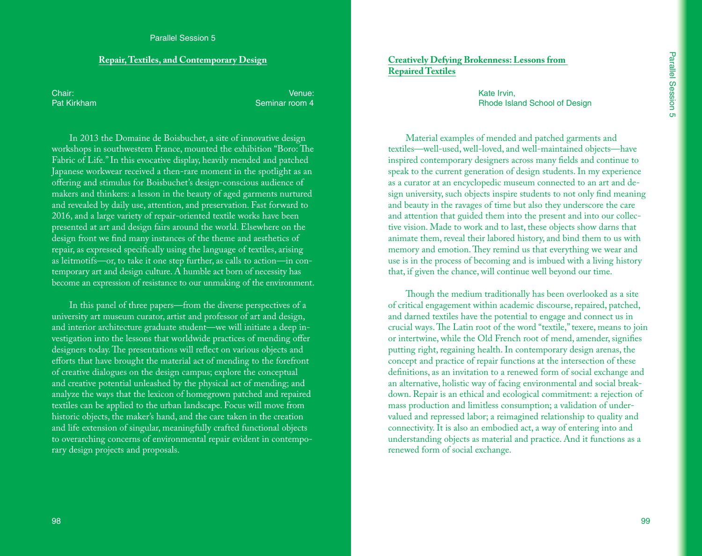#### **Repair, Textiles, and Contemporary Design**

Chair: Pat Kirkham

Venue: Seminar room 4

In 2013 the Domaine de Boisbuchet, a site of innovative design workshops in southwestern France, mounted the exhibition "Boro: The Fabric of Life." In this evocative display, heavily mended and patched Japanese workwear received a then-rare moment in the spotlight as an offering and stimulus for Boisbuchet's design-conscious audience of makers and thinkers: a lesson in the beauty of aged garments nurtured and revealed by daily use, attention, and preservation. Fast forward to 2016, and a large variety of repair-oriented textile works have been presented at art and design fairs around the world. Elsewhere on the design front we find many instances of the theme and aesthetics of repair, as expressed specifically using the language of textiles, arising as leitmotifs—or, to take it one step further, as calls to action—in contemporary art and design culture. A humble act born of necessity has become an expression of resistance to our unmaking of the environment.

In this panel of three papers—from the diverse perspectives of a university art museum curator, artist and professor of art and design, and interior architecture graduate student—we will initiate a deep investigation into the lessons that worldwide practices of mending offer designers today. The presentations will reflect on various objects and efforts that have brought the material act of mending to the forefront of creative dialogues on the design campus; explore the conceptual and creative potential unleashed by the physical act of mending; and analyze the ways that the lexicon of homegrown patched and repaired textiles can be applied to the urban landscape. Focus will move from historic objects, the maker's hand, and the care taken in the creation and life extension of singular, meaningfully crafted functional objects to overarching concerns of environmental repair evident in contemporary design projects and proposals.

**Creatively Defying Brokenness: Lessons from Repaired Textiles**

> Kate Irvin, Rhode Island School of Design

Material examples of mended and patched garments and textiles—well-used, well-loved, and well-maintained objects—have inspired contemporary designers across many fields and continue to speak to the current generation of design students. In my experience as a curator at an encyclopedic museum connected to an art and design university, such objects inspire students to not only find meaning and beauty in the ravages of time but also they underscore the care and attention that guided them into the present and into our collective vision. Made to work and to last, these objects show darns that animate them, reveal their labored history, and bind them to us with memory and emotion. They remind us that everything we wear and use is in the process of becoming and is imbued with a living history that, if given the chance, will continue well beyond our time.

Though the medium traditionally has been overlooked as a site of critical engagement within academic discourse, repaired, patched, and darned textiles have the potential to engage and connect us in crucial ways. The Latin root of the word "textile," texere, means to join or intertwine, while the Old French root of mend, amender, signifies putting right, regaining health. In contemporary design arenas, the concept and practice of repair functions at the intersection of these definitions, as an invitation to a renewed form of social exchange and an alternative, holistic way of facing environmental and social breakdown. Repair is an ethical and ecological commitment: a rejection of mass production and limitless consumption; a validation of undervalued and repressed labor; a reimagined relationship to quality and connectivity. It is also an embodied act, a way of entering into and understanding objects as material and practice. And it functions as a renewed form of social exchange.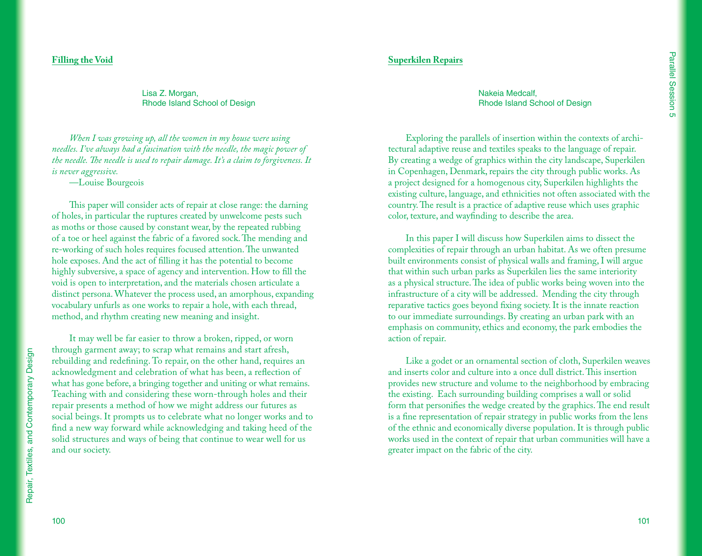#### **Filling the Void**

Lisa Z. Morgan, Rhode Island School of Design

*When I was growing up, all the women in my house were using needles. I've always had a fascination with the needle, the magic power of the needle. The needle is used to repair damage. It's a claim to forgiveness. It is never aggressive.*

—Louise Bourgeois

This paper will consider acts of repair at close range: the darning of holes, in particular the ruptures created by unwelcome pests such as moths or those caused by constant wear, by the repeated rubbing of a toe or heel against the fabric of a favored sock. The mending and re-working of such holes requires focused attention. The unwanted hole exposes. And the act of filling it has the potential to become highly subversive, a space of agency and intervention. How to fill the void is open to interpretation, and the materials chosen articulate a distinct persona. Whatever the process used, an amorphous, expanding vocabulary unfurls as one works to repair a hole, with each thread, method, and rhythm creating new meaning and insight.

It may well be far easier to throw a broken, ripped, or worn through garment away; to scrap what remains and start afresh, rebuilding and redefining. To repair, on the other hand, requires an acknowledgment and celebration of what has been, a reflection of what has gone before, a bringing together and uniting or what remains. Teaching with and considering these worn-through holes and their repair presents a method of how we might address our futures as social beings. It prompts us to celebrate what no longer works and to find a new way forward while acknowledging and taking heed of the solid structures and ways of being that continue to wear well for us and our society.

Nakeia Medcalf, Rhode Island School of Design

**Superkilen Repairs**

Exploring the parallels of insertion within the contexts of architectural adaptive reuse and textiles speaks to the language of repair. By creating a wedge of graphics within the city landscape, Superkilen in Copenhagen, Denmark, repairs the city through public works. As a project designed for a homogenous city, Superkilen highlights the existing culture, language, and ethnicities not often associated with the country. The result is a practice of adaptive reuse which uses graphic color, texture, and wayfinding to describe the area.

In this paper I will discuss how Superkilen aims to dissect the complexities of repair through an urban habitat. As we often presume built environments consist of physical walls and framing, I will argue that within such urban parks as Superkilen lies the same interiority as a physical structure. The idea of public works being woven into the infrastructure of a city will be addressed. Mending the city through reparative tactics goes beyond fixing society. It is the innate reaction to our immediate surroundings. By creating an urban park with an emphasis on community, ethics and economy, the park embodies the action of repair.

Like a godet or an ornamental section of cloth, Superkilen weaves and inserts color and culture into a once dull district. This insertion provides new structure and volume to the neighborhood by embracing the existing. Each surrounding building comprises a wall or solid form that personifies the wedge created by the graphics. The end result is a fine representation of repair strategy in public works from the lens of the ethnic and economically diverse population. It is through public works used in the context of repair that urban communities will have a greater impact on the fabric of the city.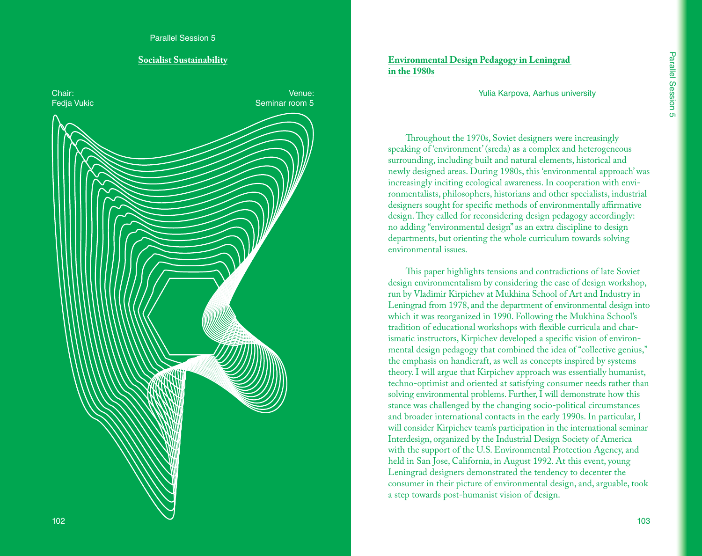#### **Socialist Sustainability**



# **Environmental Design Pedagogy in Leningrad in the 1980s**

Yulia Karpova, Aarhus university

Throughout the 1970s, Soviet designers were increasingly speaking of 'environment' (sreda) as a complex and heterogeneous surrounding, including built and natural elements, historical and newly designed areas. During 1980s, this 'environmental approach' was increasingly inciting ecological awareness. In cooperation with envi ronmentalists, philosophers, historians and other specialists, industrial designers sought for specific methods of environmentally affirmative design. They called for reconsidering design pedagogy accordingly: no adding "environmental design" as an extra discipline to design departments, but orienting the whole curriculum towards solving environmental issues.

This paper highlights tensions and contradictions of late Soviet design environmentalism by considering the case of design workshop, run by Vladimir Kirpichev at Mukhina School of Art and Industry in Leningrad from 1978, and the department of environmental design into which it was reorganized in 1990. Following the Mukhina School's tradition of educational workshops with flexible curricula and char ismatic instructors, Kirpichev developed a specific vision of environ mental design pedagogy that combined the idea of "collective genius," the emphasis on handicraft, as well as concepts inspired by systems theory. I will argue that Kirpichev approach was essentially humanist, techno-optimist and oriented at satisfying consumer needs rather than solving environmental problems. Further, I will demonstrate how this stance was challenged by the changing socio-political circumstances and broader international contacts in the early 1990s. In particular, I will consider Kirpichev team's participation in the international seminar Interdesign, organized by the Industrial Design Society of America with the support of the U.S. Environmental Protection Agency, and held in San Jose, California, in August 1992. At this event, young Leningrad designers demonstrated the tendency to decenter the consumer in their picture of environmental design, and, arguable, took a step towards post-humanist vision of design.

103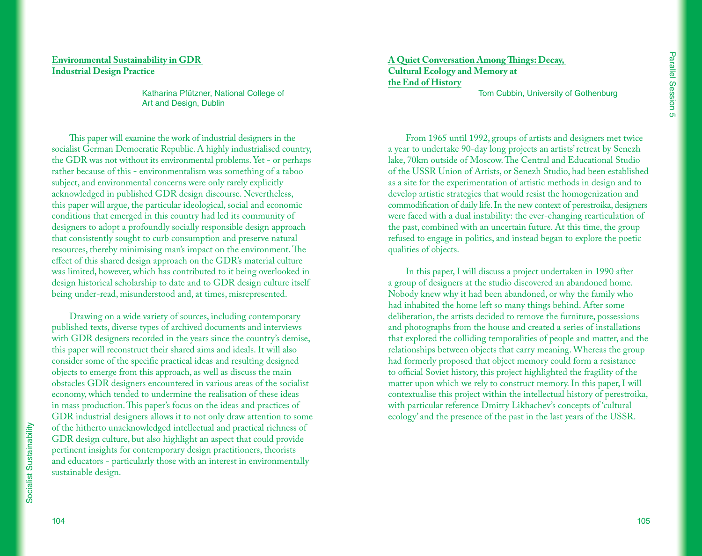# **Environmental Sustainability in GDR Industrial Design Practice**

Katharina Pfützner, National College of Art and Design, Dublin

This paper will examine the work of industrial designers in the socialist German Democratic Republic. A highly industrialised country, the GDR was not without its environmental problems. Yet - or perhaps rather because of this - environmentalism was something of a taboo subject, and environmental concerns were only rarely explicitly acknowledged in published GDR design discourse. Nevertheless, this paper will argue, the particular ideological, social and economic conditions that emerged in this country had led its community of designers to adopt a profoundly socially responsible design approach that consistently sought to curb consumption and preserve natural resources, thereby minimising man's impact on the environment. The effect of this shared design approach on the GDR's material culture was limited, however, which has contributed to it being overlooked in design historical scholarship to date and to GDR design culture itself being under-read, misunderstood and, at times, misrepresented.

Drawing on a wide variety of sources, including contemporary published texts, diverse types of archived documents and interviews with GDR designers recorded in the years since the country's demise, this paper will reconstruct their shared aims and ideals. It will also consider some of the specific practical ideas and resulting designed objects to emerge from this approach, as well as discuss the main obstacles GDR designers encountered in various areas of the socialist economy, which tended to undermine the realisation of these ideas in mass production. This paper's focus on the ideas and practices of GDR industrial designers allows it to not only draw attention to some of the hitherto unacknowledged intellectual and practical richness of GDR design culture, but also highlight an aspect that could provide pertinent insights for contemporary design practitioners, theorists and educators - particularly those with an interest in environmentally sustainable design.

**A Quiet Conversation Among Things: Decay, Cultural Ecology and Memory at the End of History**

Tom Cubbin, University of Gothenburg

From 1965 until 1992, groups of artists and designers met twice a year to undertake 90-day long projects an artists' retreat by Senezh lake, 70km outside of Moscow. The Central and Educational Studio of the USSR Union of Artists, or Senezh Studio, had been established as a site for the experimentation of artistic methods in design and to develop artistic strategies that would resist the homogenization and commodification of daily life. In the new context of perestroika, designers were faced with a dual instability: the ever-changing rearticulation of the past, combined with an uncertain future. At this time, the group refused to engage in politics, and instead began to explore the poetic qualities of objects.

In this paper, I will discuss a project undertaken in 1990 after a group of designers at the studio discovered an abandoned home. Nobody knew why it had been abandoned, or why the family who had inhabited the home left so many things behind. After some deliberation, the artists decided to remove the furniture, possessions and photographs from the house and created a series of installations that explored the colliding temporalities of people and matter, and the relationships between objects that carry meaning. Whereas the group had formerly proposed that object memory could form a resistance to official Soviet history, this project highlighted the fragility of the matter upon which we rely to construct memory. In this paper, I will contextualise this project within the intellectual history of perestroika, with particular reference Dmitry Likhachev's concepts of 'cultural ecology' and the presence of the past in the last years of the USSR.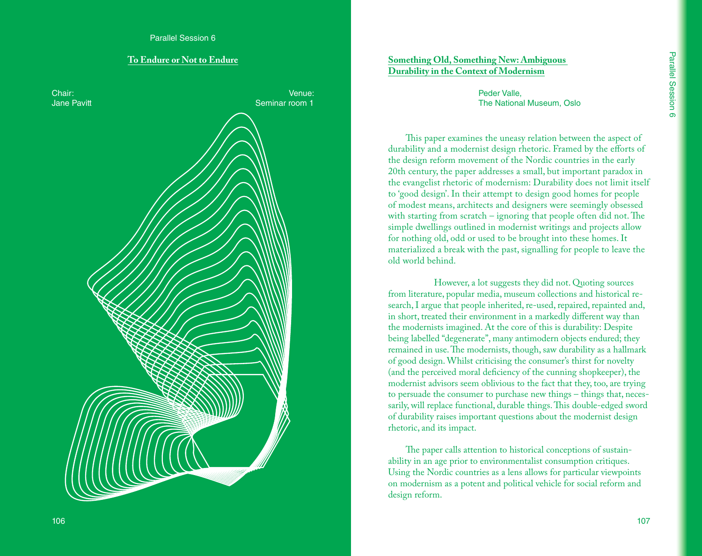#### **To Endure or Not to Endure**



# **Something Old, Something New: Ambiguous Durability in the Context of Modernism**

Peder Valle, The National Museum, Oslo

This paper examines the uneasy relation between the aspect of durability and a modernist design rhetoric. Framed by the efforts of the design reform movement of the Nordic countries in the early 20th century, the paper addresses a small, but important paradox in the evangelist rhetoric of modernism: Durability does not limit itself to 'good design'. In their attempt to design good homes for people of modest means, architects and designers were seemingly obsessed with starting from scratch – ignoring that people often did not. The simple dwellings outlined in modernist writings and projects allow for nothing old, odd or used to be brought into these homes. It materialized a break with the past, signalling for people to leave the old world behind.

 However, a lot suggests they did not. Quoting sources from literature, popular media, museum collections and historical research, I argue that people inherited, re-used, repaired, repainted and, in short, treated their environment in a markedly different way than the modernists imagined. At the core of this is durability: Despite being labelled "degenerate", many antimodern objects endured; they remained in use. The modernists, though, saw durability as a hallmark of good design. Whilst criticising the consumer's thirst for novelty (and the perceived moral deficiency of the cunning shopkeeper), the modernist advisors seem oblivious to the fact that they, too, are trying to persuade the consumer to purchase new things – things that, necessarily, will replace functional, durable things. This double-edged sword of durability raises important questions about the modernist design rhetoric, and its impact.

The paper calls attention to historical conceptions of sustainability in an age prior to environmentalist consumption critiques. Using the Nordic countries as a lens allows for particular viewpoints on modernism as a potent and political vehicle for social reform and design reform.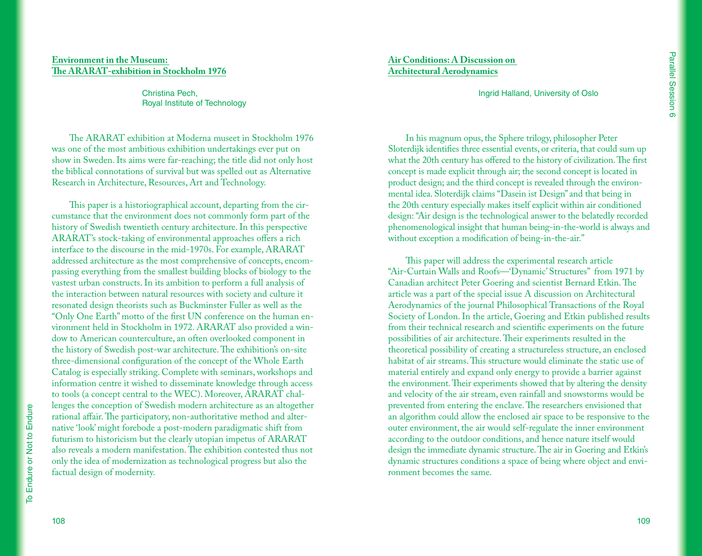## **Environment in the Museum: The ARARAT-exhibition in Stockholm 1976**

Christina Pech, Royal Institute of Technology

The ARARAT exhibition at Moderna museet in Stockholm 1976 was one of the most ambitious exhibition undertakings ever put on show in Sweden. Its aims were far-reaching; the title did not only host the biblical connotations of survival but was spelled out as Alternative Research in Architecture, Resources, Art and Technology.

This paper is a historiographical account, departing from the circumstance that the environment does not commonly form part of the history of Swedish twentieth century architecture. In this perspective ARARAT's stock-taking of environmental approaches offers a rich interface to the discourse in the mid-1970s. For example, ARARAT addressed architecture as the most comprehensive of concepts, encompassing everything from the smallest building blocks of biology to the vastest urban constructs. In its ambition to perform a full analysis of the interaction between natural resources with society and culture it resonated design theorists such as Buckminster Fuller as well as the "Only One Earth" motto of the first UN conference on the human environment held in Stockholm in 1972. ARARAT also provided a window to American counterculture, an often overlooked component in the history of Swedish post-war architecture. The exhibition's on-site three-dimensional configuration of the concept of the Whole Earth Catalog is especially striking. Complete with seminars, workshops and information centre it wished to disseminate knowledge through access to tools (a concept central to the WEC). Moreover, ARARAT challenges the conception of Swedish modern architecture as an altogether rational affair. The participatory, non-authoritative method and alternative 'look' might forebode a post-modern paradigmatic shift from futurism to historicism but the clearly utopian impetus of ARARAT also reveals a modern manifestation. The exhibition contested thus not only the idea of modernization as technological progress but also the factual design of modernity.

**Air Conditions: A Discussion on Architectural Aerodynamics**

Ingrid Halland, University of Oslo

In his magnum opus, the Sphere trilogy, philosopher Peter Sloterdijk identifies three essential events, or criteria, that could sum up what the 20th century has offered to the history of civilization. The first concept is made explicit through air; the second concept is located in product design; and the third concept is revealed through the environmental idea. Sloterdijk claims "Dasein ist Design" and that being in the 20th century especially makes itself explicit within air conditioned design: "Air design is the technological answer to the belatedly recorded phenomenological insight that human being-in-the-world is always and without exception a modification of being-in-the-air."

This paper will address the experimental research article "Air-Curtain Walls and Roofs—'Dynamic' Structures" from 1971 by Canadian architect Peter Goering and scientist Bernard Etkin. The article was a part of the special issue A discussion on Architectural Aerodynamics of the journal Philosophical Transactions of the Royal Society of London. In the article, Goering and Etkin published results from their technical research and scientific experiments on the future possibilities of air architecture. Their experiments resulted in the theoretical possibility of creating a structureless structure, an enclosed habitat of air streams. This structure would eliminate the static use of material entirely and expand only energy to provide a barrier against the environment. Their experiments showed that by altering the density and velocity of the air stream, even rainfall and snowstorms would be prevented from entering the enclave. The researchers envisioned that an algorithm could allow the enclosed air space to be responsive to the outer environment, the air would self-regulate the inner environment according to the outdoor conditions, and hence nature itself would design the immediate dynamic structure. The air in Goering and Etkin's dynamic structures conditions a space of being where object and environment becomes the same.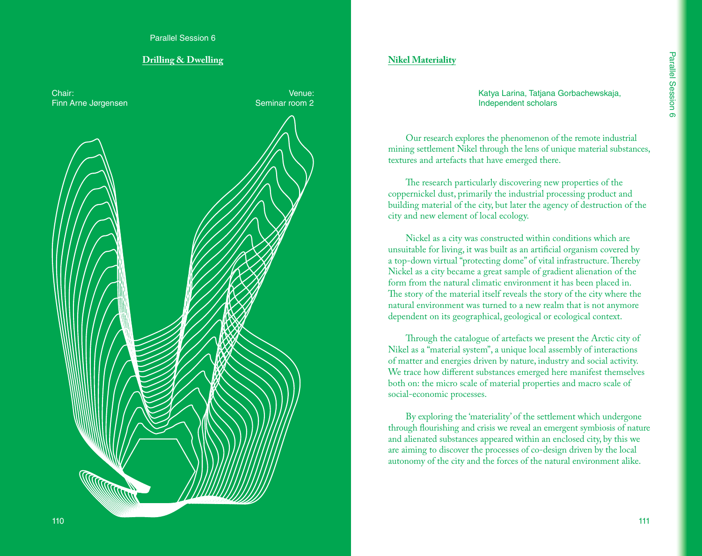Parallel Session 6

## **Drilling & Dwelling**



# **Nikel Materiality**

Katya Larina, Tatjana Gorbachewskaja, Independent scholars

Our research explores the phenomenon of the remote industrial mining settlement Nikel through the lens of unique material substances, textures and artefacts that have emerged there.

The research particularly discovering new properties of the coppernickel dust, primarily the industrial processing product and building material of the city, but later the agency of destruction of the city and new element of local ecology.

Nickel as a city was constructed within conditions which are unsuitable for living, it was built as an artificial organism covered by a top-down virtual "protecting dome" of vital infrastructure. Thereby Nickel as a city became a great sample of gradient alienation of the form from the natural climatic environment it has been placed in. The story of the material itself reveals the story of the city where the natural environment was turned to a new realm that is not anymore dependent on its geographical, geological or ecological context.

Through the catalogue of artefacts we present the Arctic city of Nikel as a "material system", a unique local assembly of interactions of matter and energies driven by nature, industry and social activity. We trace how different substances emerged here manifest themselves both on: the micro scale of material properties and macro scale of social-economic processes.

By exploring the 'materiality' of the settlement which undergone through flourishing and crisis we reveal an emergent symbiosis of nature and alienated substances appeared within an enclosed city, by this we are aiming to discover the processes of co-design driven by the local autonomy of the city and the forces of the natural environment alike.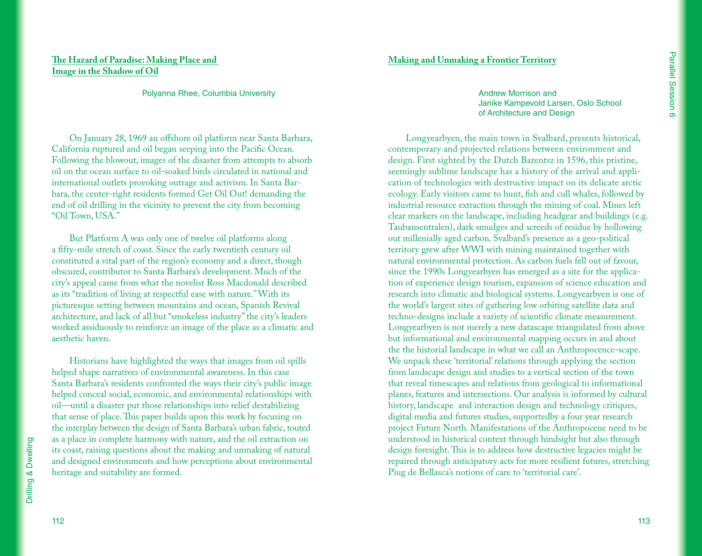# **The Hazard of Paradise: Making Place and Image in the Shadow of Oil**

#### Polyanna Rhee, Columbia University

On January 28, 1969 an offshore oil platform near Santa Barbara, California ruptured and oil began seeping into the Pacific Ocean. Following the blowout, images of the disaster from attempts to absorb oil on the ocean surface to oil-soaked birds circulated in national and international outlets provoking outrage and activism. In Santa Barbara, the center-right residents formed Get Oil Out! demanding the end of oil drilling in the vicinity to prevent the city from becoming "Oil Town, USA."

But Platform A was only one of twelve oil platforms along a fifty-mile stretch of coast. Since the early twentieth century oil constituted a vital part of the region's economy and a direct, though obscured, contributor to Santa Barbara's development. Much of the city's appeal came from what the novelist Ross Macdonald described as its "tradition of living at respectful ease with nature." With its picturesque setting between mountains and ocean, Spanish Revival architecture, and lack of all but "smokeless industry" the city's leaders worked assiduously to reinforce an image of the place as a climatic and aesthetic haven.

Historians have highlighted the ways that images from oil spills helped shape narratives of environmental awareness. In this case Santa Barbara's residents confronted the ways their city's public image helped conceal social, economic, and environmental relationships with oil—until a disaster put those relationships into relief destabilizing that sense of place. This paper builds upon this work by focusing on the interplay between the design of Santa Barbara's urban fabric, touted as a place in complete harmony with nature, and the oil extraction on its coast, raising questions about the making and unmaking of natural and designed environments and how perceptions about environmental heritage and suitability are formed.

#### **Making and Unmaking a Frontier Territory**

Andrew Morrison and Janike Kampevold Larsen, Oslo School of Architecture and Design

Longyearbyen, the main town in Svalbard, presents historical, contemporary and projected relations between environment and design. First sighted by the Dutch Barentsz in 1596, this pristine, seemingly sublime landscape has a history of the arrival and application of technologies with destructive impact on its delicate arctic ecology. Early visitors came to hunt, fish and cull whales, followed by industrial resource extraction through the mining of coal. Mines left clear markers on the landscape, including headgear and buildings (e.g. Taubansentralen), dark smudges and screeds of residue by hollowing out millenially aged carbon. Svalbard's presence as a geo-political territory grew after WWI with mining maintained together with natural environmental protection. As carbon fuels fell out of favour, since the 1990s Longyearbyen has emerged as a site for the application of experience design tourism, expansion of science education and research into climatic and biological systems. Longyearbyen is one of the world's largest sites of gathering low orbiting satellite data and techno-designs include a variety of scientific climate measurement. Longyearbyen is not merely a new datascape triangulated from above but informational and environmental mapping occurs in and about the the historial landscape in what we call an Anthropocence-scape. We unpack these 'territorial' relations through applying the section from landscape design and studies to a vertical section of the town that reveal timescapes and relations from geological to informational planes, features and intersections. Our analysis is informed by cultural history, landscape and interaction design and technology critiques, digital media and futures studies, supportedby a four year research project Future North. Manifestations of the Anthropocene need to be understood in historical context through hindsight but also through design foresight. This is to address how destructive legacies might be repaired through anticipatory acts for more resilient futures, stretching Piug de Bellasca's notions of care to 'territorial care'.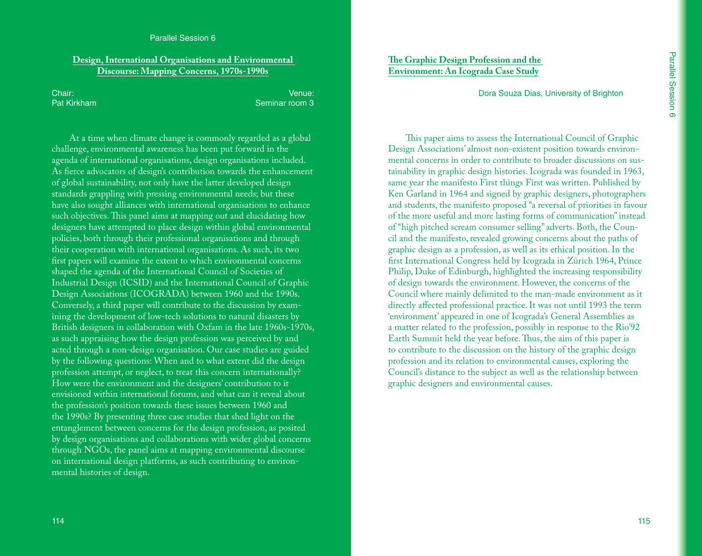#### Parallel Session 6

## **Design, International Organisations and Environmental Discourse: Mapping Concerns, 1970s-1990s**

Chair: Pat Kirkham

Venue: Seminar room 3

At a time when climate change is commonly regarded as a global challenge, environmental awareness has been put forward in the agenda of international organisations, design organisations included. As fierce advocators of design's contribution towards the enhancement of global sustainability, not only have the latter developed design standards grappling with pressing environmental needs; but these have also sought alliances with international organisations to enhance such objectives. This panel aims at mapping out and elucidating how designers have attempted to place design within global environmental policies, both through their professional organisations and through their cooperation with international organisations. As such, its two first papers will examine the extent to which environmental concerns shaped the agenda of the International Council of Societies of Industrial Design (ICSID) and the International Council of Graphic Design Associations (ICOGRADA) between 1960 and the 1990s. Conversely, a third paper will contribute to the discussion by examining the development of low-tech solutions to natural disasters by British designers in collaboration with Oxfam in the late 1960s-1970s, as such appraising how the design profession was perceived by and acted through a non-design organisation. Our case studies are guided by the following questions: When and to what extent did the design profession attempt, or neglect, to treat this concern internationally? How were the environment and the designers' contribution to it envisioned within international forums, and what can it reveal about the profession's position towards these issues between 1960 and the 1990s? By presenting three case studies that shed light on the entanglement between concerns for the design profession, as posited by design organisations and collaborations with wider global concerns through NGOs, the panel aims at mapping environmental discourse on international design platforms, as such contributing to environmental histories of design.

# **The Graphic Design Profession and the Environment: An Icograda Case Study**

Dora Souza Dias, University of Brighton

This paper aims to assess the International Council of Graphic Design Associations' almost non-existent position towards environmental concerns in order to contribute to broader discussions on sustainability in graphic design histories. Icograda was founded in 1963, same year the manifesto First things First was written. Published by Ken Garland in 1964 and signed by graphic designers, photographers and students, the manifesto proposed "a reversal of priorities in favour of the more useful and more lasting forms of communication" instead of "high pitched scream consumer selling" adverts. Both, the Council and the manifesto, revealed growing concerns about the paths of graphic design as a profession, as well as its ethical position. In the first International Congress held by Icograda in Zürich 1964, Prince Philip, Duke of Edinburgh, highlighted the increasing responsibility of design towards the environment. However, the concerns of the Council where mainly delimited to the man-made environment as it directly affected professional practice. It was not until 1993 the term 'environment' appeared in one of Icograda's General Assemblies as a matter related to the profession, possibly in response to the Rio'92 Earth Summit held the year before. Thus, the aim of this paper is to contribute to the discussion on the history of the graphic design profession and its relation to environmental causes, exploring the Council's distance to the subject as well as the relationship between graphic designers and environmental causes.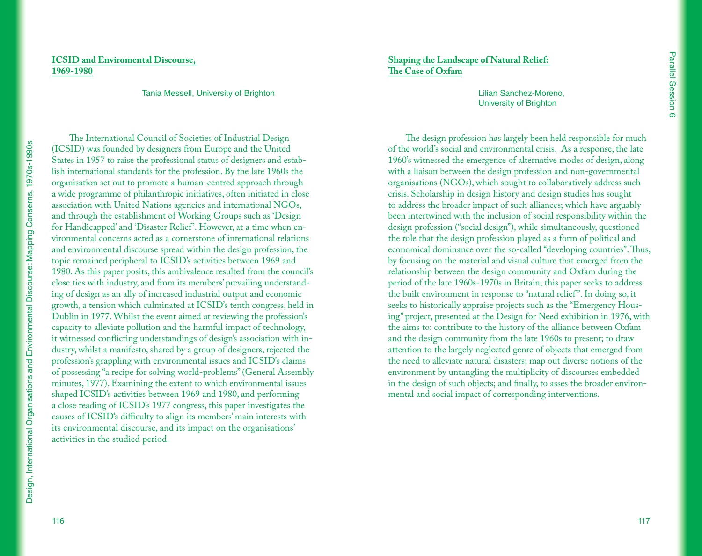# **ICSID and Enviromental Discourse, 1969-1980**

Tania Messell, University of Brighton

The International Council of Societies of Industrial Design (ICSID) was founded by designers from Europe and the United States in 1957 to raise the professional status of designers and establish international standards for the profession. By the late 1960s the organisation set out to promote a human-centred approach through a wide programme of philanthropic initiatives, often initiated in close association with United Nations agencies and international NGOs, and through the establishment of Working Groups such as 'Design for Handicapped' and 'Disaster Relief'. However, at a time when environmental concerns acted as a cornerstone of international relations and environmental discourse spread within the design profession, the topic remained peripheral to ICSID's activities between 1969 and 1980. As this paper posits, this ambivalence resulted from the council's close ties with industry, and from its members' prevailing understanding of design as an ally of increased industrial output and economic growth, a tension which culminated at ICSID's tenth congress, held in Dublin in 1977. Whilst the event aimed at reviewing the profession's capacity to alleviate pollution and the harmful impact of technology, it witnessed conflicting understandings of design's association with industry, whilst a manifesto, shared by a group of designers, rejected the profession's grappling with environmental issues and ICSID's claims of possessing "a recipe for solving world-problems" (General Assembly minutes, 1977). Examining the extent to which environmental issues shaped ICSID's activities between 1969 and 1980, and performing a close reading of ICSID's 1977 congress, this paper investigates the causes of ICSID's difficulty to align its members' main interests with its environmental discourse, and its impact on the organisations' activities in the studied period.

**Shaping the Landscape of Natural Relief: The Case of Oxfam**

> Lilian Sanchez-Moreno, University of Brighton

The design profession has largely been held responsible for much of the world's social and environmental crisis. As a response, the late 1960's witnessed the emergence of alternative modes of design, along with a liaison between the design profession and non-governmental organisations (NGOs), which sought to collaboratively address such crisis. Scholarship in design history and design studies has sought to address the broader impact of such alliances; which have arguably been intertwined with the inclusion of social responsibility within the design profession ("social design"), while simultaneously, questioned the role that the design profession played as a form of political and economical dominance over the so-called "developing countries". Thus, by focusing on the material and visual culture that emerged from the relationship between the design community and Oxfam during the period of the late 1960s-1970s in Britain; this paper seeks to address the built environment in response to "natural relief ". In doing so, it seeks to historically appraise projects such as the "Emergency Housing" project, presented at the Design for Need exhibition in 1976, with the aims to: contribute to the history of the alliance between Oxfam and the design community from the late 1960s to present; to draw attention to the largely neglected genre of objects that emerged from the need to alleviate natural disasters; map out diverse notions of the environment by untangling the multiplicity of discourses embedded in the design of such objects; and finally, to asses the broader environmental and social impact of corresponding interventions.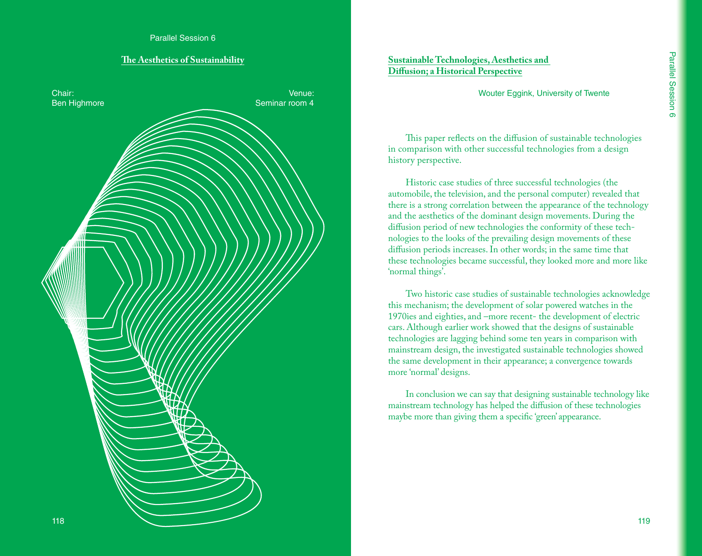#### **The Aesthetics of Sustainability**



# **Sustainable Technologies, Aesthetics and Diffusion; a Historical Perspective**

Wouter Eggink, University of Twente

This paper reflects on the diffusion of sustainable technologies in comparison with other successful technologies from a design history perspective.

Historic case studies of three successful technologies (the automobile, the television, and the personal computer) revealed that there is a strong correlation between the appearance of the technology and the aesthetics of the dominant design movements. During the diffusion period of new technologies the conformity of these technologies to the looks of the prevailing design movements of these diffusion periods increases. In other words; in the same time that these technologies became successful, they looked more and more like 'normal things'.

Two historic case studies of sustainable technologies acknowledge this mechanism; the development of solar powered watches in the 1970ies and eighties, and –more recent- the development of electric cars. Although earlier work showed that the designs of sustainable technologies are lagging behind some ten years in comparison with mainstream design, the investigated sustainable technologies showed the same development in their appearance; a convergence towards more 'normal' designs.

In conclusion we can say that designing sustainable technology like mainstream technology has helped the diffusion of these technologies maybe more than giving them a specific 'green' appearance.

119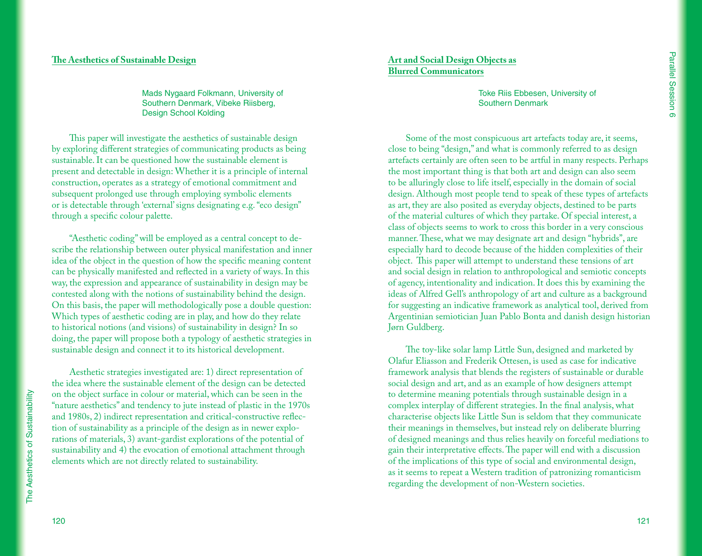#### **The Aesthetics of Sustainable Design**

Mads Nygaard Folkmann, University of Southern Denmark, Vibeke Riisberg, Design School Kolding

This paper will investigate the aesthetics of sustainable design by exploring different strategies of communicating products as being sustainable. It can be questioned how the sustainable element is present and detectable in design: Whether it is a principle of internal construction, operates as a strategy of emotional commitment and subsequent prolonged use through employing symbolic elements or is detectable through 'external' signs designating e.g. "eco design" through a specific colour palette.

"Aesthetic coding" will be employed as a central concept to describe the relationship between outer physical manifestation and inner idea of the object in the question of how the specific meaning content can be physically manifested and reflected in a variety of ways. In this way, the expression and appearance of sustainability in design may be contested along with the notions of sustainability behind the design. On this basis, the paper will methodologically pose a double question: Which types of aesthetic coding are in play, and how do they relate to historical notions (and visions) of sustainability in design? In so doing, the paper will propose both a typology of aesthetic strategies in sustainable design and connect it to its historical development.

Aesthetic strategies investigated are: 1) direct representation of the idea where the sustainable element of the design can be detected on the object surface in colour or material, which can be seen in the "nature aesthetics" and tendency to jute instead of plastic in the 1970s and 1980s, 2) indirect representation and critical-constructive reflection of sustainability as a principle of the design as in newer explorations of materials, 3) avant-gardist explorations of the potential of sustainability and 4) the evocation of emotional attachment through elements which are not directly related to sustainability.

# **Art and Social Design Objects as Blurred Communicators**

Toke Riis Ebbesen, University of Southern Denmark

Some of the most conspicuous art artefacts today are, it seems, close to being "design," and what is commonly referred to as design artefacts certainly are often seen to be artful in many respects. Perhaps the most important thing is that both art and design can also seem to be alluringly close to life itself, especially in the domain of social design. Although most people tend to speak of these types of artefacts as art, they are also posited as everyday objects, destined to be parts of the material cultures of which they partake. Of special interest, a class of objects seems to work to cross this border in a very conscious manner. These, what we may designate art and design "hybrids", are especially hard to decode because of the hidden complexities of their object. This paper will attempt to understand these tensions of art and social design in relation to anthropological and semiotic concepts of agency, intentionality and indication. It does this by examining the ideas of Alfred Gell's anthropology of art and culture as a background for suggesting an indicative framework as analytical tool, derived from Argentinian semiotician Juan Pablo Bonta and danish design historian Jørn Guldberg.

The toy-like solar lamp Little Sun, designed and marketed by Olafur Eliasson and Frederik Ottesen, is used as case for indicative framework analysis that blends the registers of sustainable or durable social design and art, and as an example of how designers attempt to determine meaning potentials through sustainable design in a complex interplay of different strategies. In the final analysis, what characterise objects like Little Sun is seldom that they communicate their meanings in themselves, but instead rely on deliberate blurring of designed meanings and thus relies heavily on forceful mediations to gain their interpretative effects. The paper will end with a discussion of the implications of this type of social and environmental design, as it seems to repeat a Western tradition of patronizing romanticism regarding the development of non-Western societies.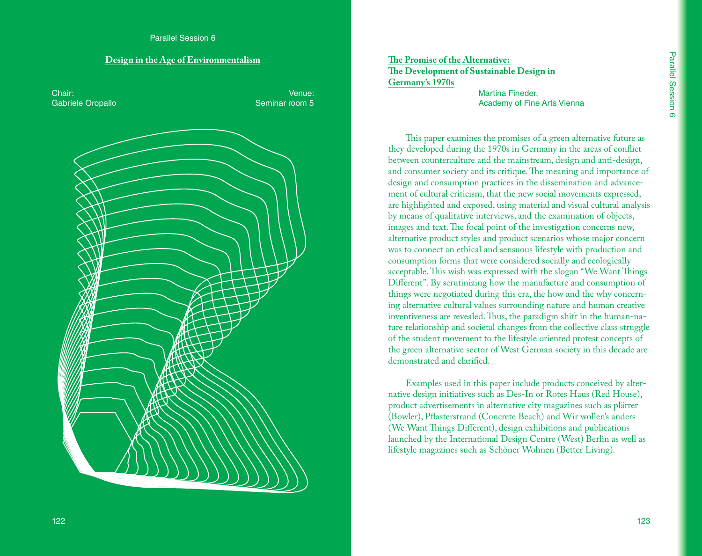#### **Design in the Age of Environmentalism**

Chair: Gabriele Oropallo Venue: Seminar room 5

# **The Promise of the Alternative: The Development of Sustainable Design in Germany's 1970s**

Martina Fineder, Academy of Fine Arts Vienna

This paper examines the promises of a green alternative future as they developed during the 1970s in Germany in the areas of conflict between counterculture and the mainstream, design and anti-design, and consumer society and its critique. The meaning and importance of design and consumption practices in the dissemination and advancement of cultural criticism, that the new social movements expressed, are highlighted and exposed, using material and visual cultural analysis by means of qualitative interviews, and the examination of objects, images and text. The focal point of the investigation concerns new, alternative product styles and product scenarios whose major concern was to connect an ethical and sensuous lifestyle with production and consumption forms that were considered socially and ecologically acceptable. This wish was expressed with the slogan "We Want Things Different". By scrutinizing how the manufacture and consumption of things were negotiated during this era, the how and the why concerning alternative cultural values surrounding nature and human creative inventiveness are revealed. Thus, the paradigm shift in the human-nature relationship and societal changes from the collective class struggle of the student movement to the lifestyle oriented protest concepts of the green alternative sector of West German society in this decade are demonstrated and clarified.

Examples used in this paper include products conceived by alternative design initiatives such as Des-In or Rotes Haus (Red House), product advertisements in alternative city magazines such as plärrer (Bowler), Pflasterstrand (Concrete Beach) and Wir wollen's anders (We Want Things Different), design exhibitions and publications launched by the International Design Centre (West) Berlin as well as lifestyle magazines such as Schöner Wohnen (Better Living).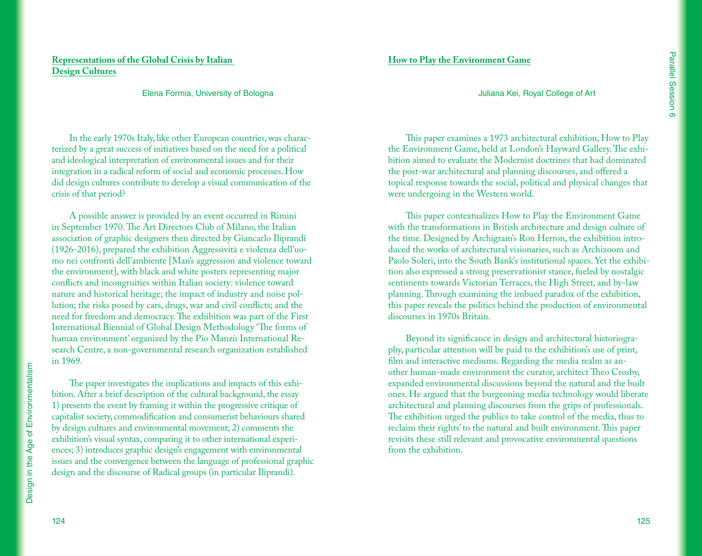# **Representations of the Global Crisis by Italian Design Cultures**

#### Elena Formia, University of Bologna

In the early 1970s Italy, like other European countries, was characterized by a great success of initiatives based on the need for a political and ideological interpretation of environmental issues and for their integration in a radical reform of social and economic processes. How did design cultures contribute to develop a visual communication of the crisis of that period?

A possible answer is provided by an event occurred in Rimini in September 1970. The Art Directors Club of Milano, the Italian association of graphic designers then directed by Giancarlo Iliprandi (1926-2016), prepared the exhibition Aggressività e violenza dell'uomo nei confronti dell'ambiente [Man's aggression and violence toward the environment], with black and white posters representing major conflicts and incongruities within Italian society: violence toward nature and historical heritage; the impact of industry and noise pollution; the risks posed by cars, drugs, war and civil conflicts; and the need for freedom and democracy. The exhibition was part of the First International Biennial of Global Design Methodology 'The forms of human environment' organized by the Pio Manzù International Research Centre, a non-governmental research organization established in 1969.

The paper investigates the implications and impacts of this exhibition. After a brief description of the cultural background, the essay 1) presents the event by framing it within the progressive critique of capitalist society, commodification and consumerist behaviours shared by design cultures and environmental movement; 2) comments the exhibition's visual syntax, comparing it to other international experiences; 3) introduces graphic design's engagement with environmental issues and the convergence between the language of professional graphic design and the discourse of Radical groups (in particular Iliprandi).

This paper examines a 1973 architectural exhibition, How to Play the Environment Game, held at London's Hayward Gallery. The exhibition aimed to evaluate the Modernist doctrines that had dominated

Juliana Kei, Royal College of Art

the post-war architectural and planning discourses, and offered a topical response towards the social, political and physical changes that were undergoing in the Western world.

**How to Play the Environment Game**

This paper contextualizes How to Play the Environment Game with the transformations in British architecture and design culture of the time. Designed by Archigram's Ron Herron, the exhibition introduced the works of architectural visionaries, such as Archizoom and Paolo Soleri, into the South Bank's institutional spaces. Yet the exhibition also expressed a strong preservationist stance, fueled by nostalgic sentiments towards Victorian Terraces, the High Street, and by-law planning. Through examining the imbued paradox of the exhibition, this paper reveals the politics behind the production of environmental discourses in 1970s Britain.

Beyond its significance in design and architectural historiography, particular attention will be paid to the exhibition's use of print, film and interactive mediums. Regarding the media realm as another human-made environment the curator, architect Theo Crosby, expanded environmental discussions beyond the natural and the built ones. He argued that the burgeoning media technology would liberate architectural and planning discourses from the grips of professionals. The exhibition urged the publics to take control of the media, thus to reclaim their rights' to the natural and built environment. This paper revisits these still relevant and provocative environmental questions from the exhibition.